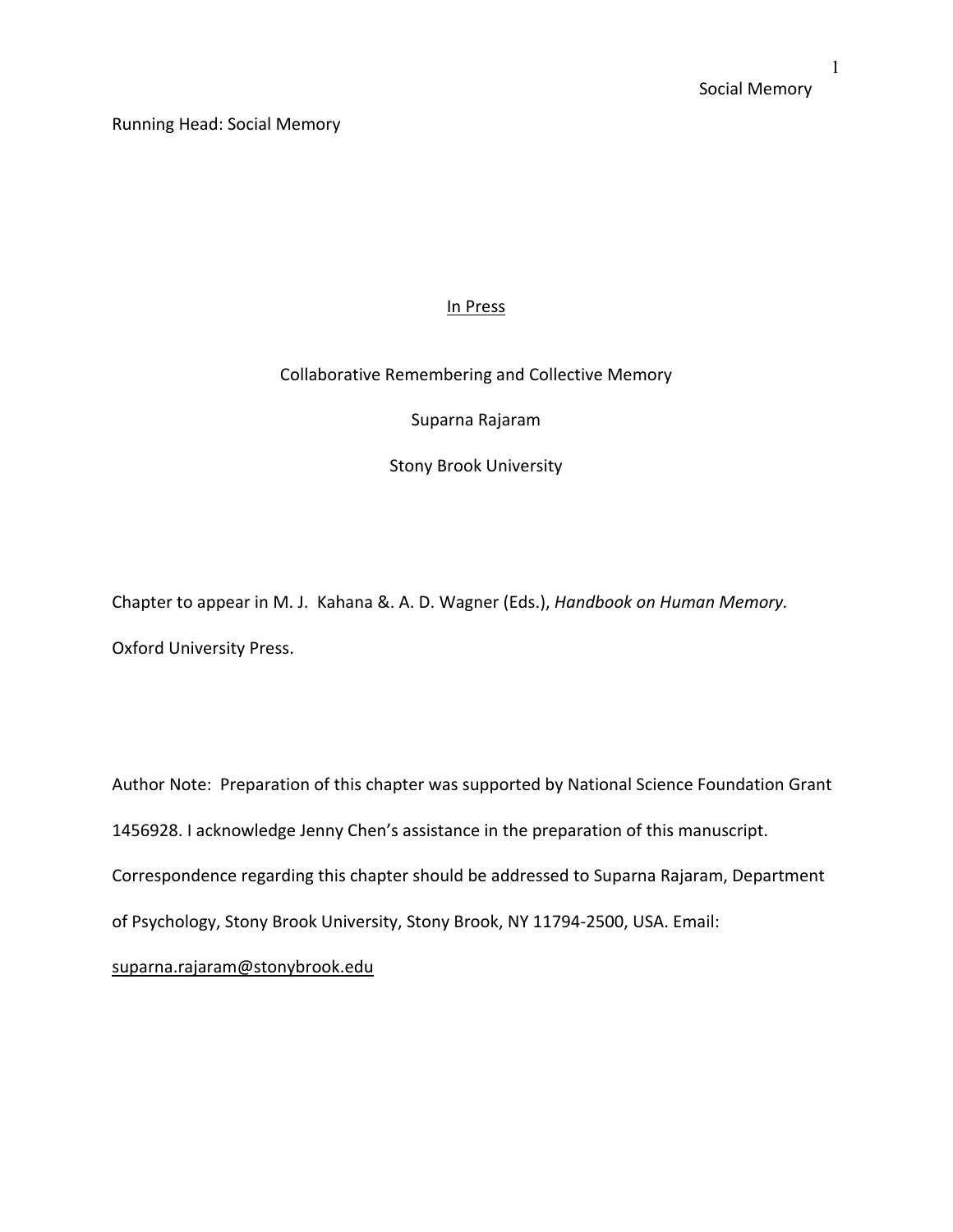Running Head: Social Memory

# In Press

# Collaborative Remembering and Collective Memory

Suparna Rajaram

Stony Brook University

Chapter to appear in M. J. Kahana &. A. D. Wagner (Eds.), *Handbook on Human Memory.* Oxford University Press.

Author Note: Preparation of this chapter was supported by National Science Foundation Grant 1456928. I acknowledge Jenny Chen's assistance in the preparation of this manuscript. Correspondence regarding this chapter should be addressed to Suparna Rajaram, Department of Psychology, Stony Brook University, Stony Brook, NY 11794-2500, USA. Email: suparna.rajaram@stonybrook.edu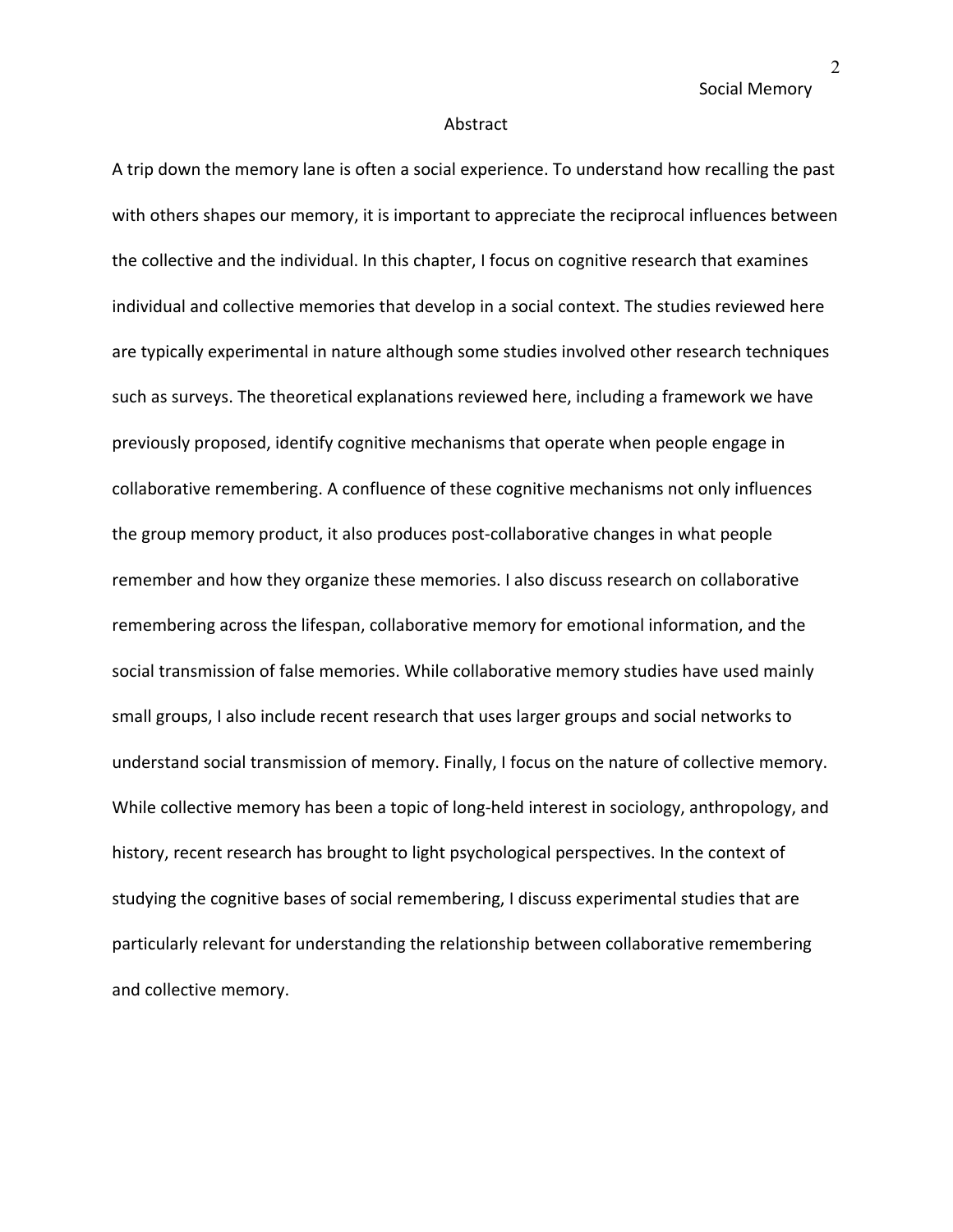#### Abstract

A trip down the memory lane is often a social experience. To understand how recalling the past with others shapes our memory, it is important to appreciate the reciprocal influences between the collective and the individual. In this chapter, I focus on cognitive research that examines individual and collective memories that develop in a social context. The studies reviewed here are typically experimental in nature although some studies involved other research techniques such as surveys. The theoretical explanations reviewed here, including a framework we have previously proposed, identify cognitive mechanisms that operate when people engage in collaborative remembering. A confluence of these cognitive mechanisms not only influences the group memory product, it also produces post-collaborative changes in what people remember and how they organize these memories. I also discuss research on collaborative remembering across the lifespan, collaborative memory for emotional information, and the social transmission of false memories. While collaborative memory studies have used mainly small groups, I also include recent research that uses larger groups and social networks to understand social transmission of memory. Finally, I focus on the nature of collective memory. While collective memory has been a topic of long-held interest in sociology, anthropology, and history, recent research has brought to light psychological perspectives. In the context of studying the cognitive bases of social remembering, I discuss experimental studies that are particularly relevant for understanding the relationship between collaborative remembering and collective memory.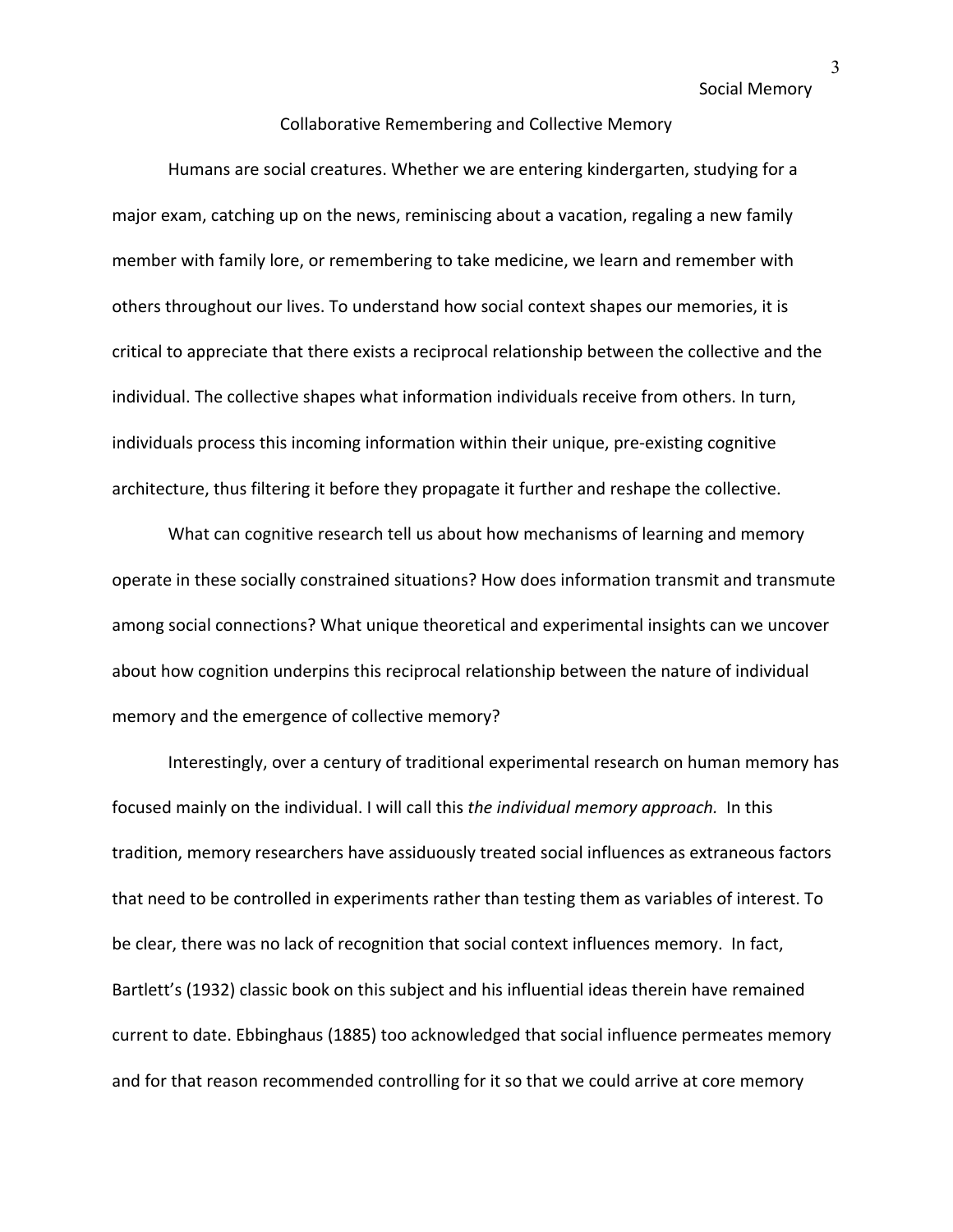### Collaborative Remembering and Collective Memory

Humans are social creatures. Whether we are entering kindergarten, studying for a major exam, catching up on the news, reminiscing about a vacation, regaling a new family member with family lore, or remembering to take medicine, we learn and remember with others throughout our lives. To understand how social context shapes our memories, it is critical to appreciate that there exists a reciprocal relationship between the collective and the individual. The collective shapes what information individuals receive from others. In turn, individuals process this incoming information within their unique, pre-existing cognitive architecture, thus filtering it before they propagate it further and reshape the collective.

What can cognitive research tell us about how mechanisms of learning and memory operate in these socially constrained situations? How does information transmit and transmute among social connections? What unique theoretical and experimental insights can we uncover about how cognition underpins this reciprocal relationship between the nature of individual memory and the emergence of collective memory?

Interestingly, over a century of traditional experimental research on human memory has focused mainly on the individual. I will call this *the individual memory approach.* In this tradition, memory researchers have assiduously treated social influences as extraneous factors that need to be controlled in experiments rather than testing them as variables of interest. To be clear, there was no lack of recognition that social context influences memory. In fact, Bartlett's (1932) classic book on this subject and his influential ideas therein have remained current to date. Ebbinghaus (1885) too acknowledged that social influence permeates memory and for that reason recommended controlling for it so that we could arrive at core memory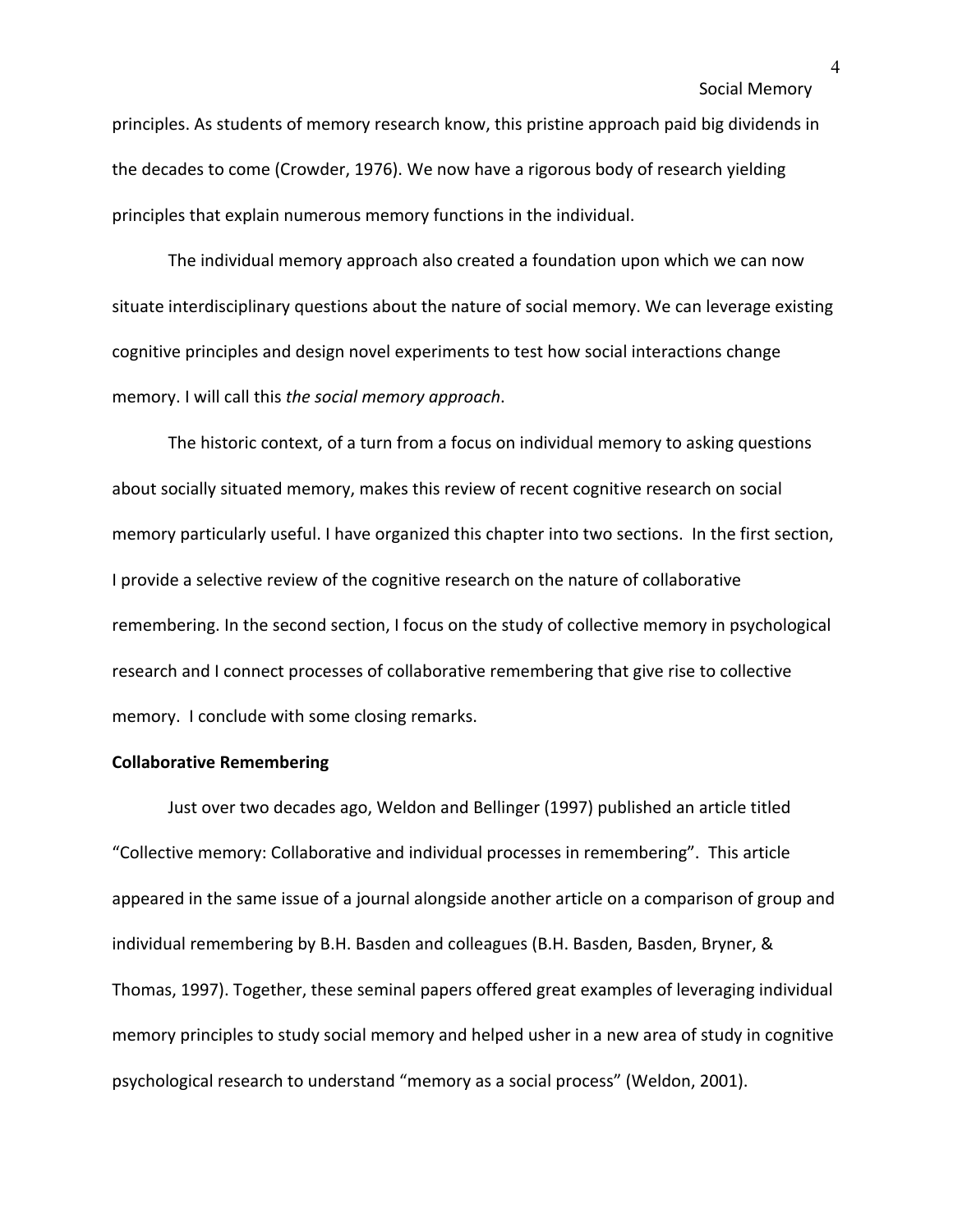principles. As students of memory research know, this pristine approach paid big dividends in the decades to come (Crowder, 1976). We now have a rigorous body of research yielding principles that explain numerous memory functions in the individual.

The individual memory approach also created a foundation upon which we can now situate interdisciplinary questions about the nature of social memory. We can leverage existing cognitive principles and design novel experiments to test how social interactions change memory. I will call this *the social memory approach*.

The historic context, of a turn from a focus on individual memory to asking questions about socially situated memory, makes this review of recent cognitive research on social memory particularly useful. I have organized this chapter into two sections. In the first section, I provide a selective review of the cognitive research on the nature of collaborative remembering. In the second section, I focus on the study of collective memory in psychological research and I connect processes of collaborative remembering that give rise to collective memory. I conclude with some closing remarks.

## **Collaborative Remembering**

Just over two decades ago, Weldon and Bellinger (1997) published an article titled "Collective memory: Collaborative and individual processes in remembering". This article appeared in the same issue of a journal alongside another article on a comparison of group and individual remembering by B.H. Basden and colleagues (B.H. Basden, Basden, Bryner, & Thomas, 1997). Together, these seminal papers offered great examples of leveraging individual memory principles to study social memory and helped usher in a new area of study in cognitive psychological research to understand "memory as a social process" (Weldon, 2001).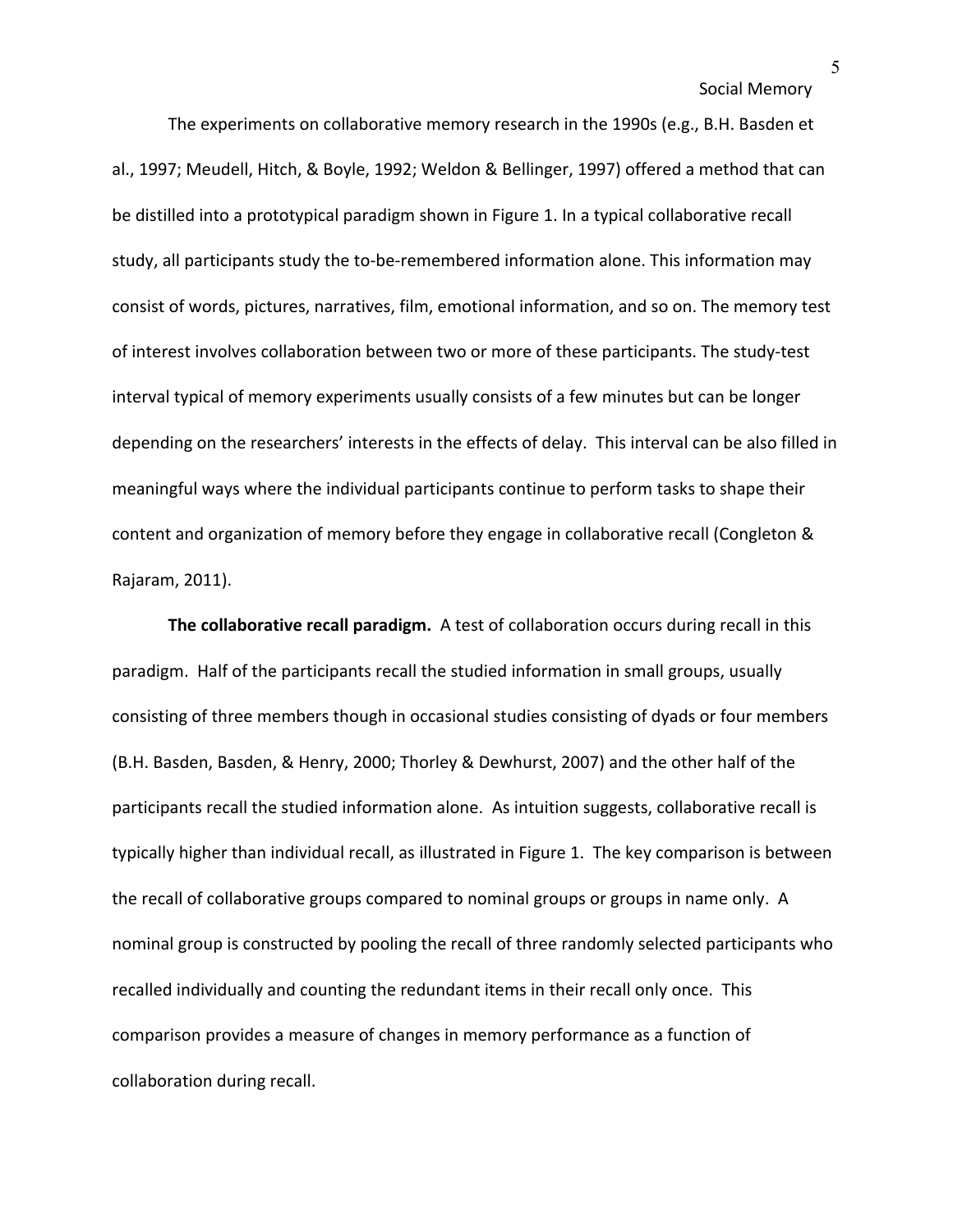The experiments on collaborative memory research in the 1990s (e.g., B.H. Basden et al., 1997; Meudell, Hitch, & Boyle, 1992; Weldon & Bellinger, 1997) offered a method that can be distilled into a prototypical paradigm shown in Figure 1. In a typical collaborative recall study, all participants study the to-be-remembered information alone. This information may consist of words, pictures, narratives, film, emotional information, and so on. The memory test of interest involves collaboration between two or more of these participants. The study-test interval typical of memory experiments usually consists of a few minutes but can be longer depending on the researchers' interests in the effects of delay. This interval can be also filled in meaningful ways where the individual participants continue to perform tasks to shape their content and organization of memory before they engage in collaborative recall (Congleton & Rajaram, 2011).

**The collaborative recall paradigm.** A test of collaboration occurs during recall in this paradigm. Half of the participants recall the studied information in small groups, usually consisting of three members though in occasional studies consisting of dyads or four members (B.H. Basden, Basden, & Henry, 2000; Thorley & Dewhurst, 2007) and the other half of the participants recall the studied information alone. As intuition suggests, collaborative recall is typically higher than individual recall, as illustrated in Figure 1. The key comparison is between the recall of collaborative groups compared to nominal groups or groups in name only. A nominal group is constructed by pooling the recall of three randomly selected participants who recalled individually and counting the redundant items in their recall only once. This comparison provides a measure of changes in memory performance as a function of collaboration during recall.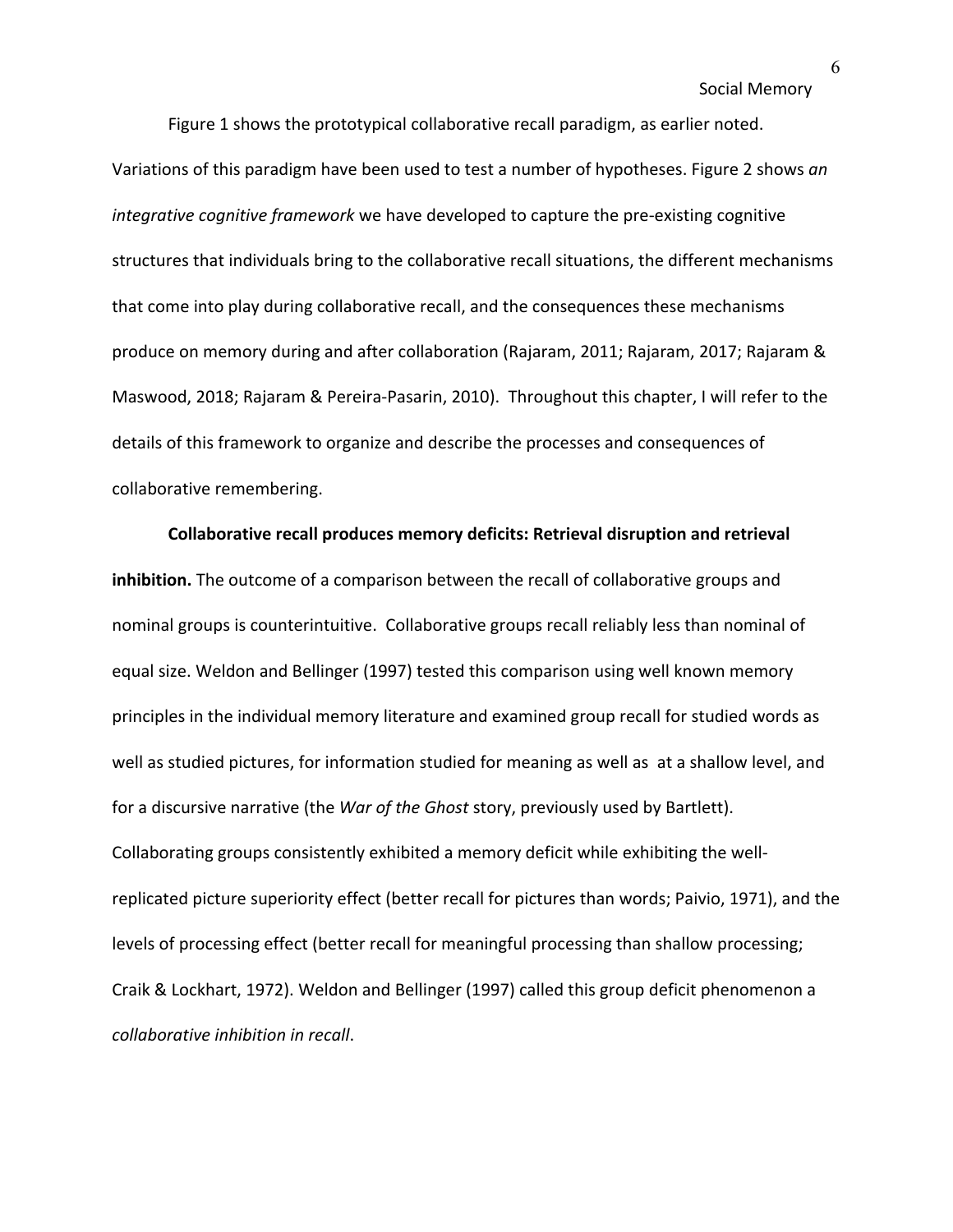Figure 1 shows the prototypical collaborative recall paradigm, as earlier noted.

Variations of this paradigm have been used to test a number of hypotheses. Figure 2 shows *an integrative cognitive framework* we have developed to capture the pre-existing cognitive structures that individuals bring to the collaborative recall situations, the different mechanisms that come into play during collaborative recall, and the consequences these mechanisms produce on memory during and after collaboration (Rajaram, 2011; Rajaram, 2017; Rajaram & Maswood, 2018; Rajaram & Pereira-Pasarin, 2010). Throughout this chapter, I will refer to the details of this framework to organize and describe the processes and consequences of collaborative remembering.

**Collaborative recall produces memory deficits: Retrieval disruption and retrieval inhibition.** The outcome of a comparison between the recall of collaborative groups and nominal groups is counterintuitive. Collaborative groups recall reliably less than nominal of equal size. Weldon and Bellinger (1997) tested this comparison using well known memory principles in the individual memory literature and examined group recall for studied words as well as studied pictures, for information studied for meaning as well as at a shallow level, and for a discursive narrative (the *War of the Ghost* story, previously used by Bartlett). Collaborating groups consistently exhibited a memory deficit while exhibiting the wellreplicated picture superiority effect (better recall for pictures than words; Paivio, 1971), and the levels of processing effect (better recall for meaningful processing than shallow processing; Craik & Lockhart, 1972). Weldon and Bellinger (1997) called this group deficit phenomenon a *collaborative inhibition in recall*.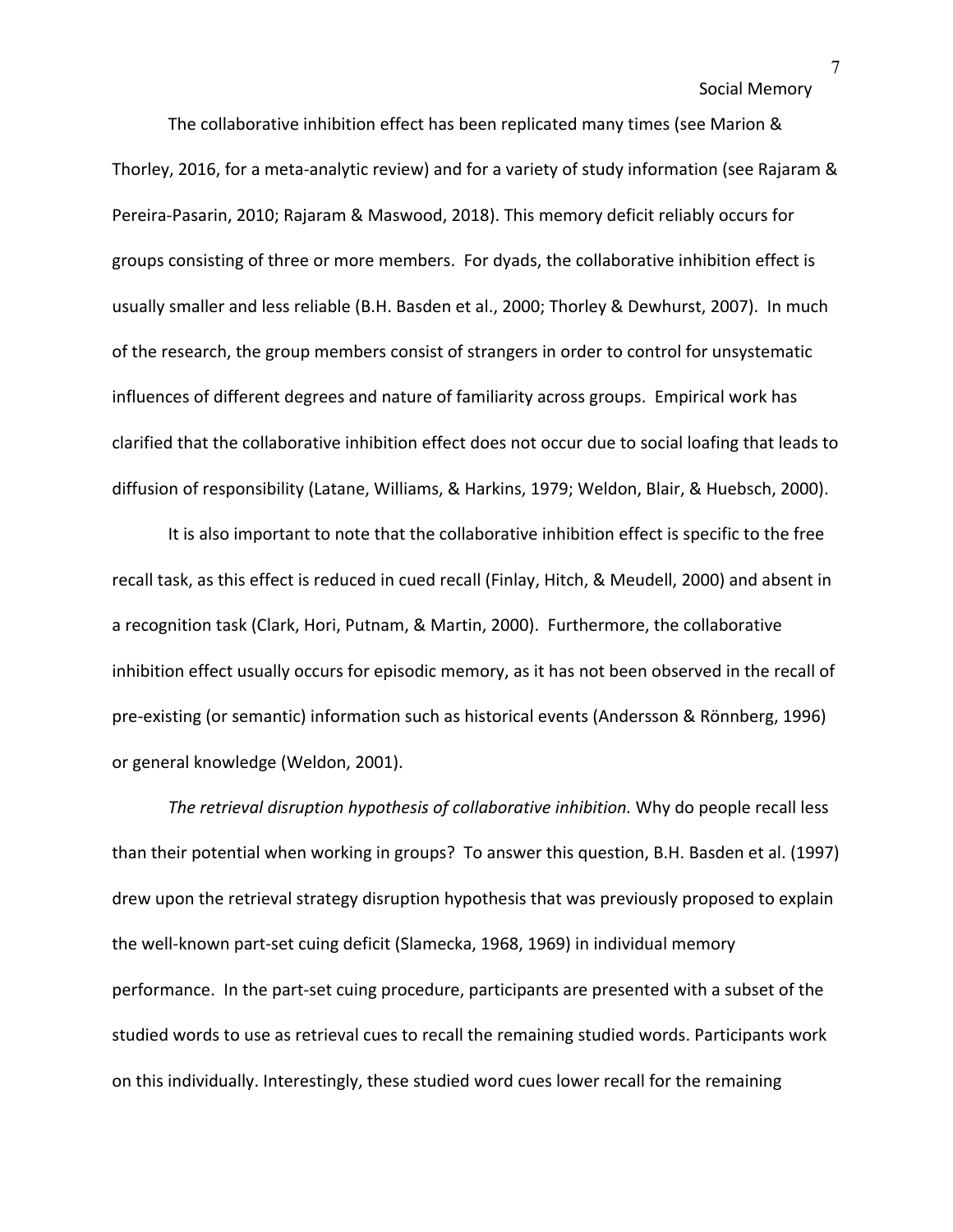The collaborative inhibition effect has been replicated many times (see Marion & Thorley, 2016, for a meta-analytic review) and for a variety of study information (see Rajaram & Pereira-Pasarin, 2010; Rajaram & Maswood, 2018). This memory deficit reliably occurs for groups consisting of three or more members. For dyads, the collaborative inhibition effect is usually smaller and less reliable (B.H. Basden et al., 2000; Thorley & Dewhurst, 2007). In much of the research, the group members consist of strangers in order to control for unsystematic influences of different degrees and nature of familiarity across groups. Empirical work has clarified that the collaborative inhibition effect does not occur due to social loafing that leads to diffusion of responsibility (Latane, Williams, & Harkins, 1979; Weldon, Blair, & Huebsch, 2000).

It is also important to note that the collaborative inhibition effect is specific to the free recall task, as this effect is reduced in cued recall (Finlay, Hitch, & Meudell, 2000) and absent in a recognition task (Clark, Hori, Putnam, & Martin, 2000). Furthermore, the collaborative inhibition effect usually occurs for episodic memory, as it has not been observed in the recall of pre-existing (or semantic) information such as historical events (Andersson & Rönnberg, 1996) or general knowledge (Weldon, 2001).

*The retrieval disruption hypothesis of collaborative inhibition.* Why do people recall less than their potential when working in groups? To answer this question, B.H. Basden et al. (1997) drew upon the retrieval strategy disruption hypothesis that was previously proposed to explain the well-known part-set cuing deficit (Slamecka, 1968, 1969) in individual memory performance. In the part-set cuing procedure, participants are presented with a subset of the studied words to use as retrieval cues to recall the remaining studied words. Participants work on this individually. Interestingly, these studied word cues lower recall for the remaining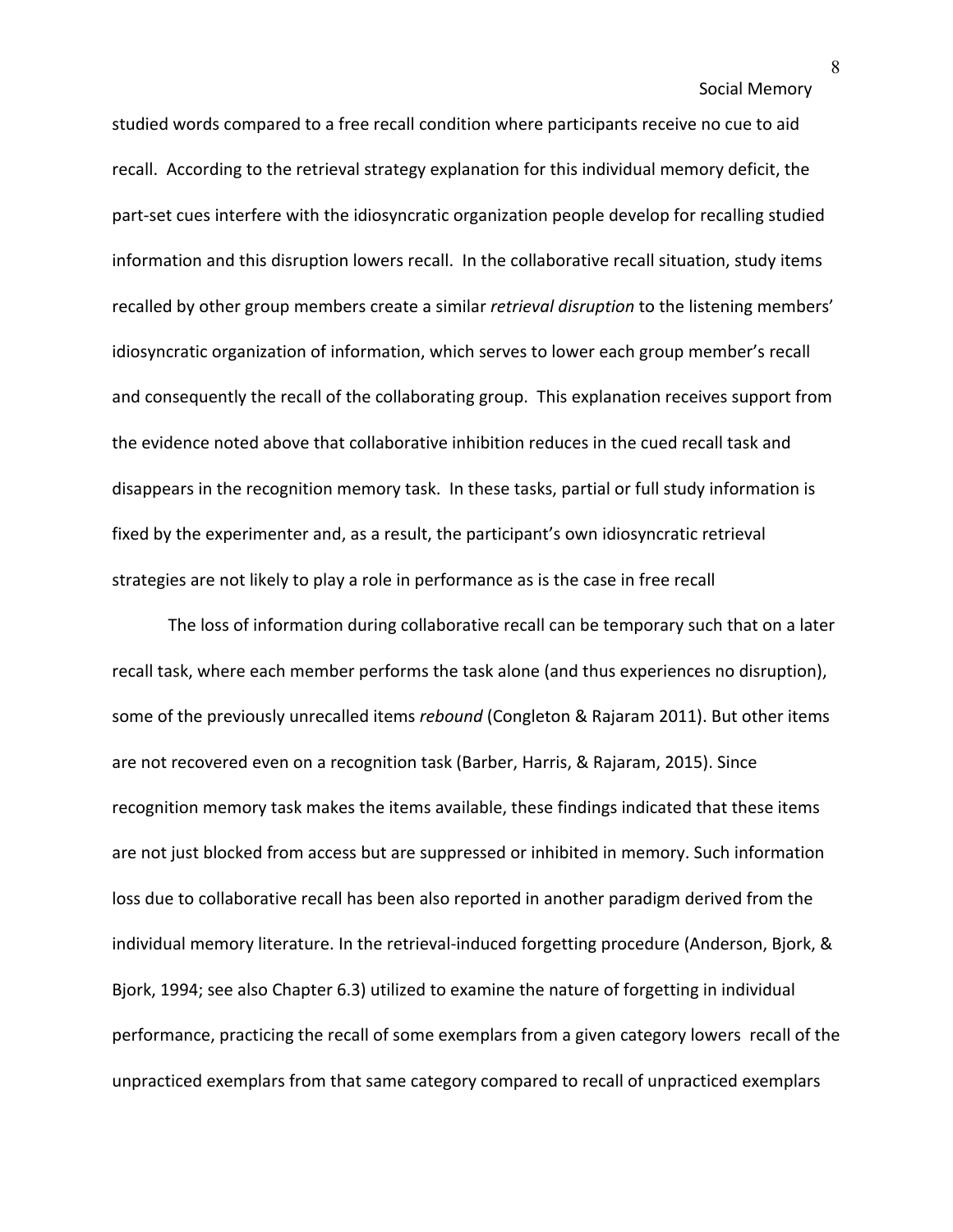studied words compared to a free recall condition where participants receive no cue to aid recall. According to the retrieval strategy explanation for this individual memory deficit, the part-set cues interfere with the idiosyncratic organization people develop for recalling studied information and this disruption lowers recall. In the collaborative recall situation, study items recalled by other group members create a similar *retrieval disruption* to the listening members' idiosyncratic organization of information, which serves to lower each group member's recall and consequently the recall of the collaborating group. This explanation receives support from the evidence noted above that collaborative inhibition reduces in the cued recall task and disappears in the recognition memory task. In these tasks, partial or full study information is fixed by the experimenter and, as a result, the participant's own idiosyncratic retrieval strategies are not likely to play a role in performance as is the case in free recall

The loss of information during collaborative recall can be temporary such that on a later recall task, where each member performs the task alone (and thus experiences no disruption), some of the previously unrecalled items *rebound* (Congleton & Rajaram 2011). But other items are not recovered even on a recognition task (Barber, Harris, & Rajaram, 2015). Since recognition memory task makes the items available, these findings indicated that these items are not just blocked from access but are suppressed or inhibited in memory. Such information loss due to collaborative recall has been also reported in another paradigm derived from the individual memory literature. In the retrieval-induced forgetting procedure (Anderson, Bjork, & Bjork, 1994; see also Chapter 6.3) utilized to examine the nature of forgetting in individual performance, practicing the recall of some exemplars from a given category lowers recall of the unpracticed exemplars from that same category compared to recall of unpracticed exemplars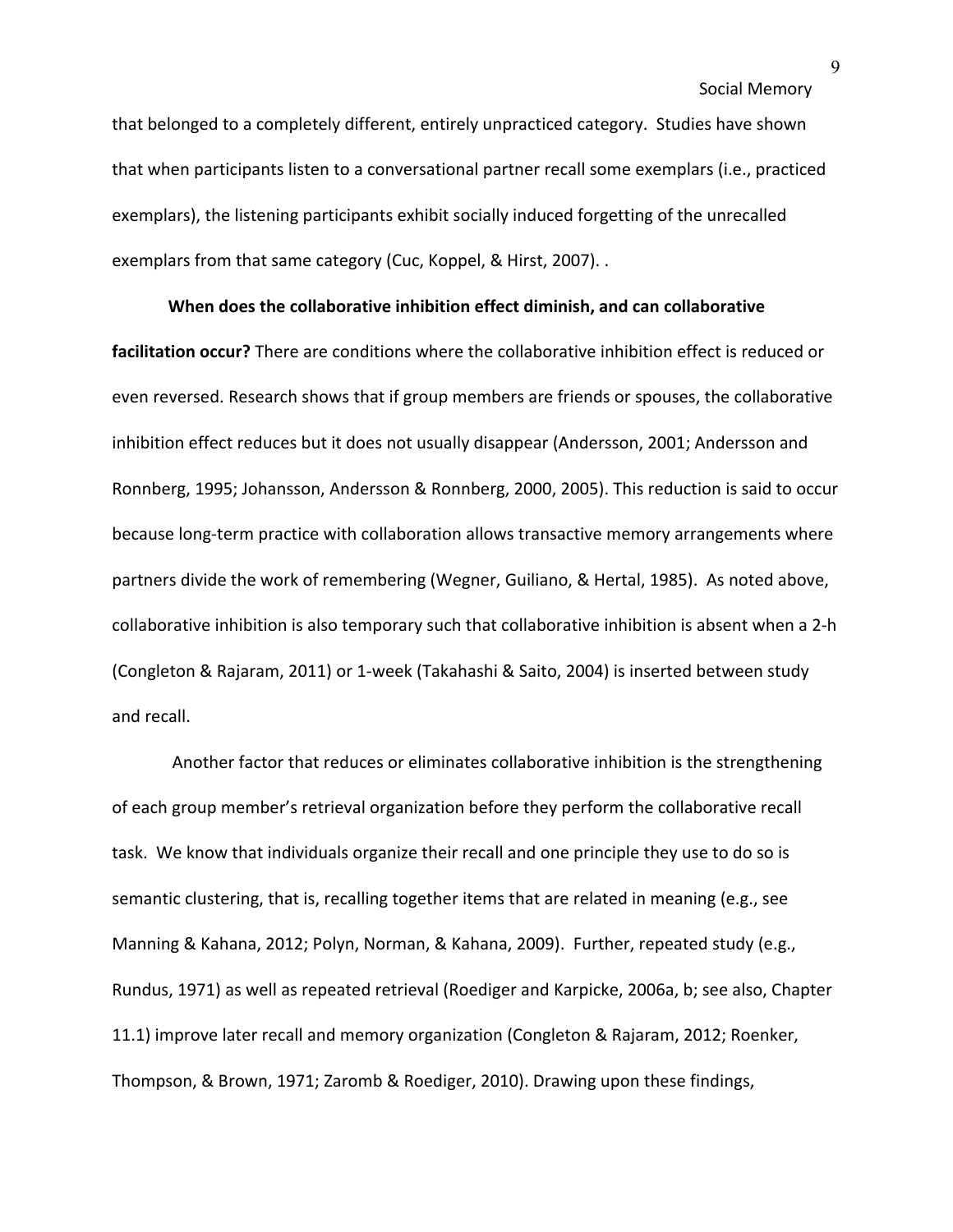that belonged to a completely different, entirely unpracticed category. Studies have shown that when participants listen to a conversational partner recall some exemplars (i.e., practiced exemplars), the listening participants exhibit socially induced forgetting of the unrecalled exemplars from that same category (Cuc, Koppel, & Hirst, 2007). .

### **When does the collaborative inhibition effect diminish, and can collaborative**

**facilitation occur?** There are conditions where the collaborative inhibition effect is reduced or even reversed. Research shows that if group members are friends or spouses, the collaborative inhibition effect reduces but it does not usually disappear (Andersson, 2001; Andersson and Ronnberg, 1995; Johansson, Andersson & Ronnberg, 2000, 2005). This reduction is said to occur because long-term practice with collaboration allows transactive memory arrangements where partners divide the work of remembering (Wegner, Guiliano, & Hertal, 1985). As noted above, collaborative inhibition is also temporary such that collaborative inhibition is absent when a 2-h (Congleton & Rajaram, 2011) or 1-week (Takahashi & Saito, 2004) is inserted between study and recall.

Another factor that reduces or eliminates collaborative inhibition is the strengthening of each group member's retrieval organization before they perform the collaborative recall task. We know that individuals organize their recall and one principle they use to do so is semantic clustering, that is, recalling together items that are related in meaning (e.g., see Manning & Kahana, 2012; Polyn, Norman, & Kahana, 2009). Further, repeated study (e.g., Rundus, 1971) as well as repeated retrieval (Roediger and Karpicke, 2006a, b; see also, Chapter 11.1) improve later recall and memory organization (Congleton & Rajaram, 2012; Roenker, Thompson, & Brown, 1971; Zaromb & Roediger, 2010). Drawing upon these findings,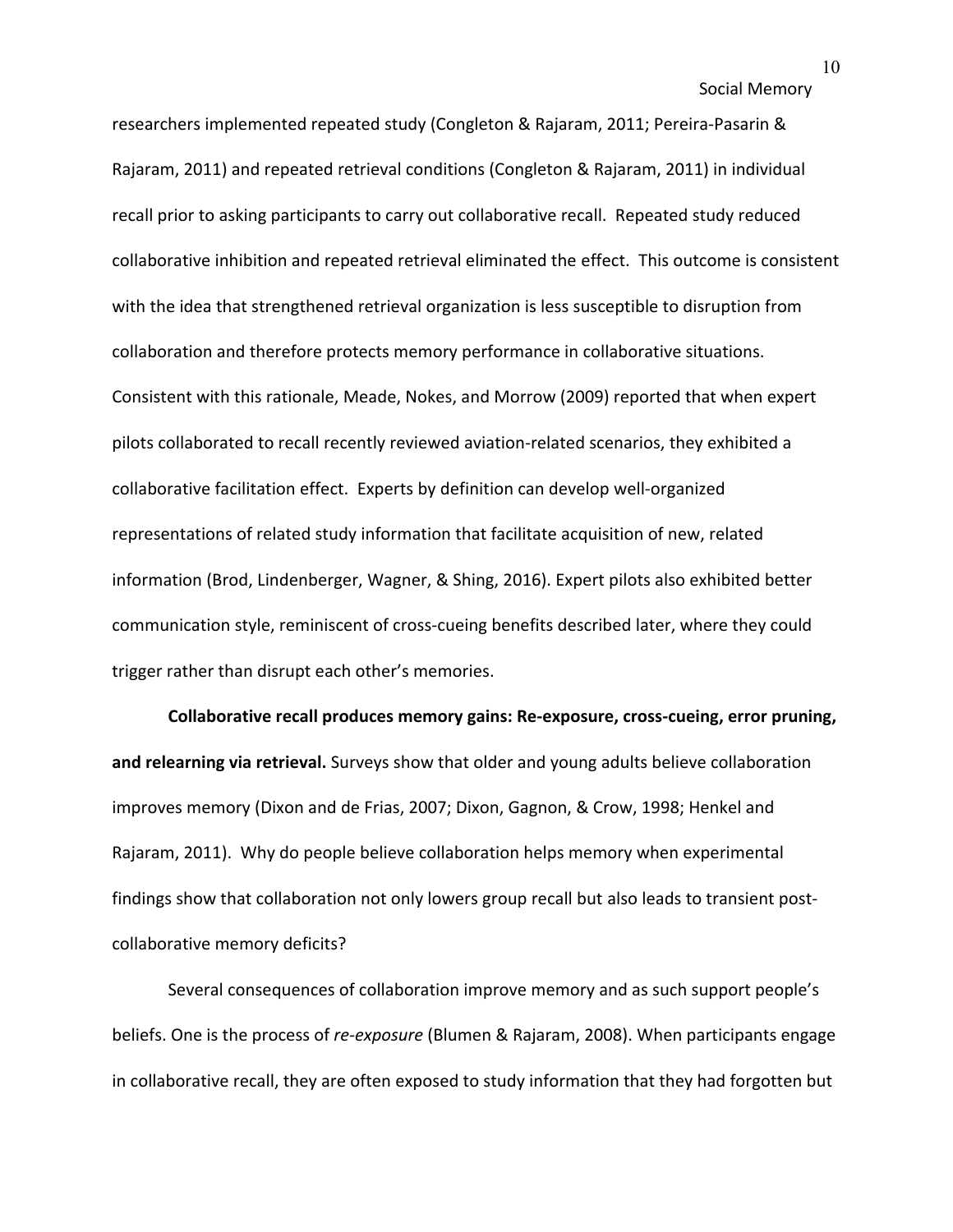researchers implemented repeated study (Congleton & Rajaram, 2011; Pereira-Pasarin & Rajaram, 2011) and repeated retrieval conditions (Congleton & Rajaram, 2011) in individual recall prior to asking participants to carry out collaborative recall. Repeated study reduced collaborative inhibition and repeated retrieval eliminated the effect. This outcome is consistent with the idea that strengthened retrieval organization is less susceptible to disruption from collaboration and therefore protects memory performance in collaborative situations. Consistent with this rationale, Meade, Nokes, and Morrow (2009) reported that when expert pilots collaborated to recall recently reviewed aviation-related scenarios, they exhibited a collaborative facilitation effect. Experts by definition can develop well-organized representations of related study information that facilitate acquisition of new, related information (Brod, Lindenberger, Wagner, & Shing, 2016). Expert pilots also exhibited better communication style, reminiscent of cross-cueing benefits described later, where they could trigger rather than disrupt each other's memories.

**Collaborative recall produces memory gains: Re-exposure, cross-cueing, error pruning, and relearning via retrieval.** Surveys show that older and young adults believe collaboration improves memory (Dixon and de Frias, 2007; Dixon, Gagnon, & Crow, 1998; Henkel and Rajaram, 2011). Why do people believe collaboration helps memory when experimental findings show that collaboration not only lowers group recall but also leads to transient postcollaborative memory deficits?

Several consequences of collaboration improve memory and as such support people's beliefs. One is the process of *re-exposure* (Blumen & Rajaram, 2008). When participants engage in collaborative recall, they are often exposed to study information that they had forgotten but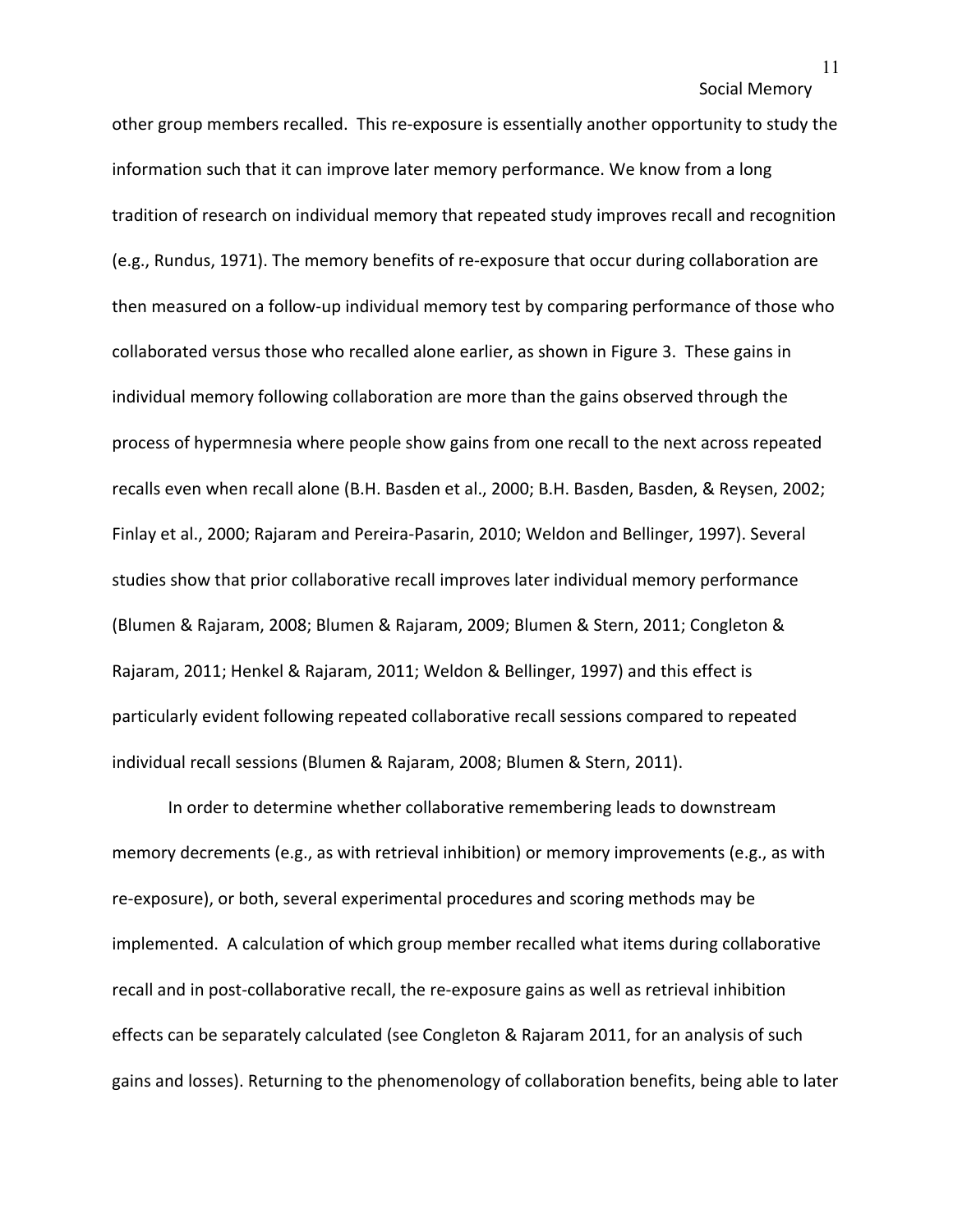other group members recalled. This re-exposure is essentially another opportunity to study the information such that it can improve later memory performance. We know from a long tradition of research on individual memory that repeated study improves recall and recognition (e.g., Rundus, 1971). The memory benefits of re-exposure that occur during collaboration are then measured on a follow-up individual memory test by comparing performance of those who collaborated versus those who recalled alone earlier, as shown in Figure 3. These gains in individual memory following collaboration are more than the gains observed through the process of hypermnesia where people show gains from one recall to the next across repeated recalls even when recall alone (B.H. Basden et al., 2000; B.H. Basden, Basden, & Reysen, 2002; Finlay et al., 2000; Rajaram and Pereira-Pasarin, 2010; Weldon and Bellinger, 1997). Several studies show that prior collaborative recall improves later individual memory performance (Blumen & Rajaram, 2008; Blumen & Rajaram, 2009; Blumen & Stern, 2011; Congleton & Rajaram, 2011; Henkel & Rajaram, 2011; Weldon & Bellinger, 1997) and this effect is particularly evident following repeated collaborative recall sessions compared to repeated individual recall sessions (Blumen & Rajaram, 2008; Blumen & Stern, 2011).

In order to determine whether collaborative remembering leads to downstream memory decrements (e.g., as with retrieval inhibition) or memory improvements (e.g., as with re-exposure), or both, several experimental procedures and scoring methods may be implemented. A calculation of which group member recalled what items during collaborative recall and in post-collaborative recall, the re-exposure gains as well as retrieval inhibition effects can be separately calculated (see Congleton & Rajaram 2011, for an analysis of such gains and losses). Returning to the phenomenology of collaboration benefits, being able to later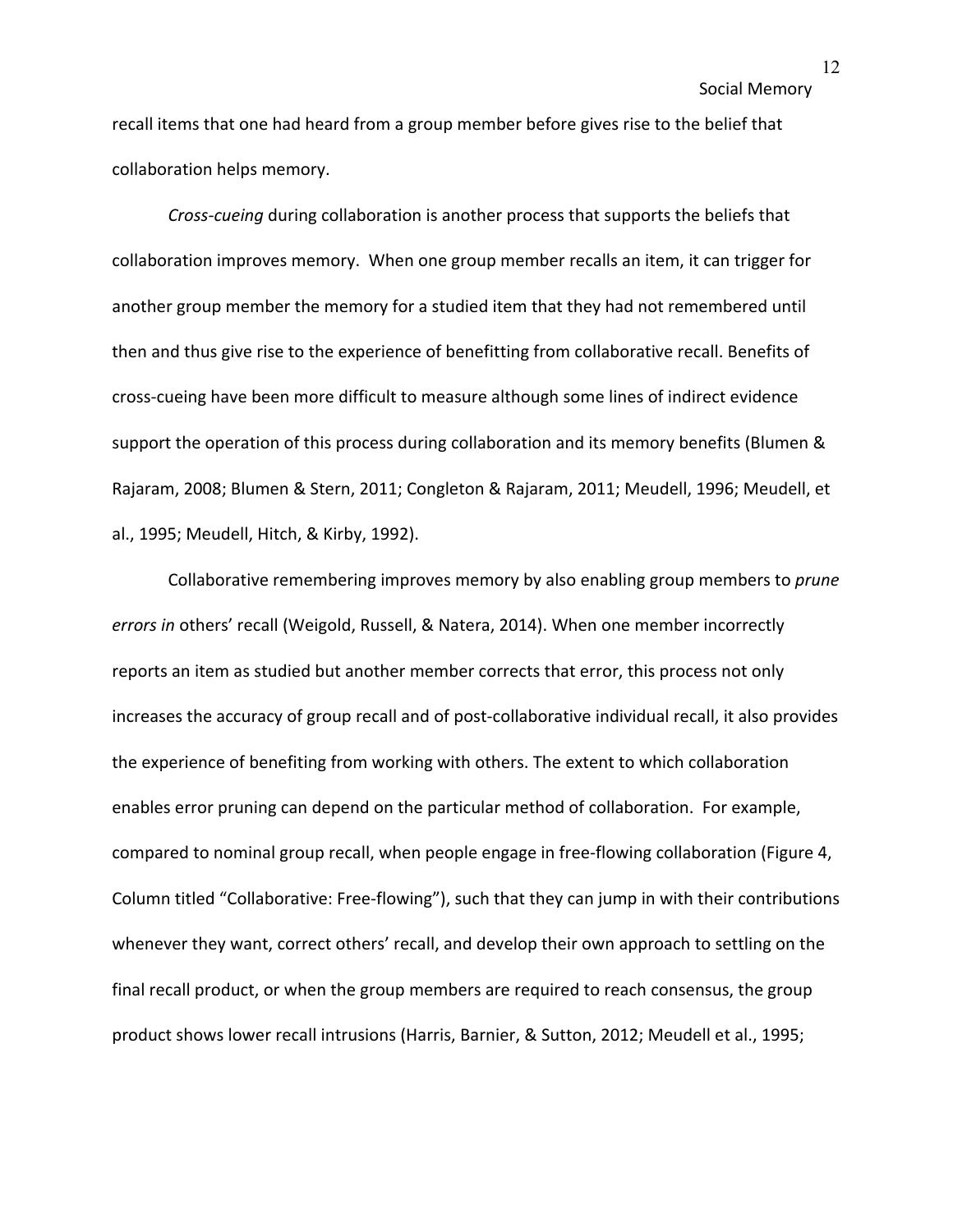recall items that one had heard from a group member before gives rise to the belief that collaboration helps memory.

*Cross-cueing* during collaboration is another process that supports the beliefs that collaboration improves memory. When one group member recalls an item, it can trigger for another group member the memory for a studied item that they had not remembered until then and thus give rise to the experience of benefitting from collaborative recall. Benefits of cross-cueing have been more difficult to measure although some lines of indirect evidence support the operation of this process during collaboration and its memory benefits (Blumen & Rajaram, 2008; Blumen & Stern, 2011; Congleton & Rajaram, 2011; Meudell, 1996; Meudell, et al., 1995; Meudell, Hitch, & Kirby, 1992).

Collaborative remembering improves memory by also enabling group members to *prune errors in* others' recall (Weigold, Russell, & Natera, 2014). When one member incorrectly reports an item as studied but another member corrects that error, this process not only increases the accuracy of group recall and of post-collaborative individual recall, it also provides the experience of benefiting from working with others. The extent to which collaboration enables error pruning can depend on the particular method of collaboration. For example, compared to nominal group recall, when people engage in free-flowing collaboration (Figure 4, Column titled "Collaborative: Free-flowing"), such that they can jump in with their contributions whenever they want, correct others' recall, and develop their own approach to settling on the final recall product, or when the group members are required to reach consensus, the group product shows lower recall intrusions (Harris, Barnier, & Sutton, 2012; Meudell et al., 1995;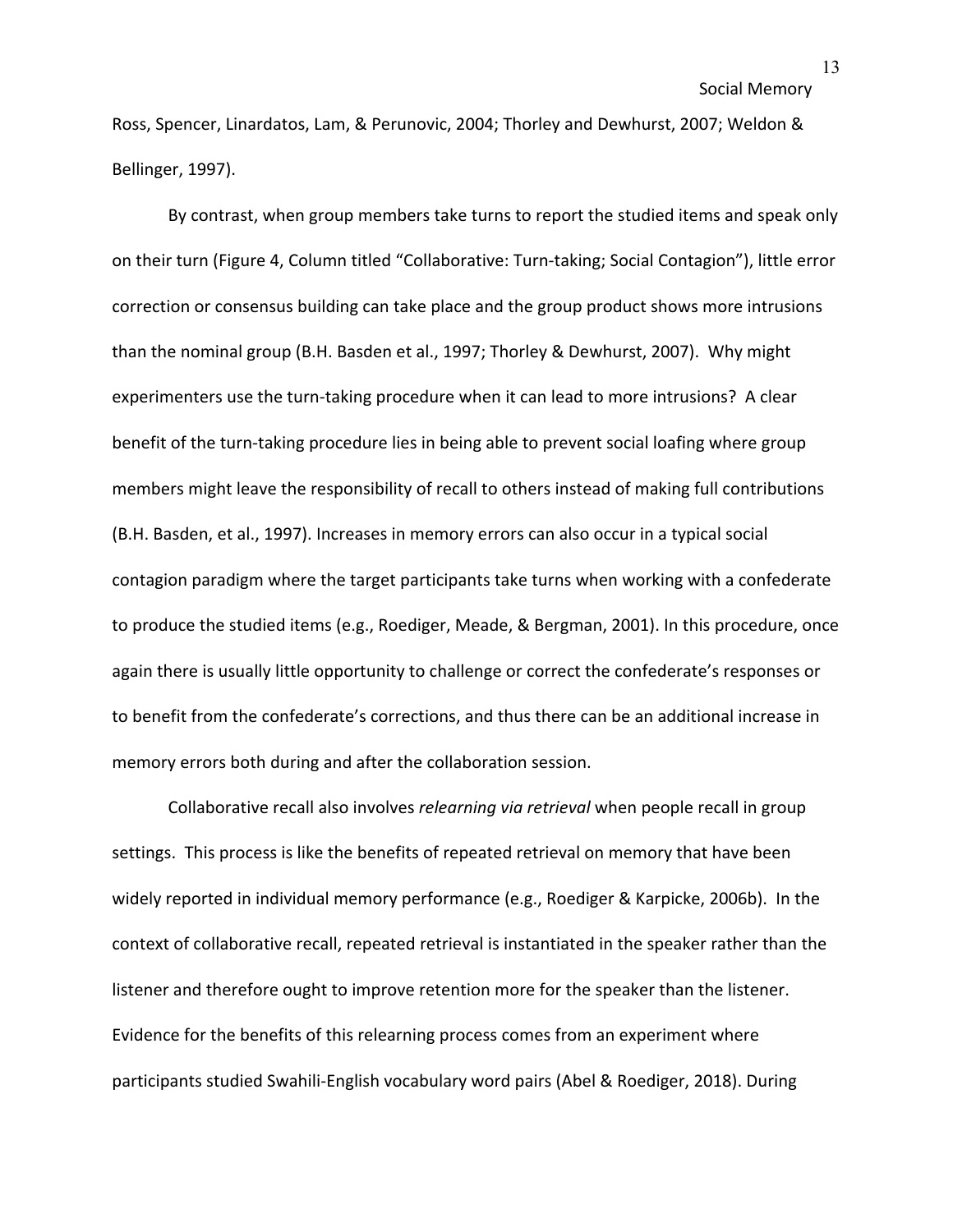Ross, Spencer, Linardatos, Lam, & Perunovic, 2004; Thorley and Dewhurst, 2007; Weldon & Bellinger, 1997).

By contrast, when group members take turns to report the studied items and speak only on their turn (Figure 4, Column titled "Collaborative: Turn-taking; Social Contagion"), little error correction or consensus building can take place and the group product shows more intrusions than the nominal group (B.H. Basden et al., 1997; Thorley & Dewhurst, 2007). Why might experimenters use the turn-taking procedure when it can lead to more intrusions? A clear benefit of the turn-taking procedure lies in being able to prevent social loafing where group members might leave the responsibility of recall to others instead of making full contributions (B.H. Basden, et al., 1997). Increases in memory errors can also occur in a typical social contagion paradigm where the target participants take turns when working with a confederate to produce the studied items (e.g., Roediger, Meade, & Bergman, 2001). In this procedure, once again there is usually little opportunity to challenge or correct the confederate's responses or to benefit from the confederate's corrections, and thus there can be an additional increase in memory errors both during and after the collaboration session.

Collaborative recall also involves *relearning via retrieval* when people recall in group settings. This process is like the benefits of repeated retrieval on memory that have been widely reported in individual memory performance (e.g., Roediger & Karpicke, 2006b). In the context of collaborative recall, repeated retrieval is instantiated in the speaker rather than the listener and therefore ought to improve retention more for the speaker than the listener. Evidence for the benefits of this relearning process comes from an experiment where participants studied Swahili-English vocabulary word pairs (Abel & Roediger, 2018). During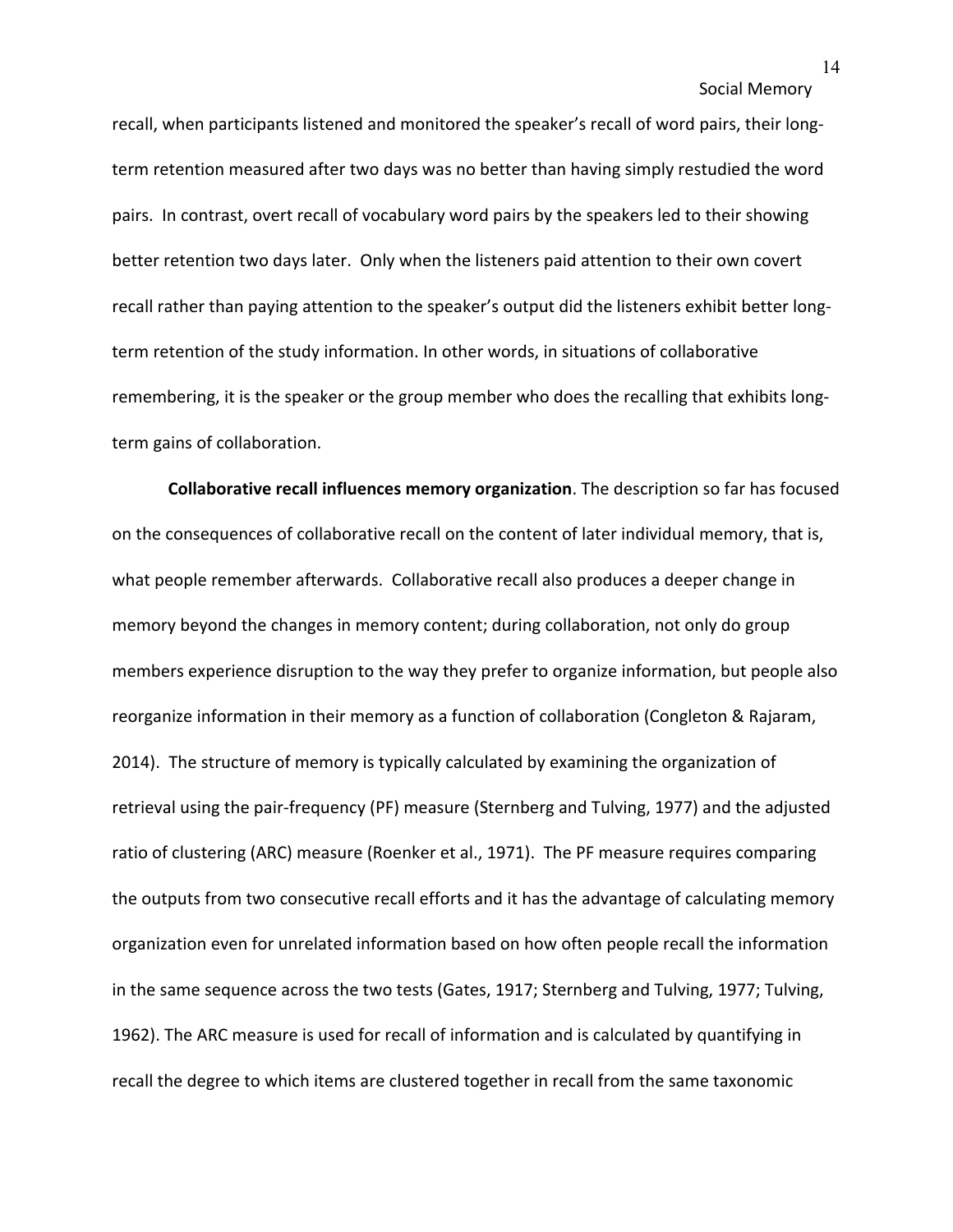recall, when participants listened and monitored the speaker's recall of word pairs, their longterm retention measured after two days was no better than having simply restudied the word pairs. In contrast, overt recall of vocabulary word pairs by the speakers led to their showing better retention two days later. Only when the listeners paid attention to their own covert recall rather than paying attention to the speaker's output did the listeners exhibit better longterm retention of the study information. In other words, in situations of collaborative remembering, it is the speaker or the group member who does the recalling that exhibits longterm gains of collaboration.

**Collaborative recall influences memory organization**. The description so far has focused on the consequences of collaborative recall on the content of later individual memory, that is, what people remember afterwards. Collaborative recall also produces a deeper change in memory beyond the changes in memory content; during collaboration, not only do group members experience disruption to the way they prefer to organize information, but people also reorganize information in their memory as a function of collaboration (Congleton & Rajaram, 2014). The structure of memory is typically calculated by examining the organization of retrieval using the pair-frequency (PF) measure (Sternberg and Tulving, 1977) and the adjusted ratio of clustering (ARC) measure (Roenker et al., 1971). The PF measure requires comparing the outputs from two consecutive recall efforts and it has the advantage of calculating memory organization even for unrelated information based on how often people recall the information in the same sequence across the two tests (Gates, 1917; Sternberg and Tulving, 1977; Tulving, 1962). The ARC measure is used for recall of information and is calculated by quantifying in recall the degree to which items are clustered together in recall from the same taxonomic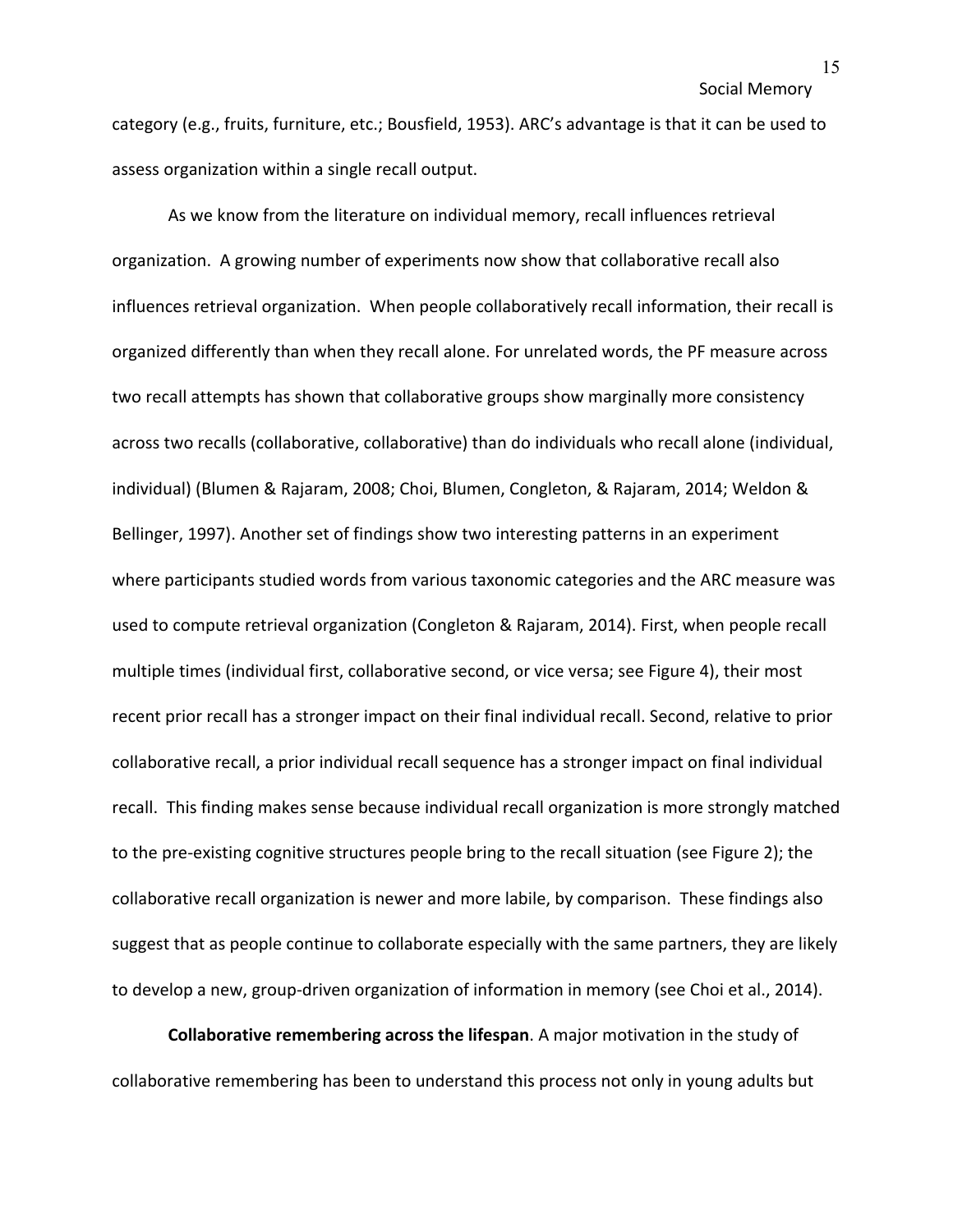category (e.g., fruits, furniture, etc.; Bousfield, 1953). ARC's advantage is that it can be used to assess organization within a single recall output.

As we know from the literature on individual memory, recall influences retrieval organization. A growing number of experiments now show that collaborative recall also influences retrieval organization. When people collaboratively recall information, their recall is organized differently than when they recall alone. For unrelated words, the PF measure across two recall attempts has shown that collaborative groups show marginally more consistency across two recalls (collaborative, collaborative) than do individuals who recall alone (individual, individual) (Blumen & Rajaram, 2008; Choi, Blumen, Congleton, & Rajaram, 2014; Weldon & Bellinger, 1997). Another set of findings show two interesting patterns in an experiment where participants studied words from various taxonomic categories and the ARC measure was used to compute retrieval organization (Congleton & Rajaram, 2014). First, when people recall multiple times (individual first, collaborative second, or vice versa; see Figure 4), their most recent prior recall has a stronger impact on their final individual recall. Second, relative to prior collaborative recall, a prior individual recall sequence has a stronger impact on final individual recall. This finding makes sense because individual recall organization is more strongly matched to the pre-existing cognitive structures people bring to the recall situation (see Figure 2); the collaborative recall organization is newer and more labile, by comparison. These findings also suggest that as people continue to collaborate especially with the same partners, they are likely to develop a new, group-driven organization of information in memory (see Choi et al., 2014).

**Collaborative remembering across the lifespan**. A major motivation in the study of collaborative remembering has been to understand this process not only in young adults but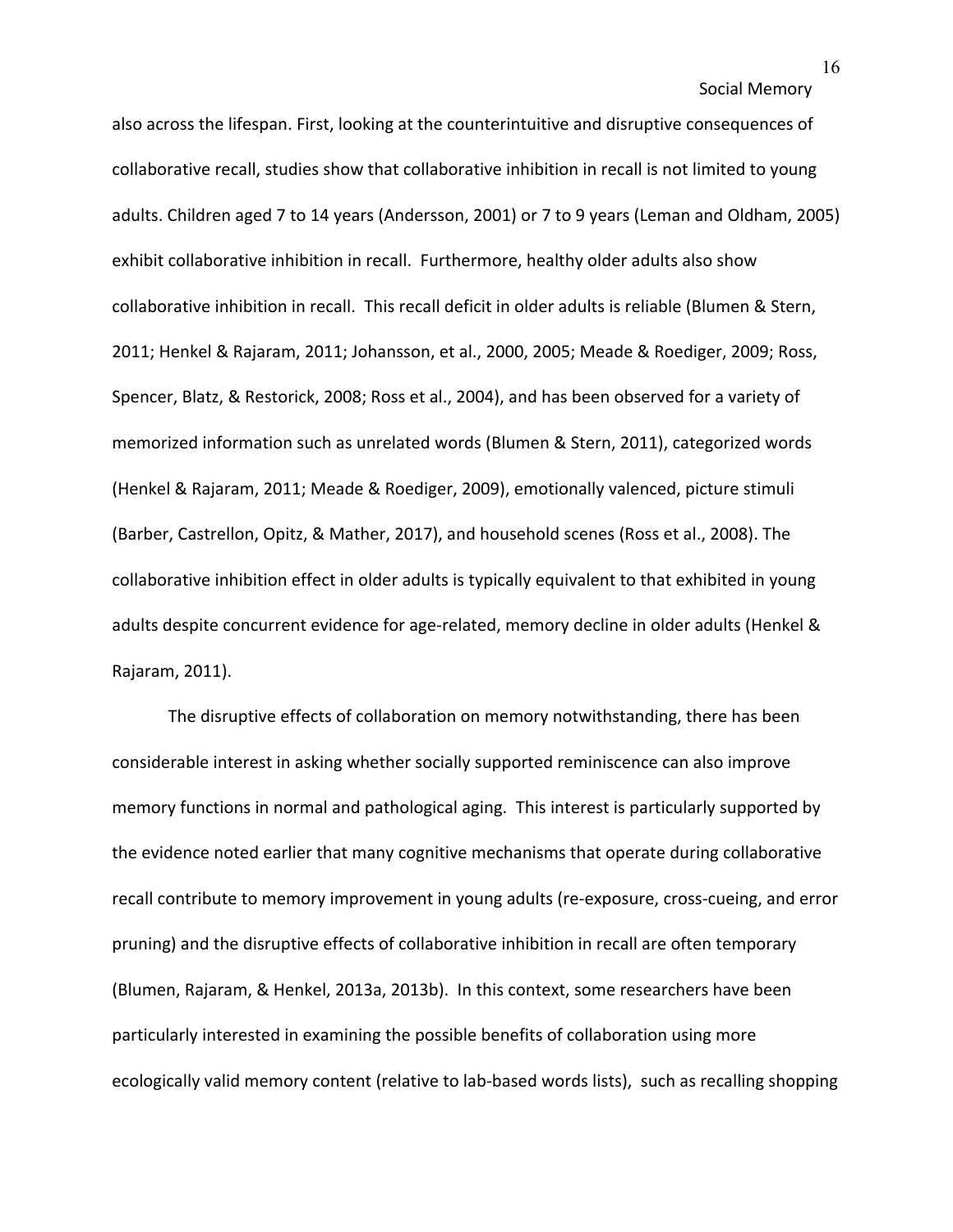also across the lifespan. First, looking at the counterintuitive and disruptive consequences of collaborative recall, studies show that collaborative inhibition in recall is not limited to young adults. Children aged 7 to 14 years (Andersson, 2001) or 7 to 9 years (Leman and Oldham, 2005) exhibit collaborative inhibition in recall. Furthermore, healthy older adults also show collaborative inhibition in recall. This recall deficit in older adults is reliable (Blumen & Stern, 2011; Henkel & Rajaram, 2011; Johansson, et al., 2000, 2005; Meade & Roediger, 2009; Ross, Spencer, Blatz, & Restorick, 2008; Ross et al., 2004), and has been observed for a variety of memorized information such as unrelated words (Blumen & Stern, 2011), categorized words (Henkel & Rajaram, 2011; Meade & Roediger, 2009), emotionally valenced, picture stimuli (Barber, Castrellon, Opitz, & Mather, 2017), and household scenes (Ross et al., 2008). The collaborative inhibition effect in older adults is typically equivalent to that exhibited in young adults despite concurrent evidence for age-related, memory decline in older adults (Henkel & Rajaram, 2011).

The disruptive effects of collaboration on memory notwithstanding, there has been considerable interest in asking whether socially supported reminiscence can also improve memory functions in normal and pathological aging. This interest is particularly supported by the evidence noted earlier that many cognitive mechanisms that operate during collaborative recall contribute to memory improvement in young adults (re-exposure, cross-cueing, and error pruning) and the disruptive effects of collaborative inhibition in recall are often temporary (Blumen, Rajaram, & Henkel, 2013a, 2013b). In this context, some researchers have been particularly interested in examining the possible benefits of collaboration using more ecologically valid memory content (relative to lab-based words lists), such as recalling shopping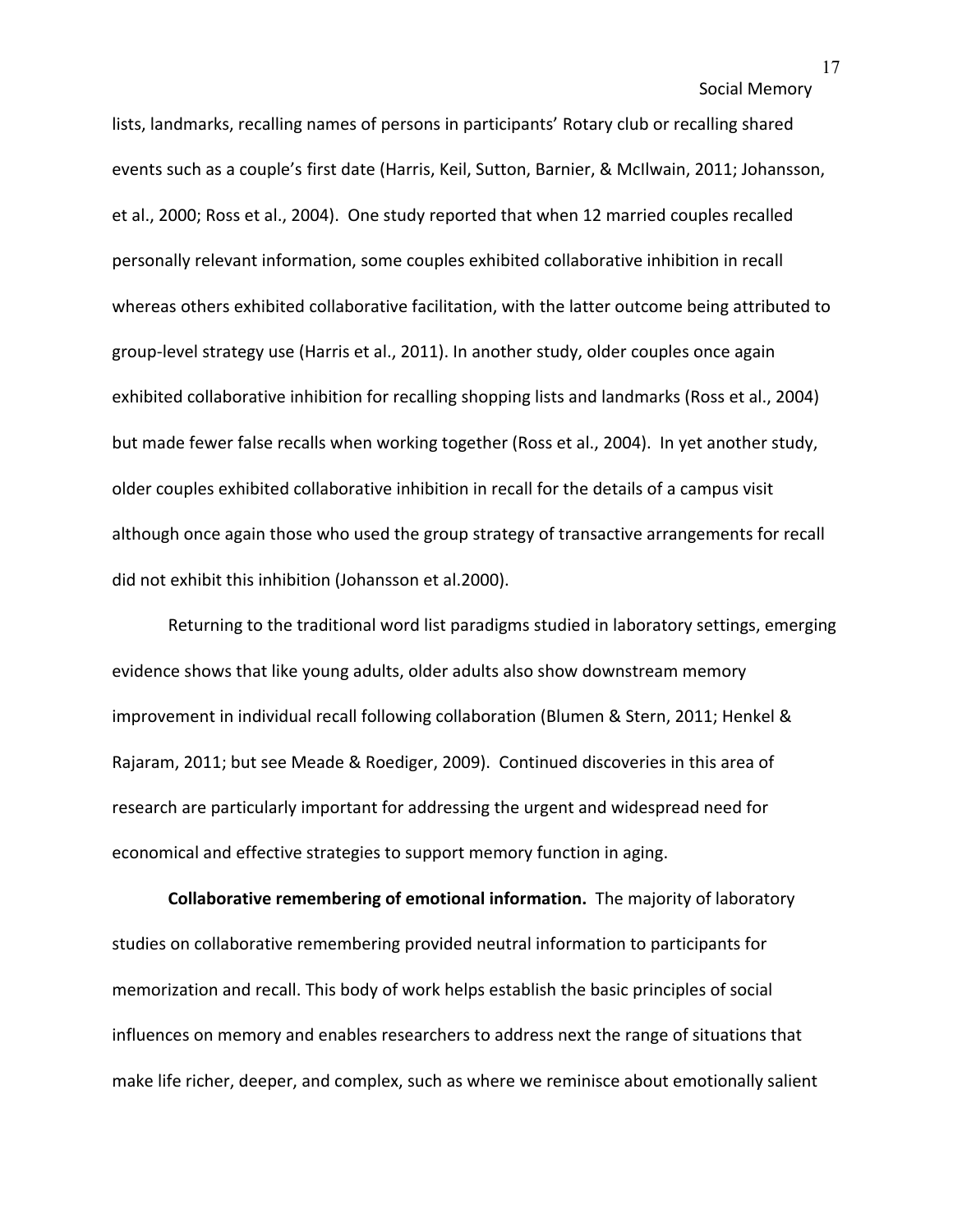lists, landmarks, recalling names of persons in participants' Rotary club or recalling shared events such as a couple's first date (Harris, Keil, Sutton, Barnier, & McIlwain, 2011; Johansson, et al., 2000; Ross et al., 2004). One study reported that when 12 married couples recalled personally relevant information, some couples exhibited collaborative inhibition in recall whereas others exhibited collaborative facilitation, with the latter outcome being attributed to group-level strategy use (Harris et al., 2011). In another study, older couples once again exhibited collaborative inhibition for recalling shopping lists and landmarks (Ross et al., 2004) but made fewer false recalls when working together (Ross et al., 2004). In yet another study, older couples exhibited collaborative inhibition in recall for the details of a campus visit although once again those who used the group strategy of transactive arrangements for recall did not exhibit this inhibition (Johansson et al.2000).

Returning to the traditional word list paradigms studied in laboratory settings, emerging evidence shows that like young adults, older adults also show downstream memory improvement in individual recall following collaboration (Blumen & Stern, 2011; Henkel & Rajaram, 2011; but see Meade & Roediger, 2009). Continued discoveries in this area of research are particularly important for addressing the urgent and widespread need for economical and effective strategies to support memory function in aging.

**Collaborative remembering of emotional information.** The majority of laboratory studies on collaborative remembering provided neutral information to participants for memorization and recall. This body of work helps establish the basic principles of social influences on memory and enables researchers to address next the range of situations that make life richer, deeper, and complex, such as where we reminisce about emotionally salient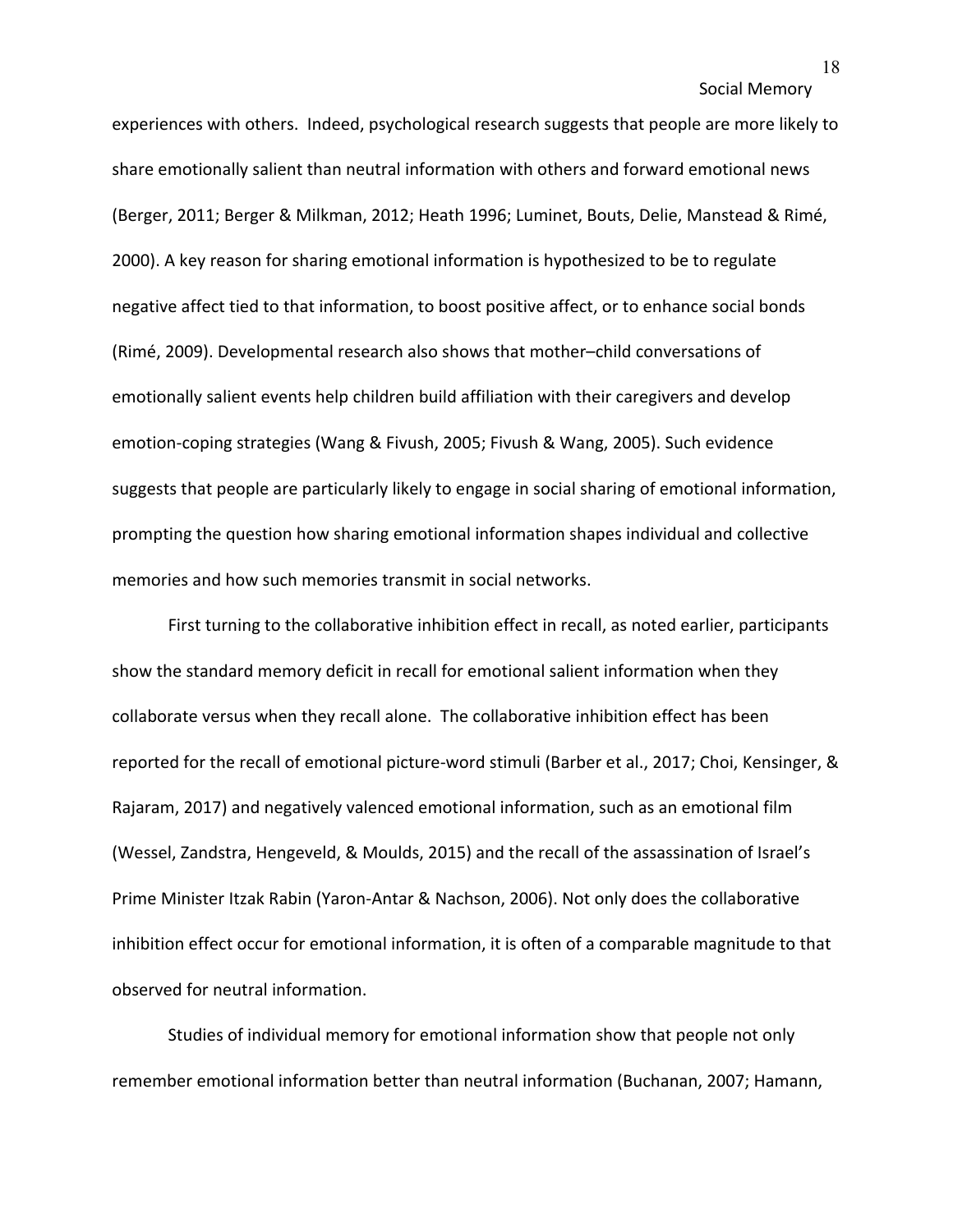experiences with others. Indeed, psychological research suggests that people are more likely to share emotionally salient than neutral information with others and forward emotional news (Berger, 2011; Berger & Milkman, 2012; Heath 1996; Luminet, Bouts, Delie, Manstead & Rimé, 2000). A key reason for sharing emotional information is hypothesized to be to regulate negative affect tied to that information, to boost positive affect, or to enhance social bonds (Rimé, 2009). Developmental research also shows that mother–child conversations of emotionally salient events help children build affiliation with their caregivers and develop emotion-coping strategies (Wang & Fivush, 2005; Fivush & Wang, 2005). Such evidence suggests that people are particularly likely to engage in social sharing of emotional information, prompting the question how sharing emotional information shapes individual and collective memories and how such memories transmit in social networks.

First turning to the collaborative inhibition effect in recall, as noted earlier, participants show the standard memory deficit in recall for emotional salient information when they collaborate versus when they recall alone. The collaborative inhibition effect has been reported for the recall of emotional picture-word stimuli (Barber et al., 2017; Choi, Kensinger, & Rajaram, 2017) and negatively valenced emotional information, such as an emotional film (Wessel, Zandstra, Hengeveld, & Moulds, 2015) and the recall of the assassination of Israel's Prime Minister Itzak Rabin (Yaron-Antar & Nachson, 2006). Not only does the collaborative inhibition effect occur for emotional information, it is often of a comparable magnitude to that observed for neutral information.

Studies of individual memory for emotional information show that people not only remember emotional information better than neutral information (Buchanan, 2007; Hamann,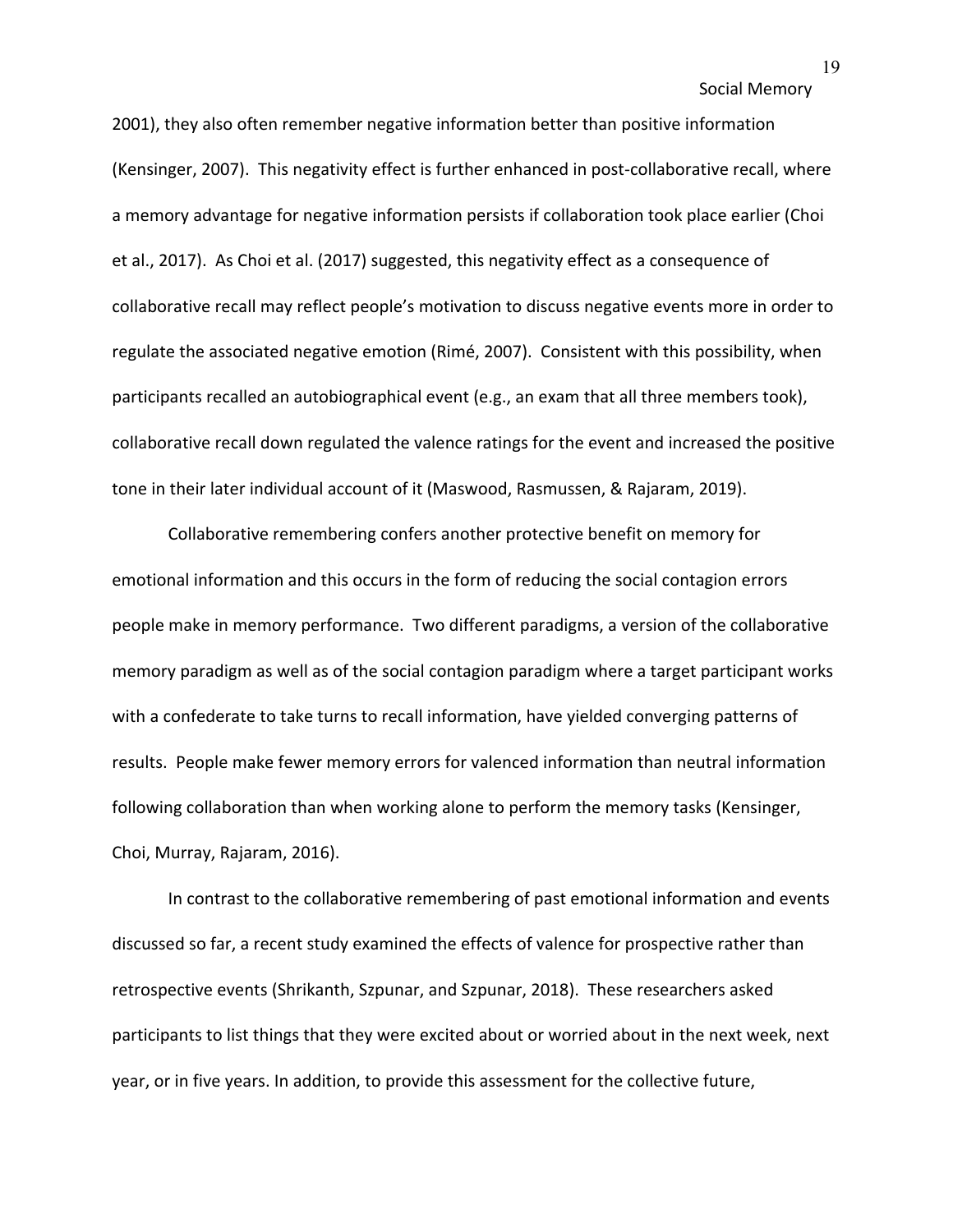2001), they also often remember negative information better than positive information (Kensinger, 2007). This negativity effect is further enhanced in post-collaborative recall, where a memory advantage for negative information persists if collaboration took place earlier (Choi et al., 2017). As Choi et al. (2017) suggested, this negativity effect as a consequence of collaborative recall may reflect people's motivation to discuss negative events more in order to regulate the associated negative emotion (Rimé, 2007). Consistent with this possibility, when participants recalled an autobiographical event (e.g., an exam that all three members took), collaborative recall down regulated the valence ratings for the event and increased the positive tone in their later individual account of it (Maswood, Rasmussen, & Rajaram, 2019).

Collaborative remembering confers another protective benefit on memory for emotional information and this occurs in the form of reducing the social contagion errors people make in memory performance. Two different paradigms, a version of the collaborative memory paradigm as well as of the social contagion paradigm where a target participant works with a confederate to take turns to recall information, have yielded converging patterns of results. People make fewer memory errors for valenced information than neutral information following collaboration than when working alone to perform the memory tasks (Kensinger, Choi, Murray, Rajaram, 2016).

In contrast to the collaborative remembering of past emotional information and events discussed so far, a recent study examined the effects of valence for prospective rather than retrospective events (Shrikanth, Szpunar, and Szpunar, 2018). These researchers asked participants to list things that they were excited about or worried about in the next week, next year, or in five years. In addition, to provide this assessment for the collective future,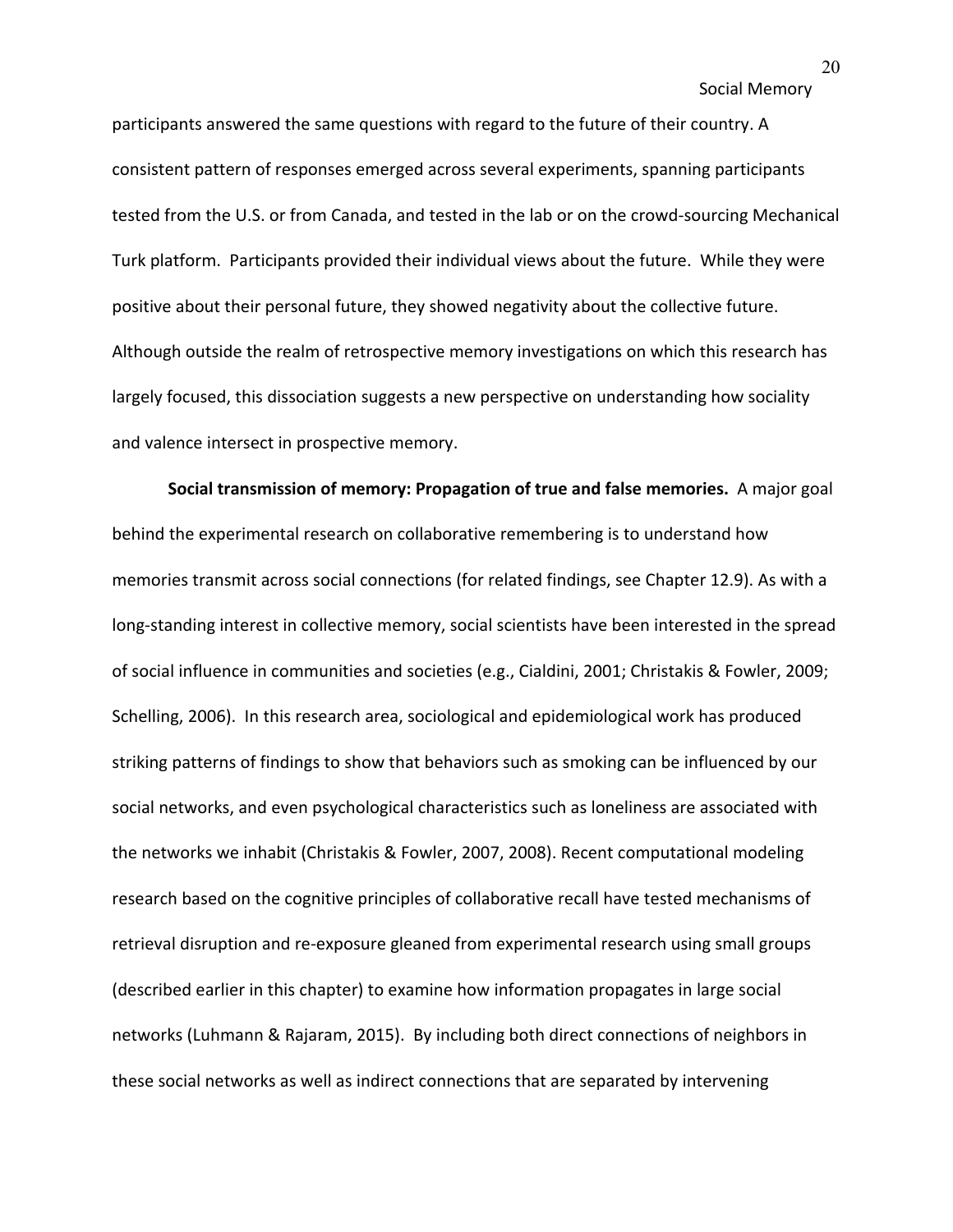participants answered the same questions with regard to the future of their country. A consistent pattern of responses emerged across several experiments, spanning participants tested from the U.S. or from Canada, and tested in the lab or on the crowd-sourcing Mechanical Turk platform. Participants provided their individual views about the future. While they were positive about their personal future, they showed negativity about the collective future. Although outside the realm of retrospective memory investigations on which this research has largely focused, this dissociation suggests a new perspective on understanding how sociality and valence intersect in prospective memory.

**Social transmission of memory: Propagation of true and false memories.** A major goal behind the experimental research on collaborative remembering is to understand how memories transmit across social connections (for related findings, see Chapter 12.9). As with a long-standing interest in collective memory, social scientists have been interested in the spread of social influence in communities and societies (e.g., Cialdini, 2001; Christakis & Fowler, 2009; Schelling, 2006). In this research area, sociological and epidemiological work has produced striking patterns of findings to show that behaviors such as smoking can be influenced by our social networks, and even psychological characteristics such as loneliness are associated with the networks we inhabit (Christakis & Fowler, 2007, 2008). Recent computational modeling research based on the cognitive principles of collaborative recall have tested mechanisms of retrieval disruption and re-exposure gleaned from experimental research using small groups (described earlier in this chapter) to examine how information propagates in large social networks (Luhmann & Rajaram, 2015). By including both direct connections of neighbors in these social networks as well as indirect connections that are separated by intervening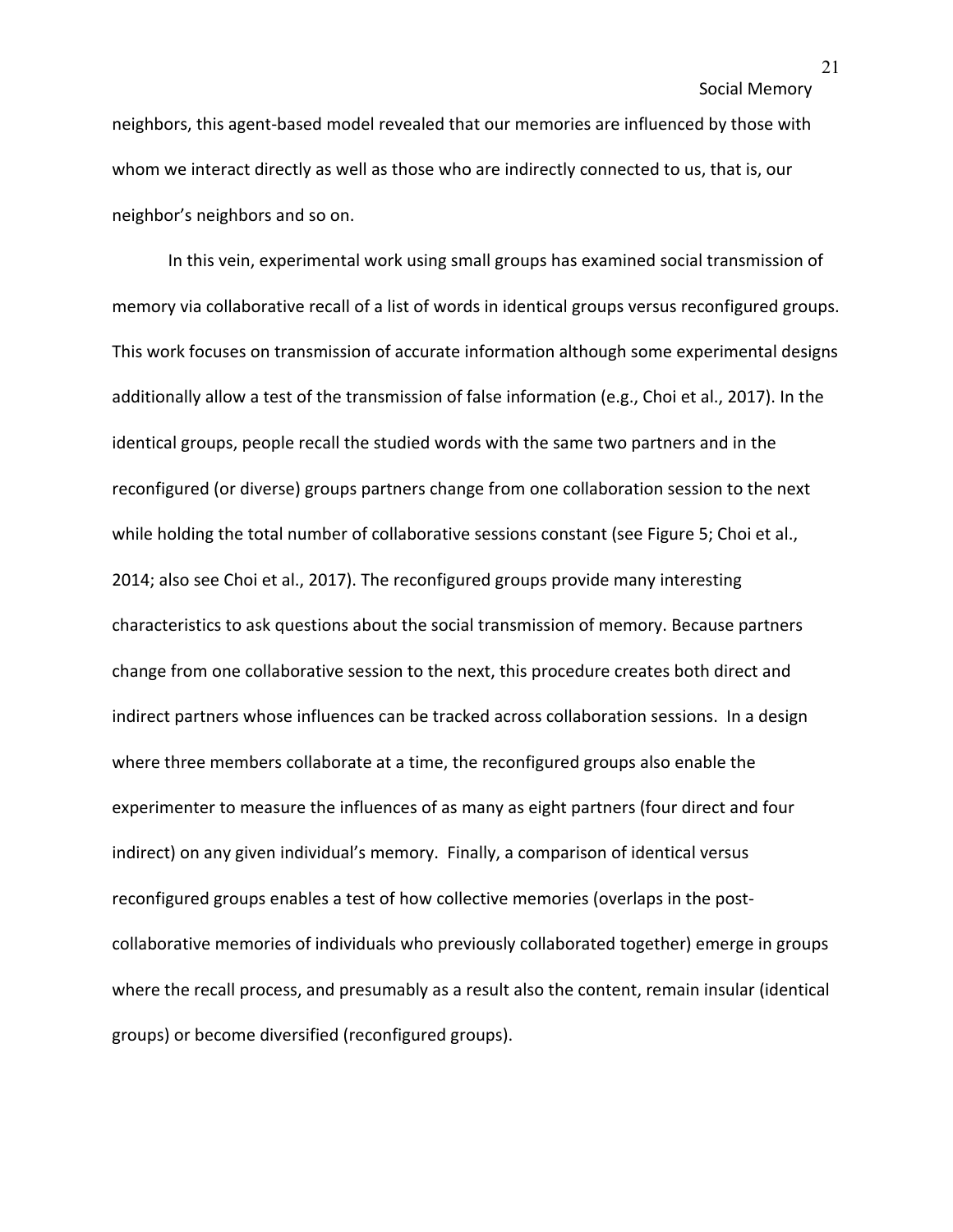neighbors, this agent-based model revealed that our memories are influenced by those with whom we interact directly as well as those who are indirectly connected to us, that is, our neighbor's neighbors and so on.

In this vein, experimental work using small groups has examined social transmission of memory via collaborative recall of a list of words in identical groups versus reconfigured groups. This work focuses on transmission of accurate information although some experimental designs additionally allow a test of the transmission of false information (e.g., Choi et al., 2017). In the identical groups, people recall the studied words with the same two partners and in the reconfigured (or diverse) groups partners change from one collaboration session to the next while holding the total number of collaborative sessions constant (see Figure 5; Choi et al., 2014; also see Choi et al., 2017). The reconfigured groups provide many interesting characteristics to ask questions about the social transmission of memory. Because partners change from one collaborative session to the next, this procedure creates both direct and indirect partners whose influences can be tracked across collaboration sessions. In a design where three members collaborate at a time, the reconfigured groups also enable the experimenter to measure the influences of as many as eight partners (four direct and four indirect) on any given individual's memory. Finally, a comparison of identical versus reconfigured groups enables a test of how collective memories (overlaps in the postcollaborative memories of individuals who previously collaborated together) emerge in groups where the recall process, and presumably as a result also the content, remain insular (identical groups) or become diversified (reconfigured groups).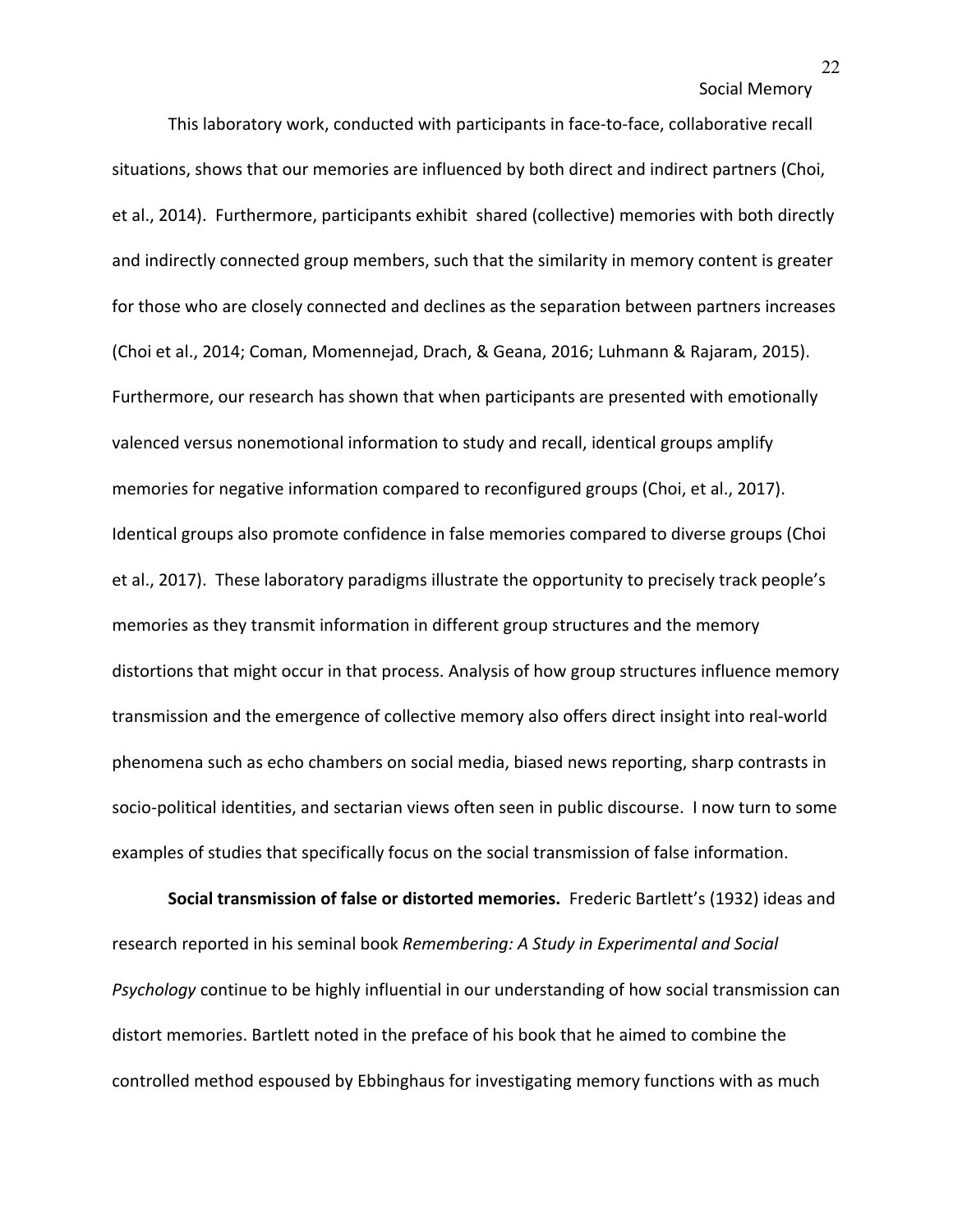This laboratory work, conducted with participants in face-to-face, collaborative recall situations, shows that our memories are influenced by both direct and indirect partners (Choi, et al., 2014). Furthermore, participants exhibit shared (collective) memories with both directly and indirectly connected group members, such that the similarity in memory content is greater for those who are closely connected and declines as the separation between partners increases (Choi et al., 2014; Coman, Momennejad, Drach, & Geana, 2016; Luhmann & Rajaram, 2015). Furthermore, our research has shown that when participants are presented with emotionally valenced versus nonemotional information to study and recall, identical groups amplify memories for negative information compared to reconfigured groups (Choi, et al., 2017). Identical groups also promote confidence in false memories compared to diverse groups (Choi et al., 2017). These laboratory paradigms illustrate the opportunity to precisely track people's memories as they transmit information in different group structures and the memory distortions that might occur in that process. Analysis of how group structures influence memory transmission and the emergence of collective memory also offers direct insight into real-world phenomena such as echo chambers on social media, biased news reporting, sharp contrasts in socio-political identities, and sectarian views often seen in public discourse. I now turn to some examples of studies that specifically focus on the social transmission of false information.

**Social transmission of false or distorted memories.** Frederic Bartlett's (1932) ideas and research reported in his seminal book *Remembering: A Study in Experimental and Social Psychology* continue to be highly influential in our understanding of how social transmission can distort memories. Bartlett noted in the preface of his book that he aimed to combine the controlled method espoused by Ebbinghaus for investigating memory functions with as much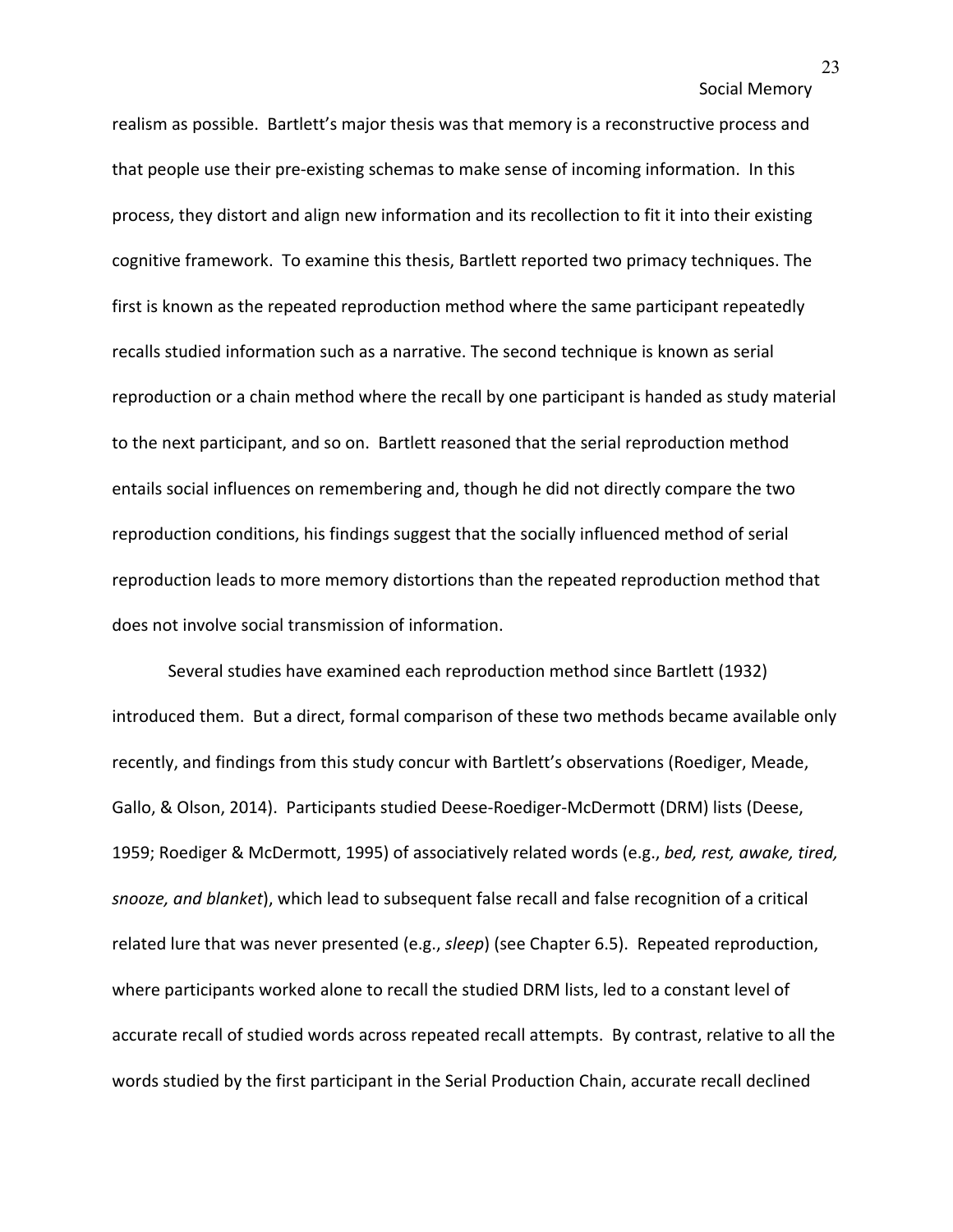realism as possible. Bartlett's major thesis was that memory is a reconstructive process and that people use their pre-existing schemas to make sense of incoming information. In this process, they distort and align new information and its recollection to fit it into their existing cognitive framework. To examine this thesis, Bartlett reported two primacy techniques. The first is known as the repeated reproduction method where the same participant repeatedly recalls studied information such as a narrative. The second technique is known as serial reproduction or a chain method where the recall by one participant is handed as study material to the next participant, and so on. Bartlett reasoned that the serial reproduction method entails social influences on remembering and, though he did not directly compare the two reproduction conditions, his findings suggest that the socially influenced method of serial reproduction leads to more memory distortions than the repeated reproduction method that does not involve social transmission of information.

Several studies have examined each reproduction method since Bartlett (1932) introduced them. But a direct, formal comparison of these two methods became available only recently, and findings from this study concur with Bartlett's observations (Roediger, Meade, Gallo, & Olson, 2014). Participants studied Deese-Roediger-McDermott (DRM) lists (Deese, 1959; Roediger & McDermott, 1995) of associatively related words (e.g., *bed, rest, awake, tired, snooze, and blanket*), which lead to subsequent false recall and false recognition of a critical related lure that was never presented (e.g., *sleep*) (see Chapter 6.5). Repeated reproduction, where participants worked alone to recall the studied DRM lists, led to a constant level of accurate recall of studied words across repeated recall attempts. By contrast, relative to all the words studied by the first participant in the Serial Production Chain, accurate recall declined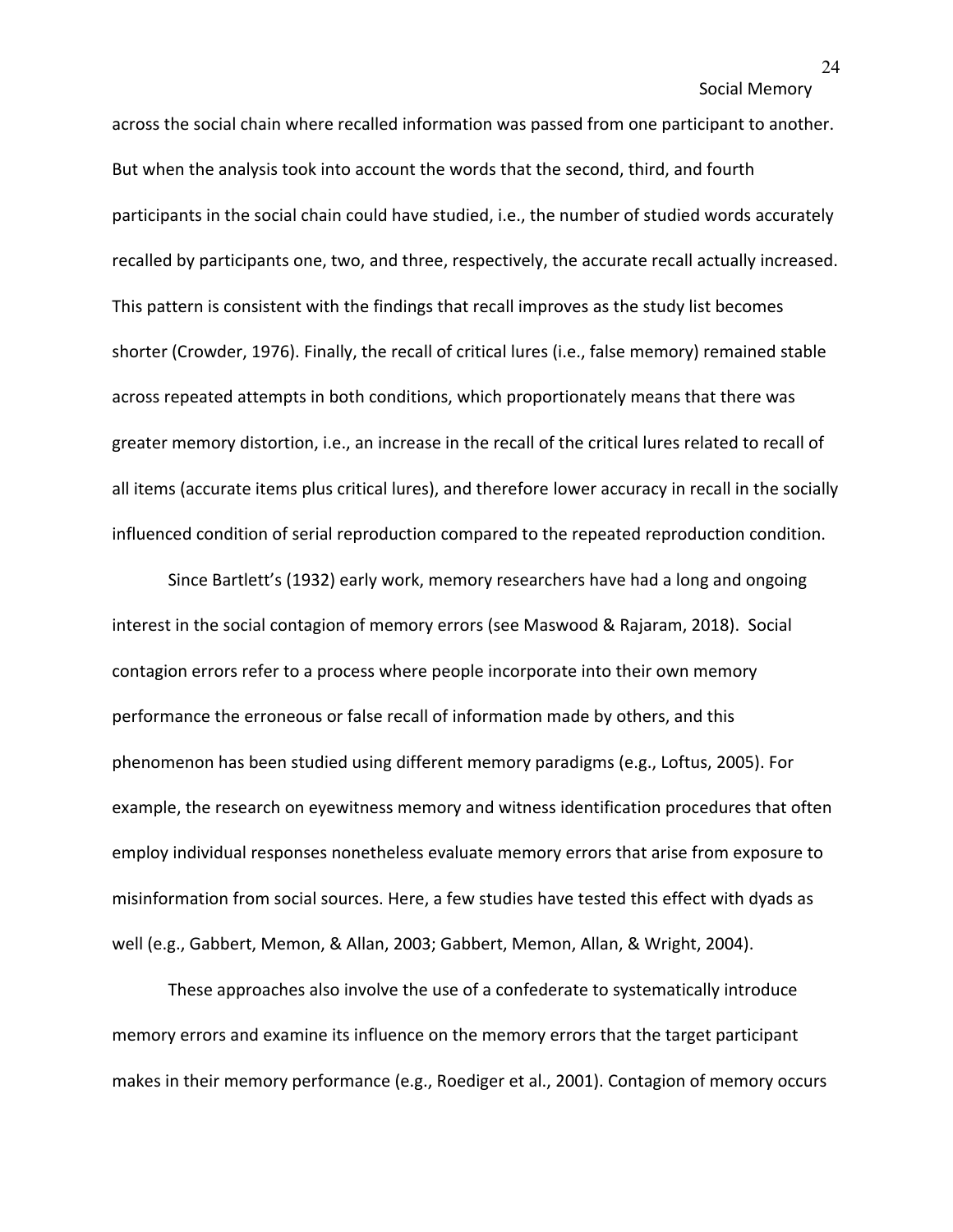across the social chain where recalled information was passed from one participant to another. But when the analysis took into account the words that the second, third, and fourth participants in the social chain could have studied, i.e., the number of studied words accurately recalled by participants one, two, and three, respectively, the accurate recall actually increased. This pattern is consistent with the findings that recall improves as the study list becomes shorter (Crowder, 1976). Finally, the recall of critical lures (i.e., false memory) remained stable across repeated attempts in both conditions, which proportionately means that there was greater memory distortion, i.e., an increase in the recall of the critical lures related to recall of all items (accurate items plus critical lures), and therefore lower accuracy in recall in the socially influenced condition of serial reproduction compared to the repeated reproduction condition.

Since Bartlett's (1932) early work, memory researchers have had a long and ongoing interest in the social contagion of memory errors (see Maswood & Rajaram, 2018). Social contagion errors refer to a process where people incorporate into their own memory performance the erroneous or false recall of information made by others, and this phenomenon has been studied using different memory paradigms (e.g., Loftus, 2005). For example, the research on eyewitness memory and witness identification procedures that often employ individual responses nonetheless evaluate memory errors that arise from exposure to misinformation from social sources. Here, a few studies have tested this effect with dyads as well (e.g., Gabbert, Memon, & Allan, 2003; Gabbert, Memon, Allan, & Wright, 2004).

These approaches also involve the use of a confederate to systematically introduce memory errors and examine its influence on the memory errors that the target participant makes in their memory performance (e.g., Roediger et al., 2001). Contagion of memory occurs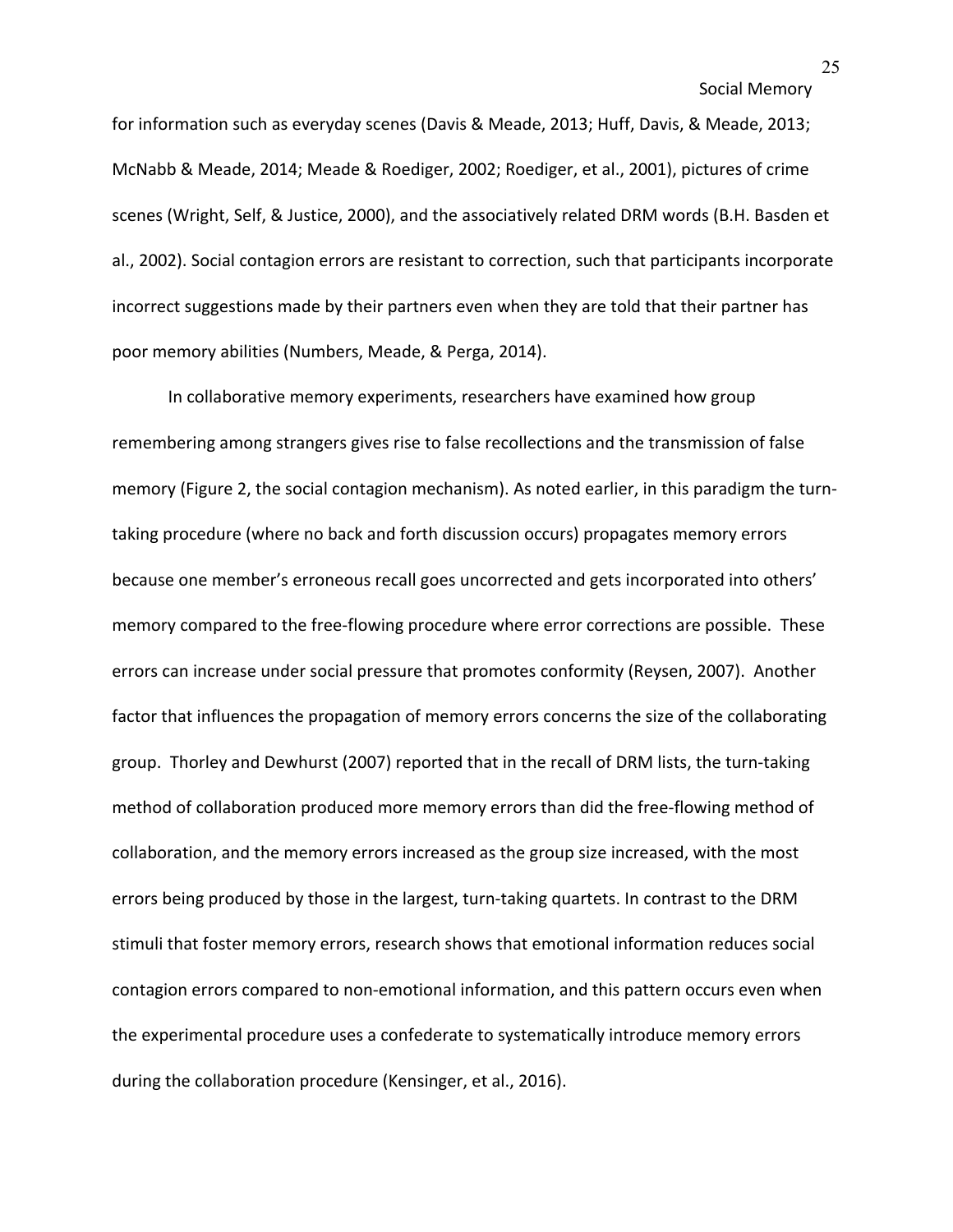for information such as everyday scenes (Davis & Meade, 2013; Huff, Davis, & Meade, 2013; McNabb & Meade, 2014; Meade & Roediger, 2002; Roediger, et al., 2001), pictures of crime scenes (Wright, Self, & Justice, 2000), and the associatively related DRM words (B.H. Basden et al., 2002). Social contagion errors are resistant to correction, such that participants incorporate incorrect suggestions made by their partners even when they are told that their partner has poor memory abilities (Numbers, Meade, & Perga, 2014).

In collaborative memory experiments, researchers have examined how group remembering among strangers gives rise to false recollections and the transmission of false memory (Figure 2, the social contagion mechanism). As noted earlier, in this paradigm the turntaking procedure (where no back and forth discussion occurs) propagates memory errors because one member's erroneous recall goes uncorrected and gets incorporated into others' memory compared to the free-flowing procedure where error corrections are possible. These errors can increase under social pressure that promotes conformity (Reysen, 2007). Another factor that influences the propagation of memory errors concerns the size of the collaborating group. Thorley and Dewhurst (2007) reported that in the recall of DRM lists, the turn-taking method of collaboration produced more memory errors than did the free-flowing method of collaboration, and the memory errors increased as the group size increased, with the most errors being produced by those in the largest, turn-taking quartets. In contrast to the DRM stimuli that foster memory errors, research shows that emotional information reduces social contagion errors compared to non-emotional information, and this pattern occurs even when the experimental procedure uses a confederate to systematically introduce memory errors during the collaboration procedure (Kensinger, et al., 2016).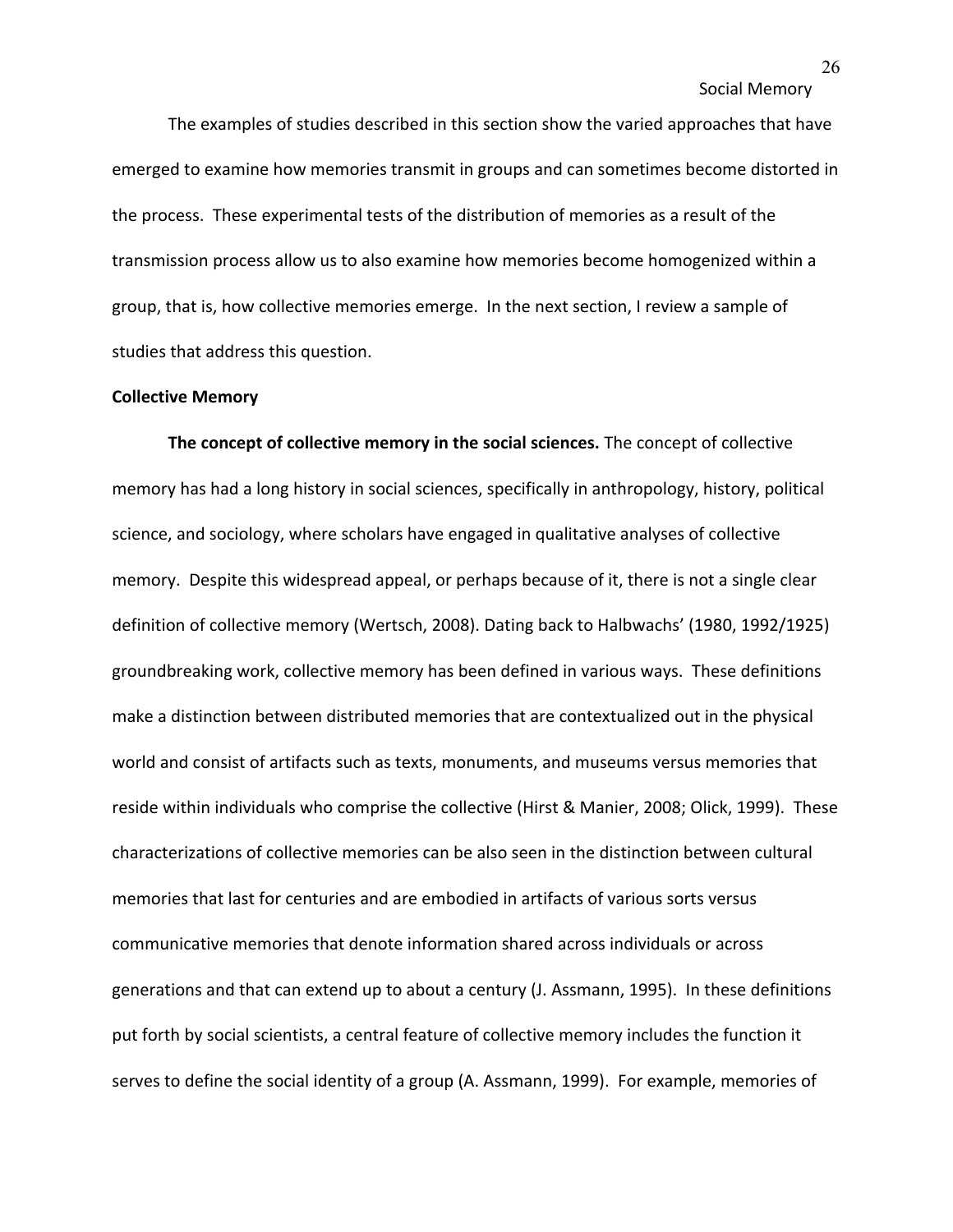The examples of studies described in this section show the varied approaches that have emerged to examine how memories transmit in groups and can sometimes become distorted in the process. These experimental tests of the distribution of memories as a result of the transmission process allow us to also examine how memories become homogenized within a group, that is, how collective memories emerge. In the next section, I review a sample of studies that address this question.

### **Collective Memory**

**The concept of collective memory in the social sciences.** The concept of collective memory has had a long history in social sciences, specifically in anthropology, history, political science, and sociology, where scholars have engaged in qualitative analyses of collective memory. Despite this widespread appeal, or perhaps because of it, there is not a single clear definition of collective memory (Wertsch, 2008). Dating back to Halbwachs' (1980, 1992/1925) groundbreaking work, collective memory has been defined in various ways. These definitions make a distinction between distributed memories that are contextualized out in the physical world and consist of artifacts such as texts, monuments, and museums versus memories that reside within individuals who comprise the collective (Hirst & Manier, 2008; Olick, 1999). These characterizations of collective memories can be also seen in the distinction between cultural memories that last for centuries and are embodied in artifacts of various sorts versus communicative memories that denote information shared across individuals or across generations and that can extend up to about a century (J. Assmann, 1995). In these definitions put forth by social scientists, a central feature of collective memory includes the function it serves to define the social identity of a group (A. Assmann, 1999). For example, memories of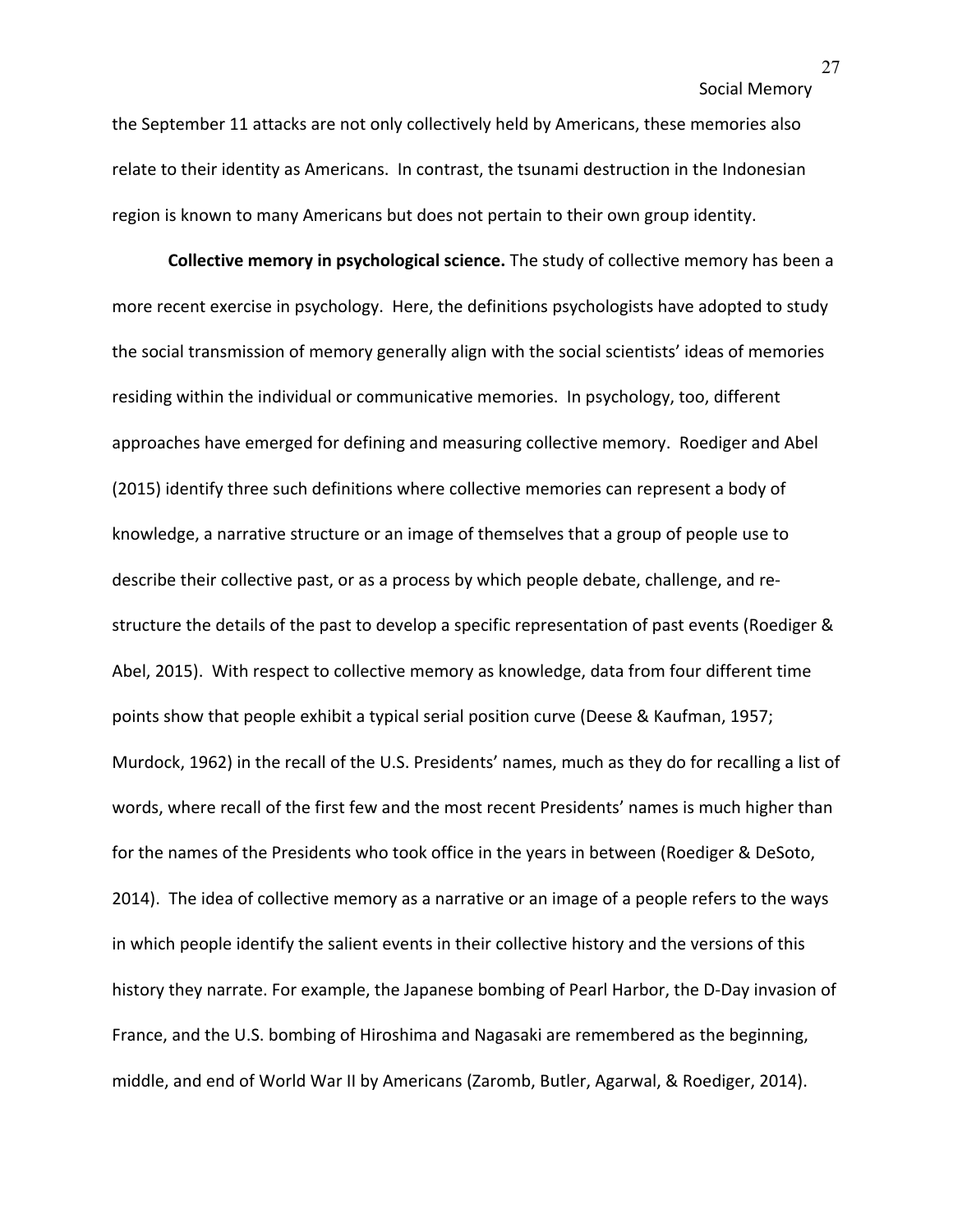the September 11 attacks are not only collectively held by Americans, these memories also relate to their identity as Americans. In contrast, the tsunami destruction in the Indonesian region is known to many Americans but does not pertain to their own group identity.

**Collective memory in psychological science.** The study of collective memory has been a more recent exercise in psychology. Here, the definitions psychologists have adopted to study the social transmission of memory generally align with the social scientists' ideas of memories residing within the individual or communicative memories. In psychology, too, different approaches have emerged for defining and measuring collective memory. Roediger and Abel (2015) identify three such definitions where collective memories can represent a body of knowledge, a narrative structure or an image of themselves that a group of people use to describe their collective past, or as a process by which people debate, challenge, and restructure the details of the past to develop a specific representation of past events (Roediger & Abel, 2015). With respect to collective memory as knowledge, data from four different time points show that people exhibit a typical serial position curve (Deese & Kaufman, 1957; Murdock, 1962) in the recall of the U.S. Presidents' names, much as they do for recalling a list of words, where recall of the first few and the most recent Presidents' names is much higher than for the names of the Presidents who took office in the years in between (Roediger & DeSoto, 2014). The idea of collective memory as a narrative or an image of a people refers to the ways in which people identify the salient events in their collective history and the versions of this history they narrate. For example, the Japanese bombing of Pearl Harbor, the D-Day invasion of France, and the U.S. bombing of Hiroshima and Nagasaki are remembered as the beginning, middle, and end of World War II by Americans (Zaromb, Butler, Agarwal, & Roediger, 2014).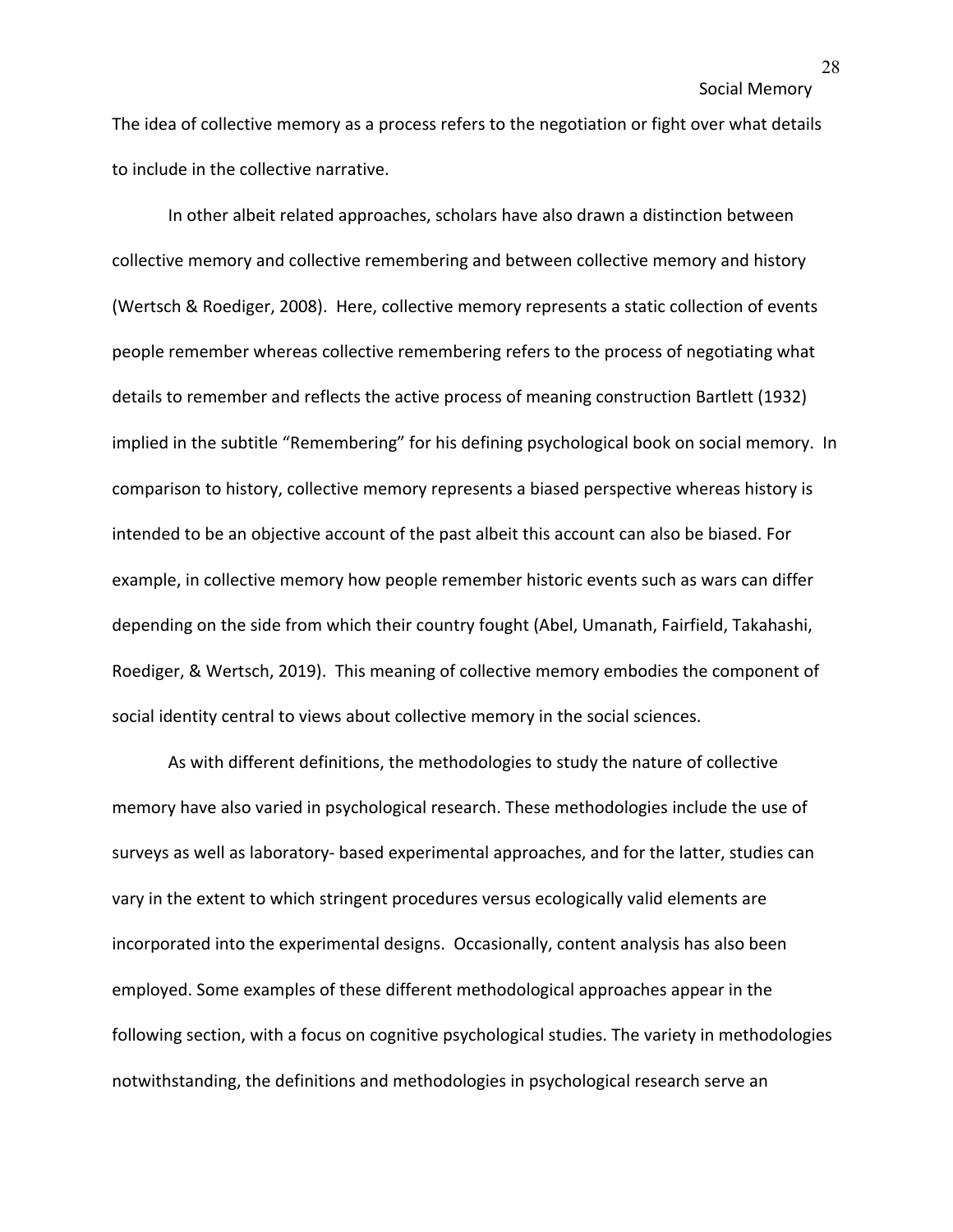The idea of collective memory as a process refers to the negotiation or fight over what details to include in the collective narrative.

In other albeit related approaches, scholars have also drawn a distinction between collective memory and collective remembering and between collective memory and history (Wertsch & Roediger, 2008). Here, collective memory represents a static collection of events people remember whereas collective remembering refers to the process of negotiating what details to remember and reflects the active process of meaning construction Bartlett (1932) implied in the subtitle "Remembering" for his defining psychological book on social memory. In comparison to history, collective memory represents a biased perspective whereas history is intended to be an objective account of the past albeit this account can also be biased. For example, in collective memory how people remember historic events such as wars can differ depending on the side from which their country fought (Abel, Umanath, Fairfield, Takahashi, Roediger, & Wertsch, 2019). This meaning of collective memory embodies the component of social identity central to views about collective memory in the social sciences.

As with different definitions, the methodologies to study the nature of collective memory have also varied in psychological research. These methodologies include the use of surveys as well as laboratory- based experimental approaches, and for the latter, studies can vary in the extent to which stringent procedures versus ecologically valid elements are incorporated into the experimental designs. Occasionally, content analysis has also been employed. Some examples of these different methodological approaches appear in the following section, with a focus on cognitive psychological studies. The variety in methodologies notwithstanding, the definitions and methodologies in psychological research serve an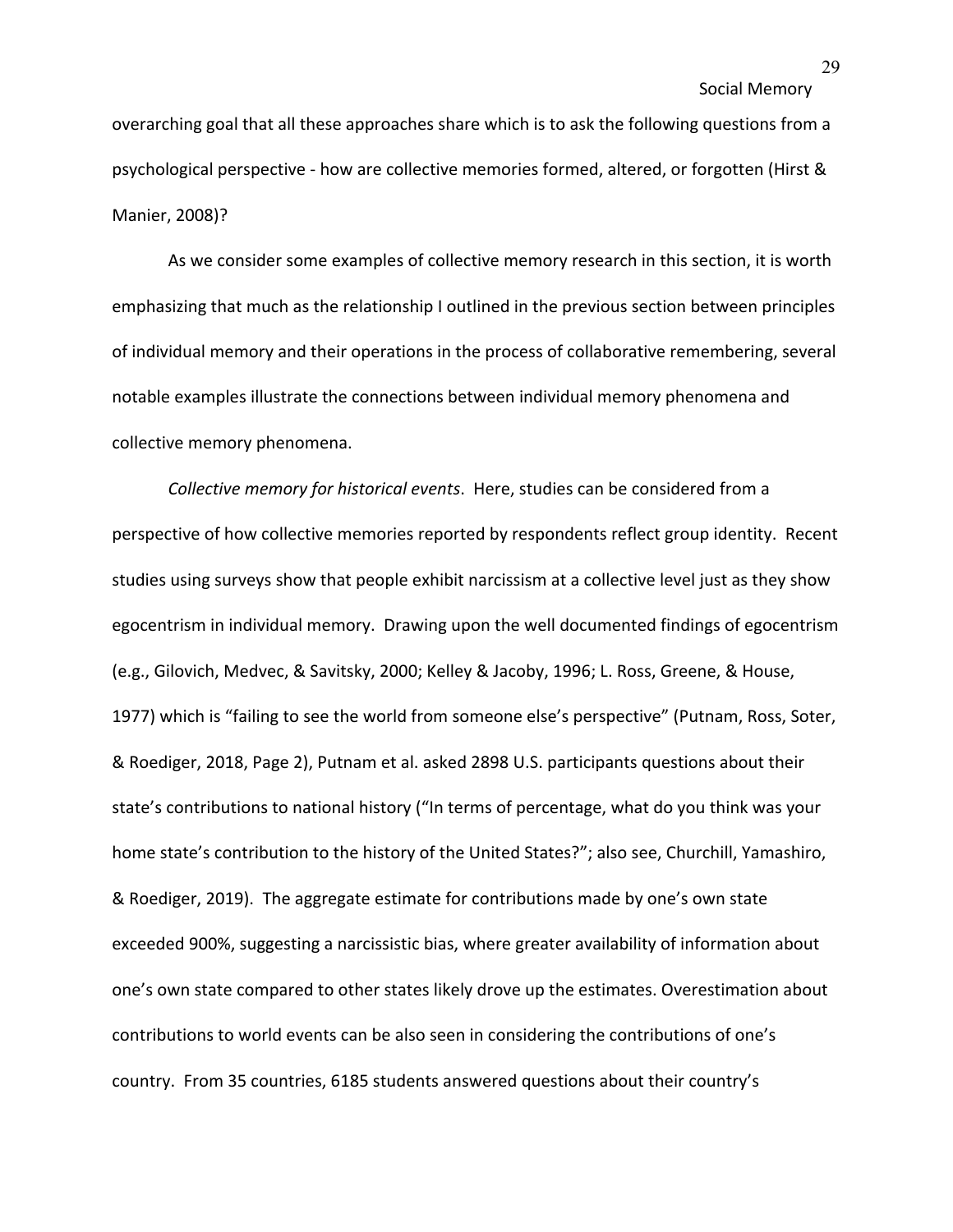overarching goal that all these approaches share which is to ask the following questions from a psychological perspective - how are collective memories formed, altered, or forgotten (Hirst & Manier, 2008)?

As we consider some examples of collective memory research in this section, it is worth emphasizing that much as the relationship I outlined in the previous section between principles of individual memory and their operations in the process of collaborative remembering, several notable examples illustrate the connections between individual memory phenomena and collective memory phenomena.

*Collective memory for historical events*. Here, studies can be considered from a perspective of how collective memories reported by respondents reflect group identity. Recent studies using surveys show that people exhibit narcissism at a collective level just as they show egocentrism in individual memory. Drawing upon the well documented findings of egocentrism (e.g., Gilovich, Medvec, & Savitsky, 2000; Kelley & Jacoby, 1996; L. Ross, Greene, & House, 1977) which is "failing to see the world from someone else's perspective" (Putnam, Ross, Soter, & Roediger, 2018, Page 2), Putnam et al. asked 2898 U.S. participants questions about their state's contributions to national history ("In terms of percentage, what do you think was your home state's contribution to the history of the United States?"; also see, Churchill, Yamashiro, & Roediger, 2019). The aggregate estimate for contributions made by one's own state exceeded 900%, suggesting a narcissistic bias, where greater availability of information about one's own state compared to other states likely drove up the estimates. Overestimation about contributions to world events can be also seen in considering the contributions of one's country. From 35 countries, 6185 students answered questions about their country's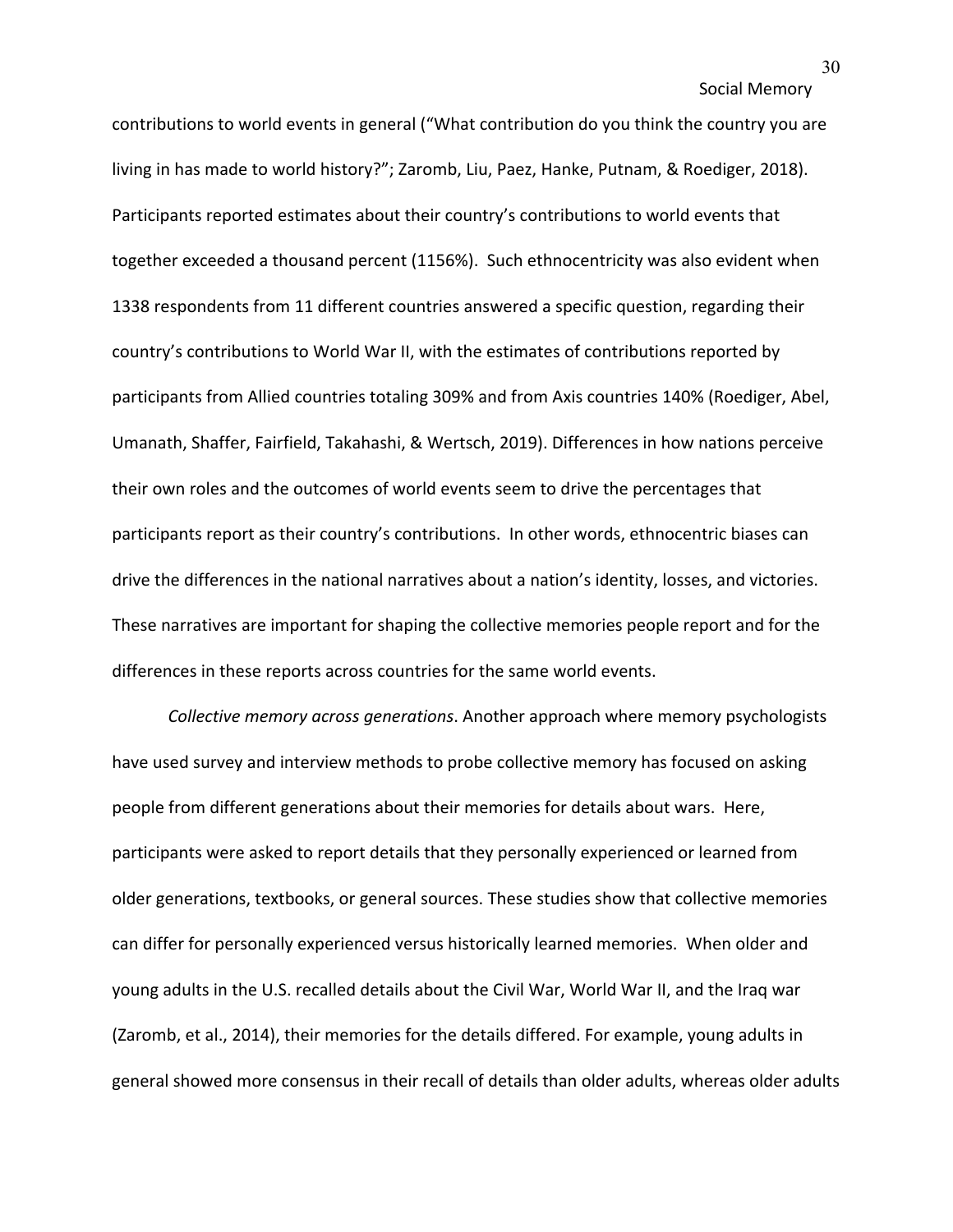contributions to world events in general ("What contribution do you think the country you are living in has made to world history?"; Zaromb, Liu, Paez, Hanke, Putnam, & Roediger, 2018). Participants reported estimates about their country's contributions to world events that together exceeded a thousand percent (1156%). Such ethnocentricity was also evident when 1338 respondents from 11 different countries answered a specific question, regarding their country's contributions to World War II, with the estimates of contributions reported by participants from Allied countries totaling 309% and from Axis countries 140% (Roediger, Abel, Umanath, Shaffer, Fairfield, Takahashi, & Wertsch, 2019). Differences in how nations perceive their own roles and the outcomes of world events seem to drive the percentages that participants report as their country's contributions. In other words, ethnocentric biases can drive the differences in the national narratives about a nation's identity, losses, and victories. These narratives are important for shaping the collective memories people report and for the differences in these reports across countries for the same world events.

*Collective memory across generations*. Another approach where memory psychologists have used survey and interview methods to probe collective memory has focused on asking people from different generations about their memories for details about wars. Here, participants were asked to report details that they personally experienced or learned from older generations, textbooks, or general sources. These studies show that collective memories can differ for personally experienced versus historically learned memories. When older and young adults in the U.S. recalled details about the Civil War, World War II, and the Iraq war (Zaromb, et al., 2014), their memories for the details differed. For example, young adults in general showed more consensus in their recall of details than older adults, whereas older adults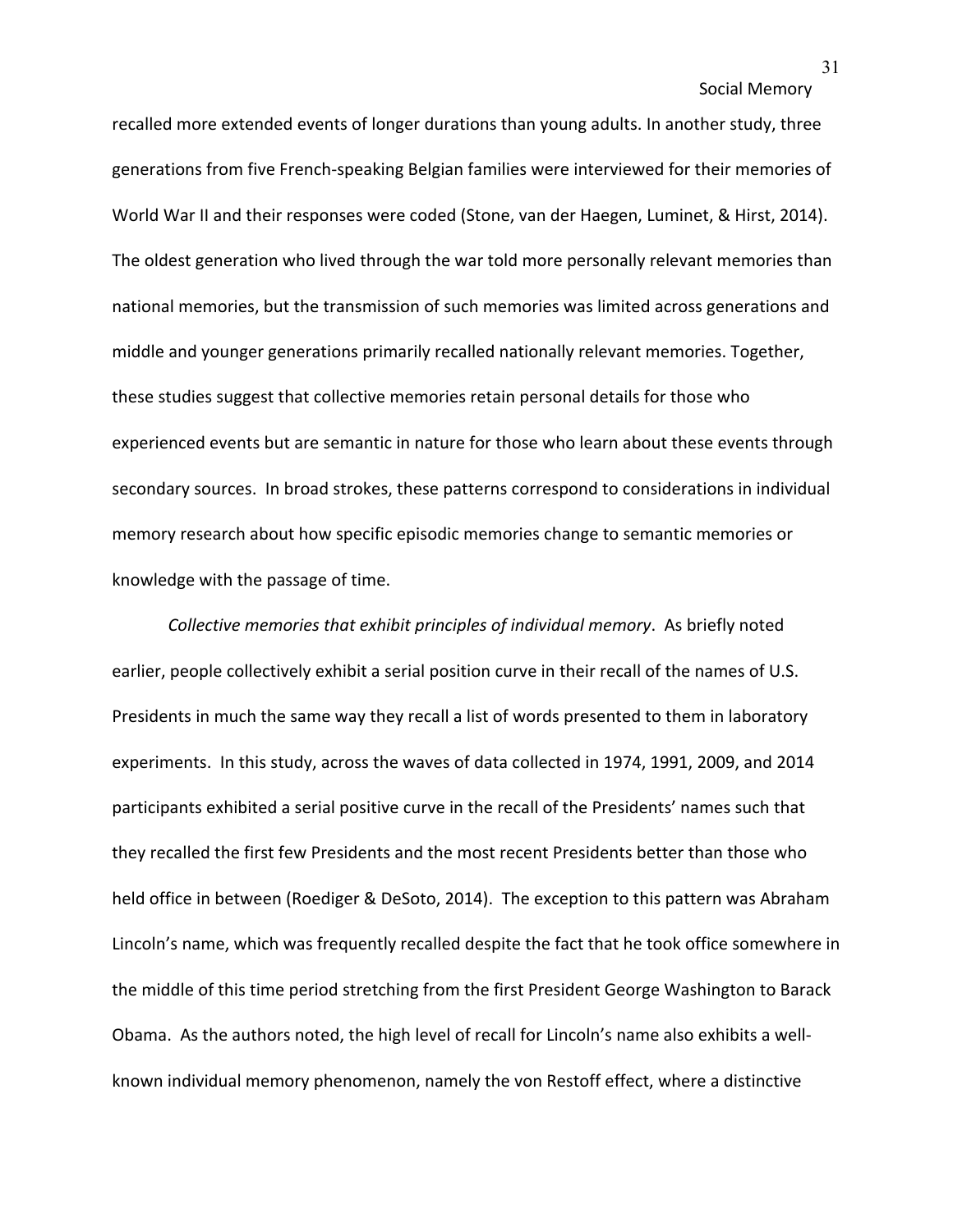recalled more extended events of longer durations than young adults. In another study, three generations from five French-speaking Belgian families were interviewed for their memories of World War II and their responses were coded (Stone, van der Haegen, Luminet, & Hirst, 2014). The oldest generation who lived through the war told more personally relevant memories than national memories, but the transmission of such memories was limited across generations and middle and younger generations primarily recalled nationally relevant memories. Together, these studies suggest that collective memories retain personal details for those who experienced events but are semantic in nature for those who learn about these events through secondary sources. In broad strokes, these patterns correspond to considerations in individual memory research about how specific episodic memories change to semantic memories or knowledge with the passage of time.

*Collective memories that exhibit principles of individual memory*. As briefly noted earlier, people collectively exhibit a serial position curve in their recall of the names of U.S. Presidents in much the same way they recall a list of words presented to them in laboratory experiments. In this study, across the waves of data collected in 1974, 1991, 2009, and 2014 participants exhibited a serial positive curve in the recall of the Presidents' names such that they recalled the first few Presidents and the most recent Presidents better than those who held office in between (Roediger & DeSoto, 2014). The exception to this pattern was Abraham Lincoln's name, which was frequently recalled despite the fact that he took office somewhere in the middle of this time period stretching from the first President George Washington to Barack Obama. As the authors noted, the high level of recall for Lincoln's name also exhibits a wellknown individual memory phenomenon, namely the von Restoff effect, where a distinctive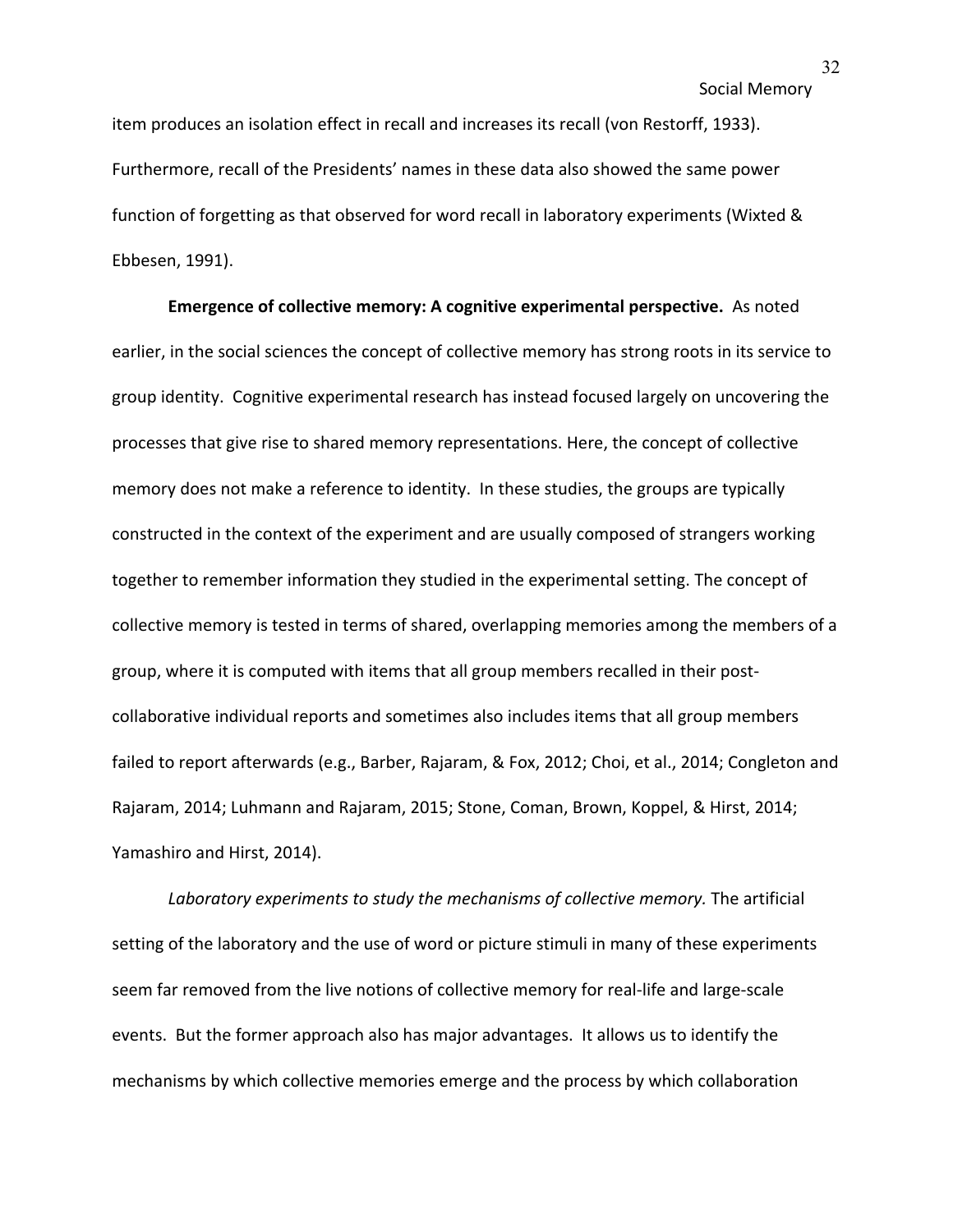item produces an isolation effect in recall and increases its recall (von Restorff, 1933). Furthermore, recall of the Presidents' names in these data also showed the same power function of forgetting as that observed for word recall in laboratory experiments (Wixted & Ebbesen, 1991).

**Emergence of collective memory: A cognitive experimental perspective.** As noted earlier, in the social sciences the concept of collective memory has strong roots in its service to group identity. Cognitive experimental research has instead focused largely on uncovering the processes that give rise to shared memory representations. Here, the concept of collective memory does not make a reference to identity. In these studies, the groups are typically constructed in the context of the experiment and are usually composed of strangers working together to remember information they studied in the experimental setting. The concept of collective memory is tested in terms of shared, overlapping memories among the members of a group, where it is computed with items that all group members recalled in their postcollaborative individual reports and sometimes also includes items that all group members failed to report afterwards (e.g., Barber, Rajaram, & Fox, 2012; Choi, et al., 2014; Congleton and Rajaram, 2014; Luhmann and Rajaram, 2015; Stone, Coman, Brown, Koppel, & Hirst, 2014; Yamashiro and Hirst, 2014).

Laboratory experiments to study the mechanisms of collective memory. The artificial setting of the laboratory and the use of word or picture stimuli in many of these experiments seem far removed from the live notions of collective memory for real-life and large-scale events. But the former approach also has major advantages. It allows us to identify the mechanisms by which collective memories emerge and the process by which collaboration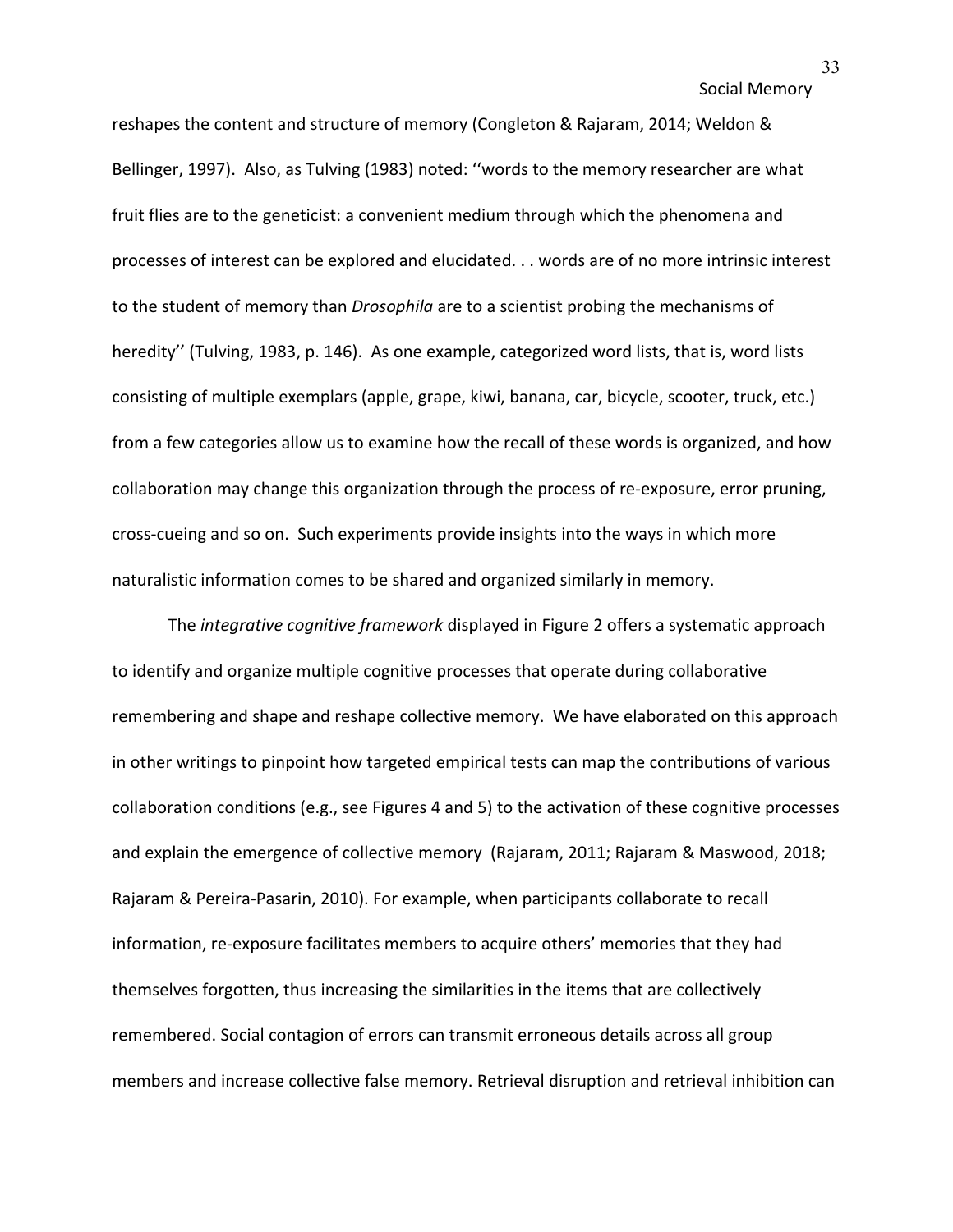reshapes the content and structure of memory (Congleton & Rajaram, 2014; Weldon & Bellinger, 1997). Also, as Tulving (1983) noted: ''words to the memory researcher are what fruit flies are to the geneticist: a convenient medium through which the phenomena and processes of interest can be explored and elucidated. . . words are of no more intrinsic interest to the student of memory than *Drosophila* are to a scientist probing the mechanisms of heredity'' (Tulving, 1983, p. 146). As one example, categorized word lists, that is, word lists consisting of multiple exemplars (apple, grape, kiwi, banana, car, bicycle, scooter, truck, etc.) from a few categories allow us to examine how the recall of these words is organized, and how collaboration may change this organization through the process of re-exposure, error pruning, cross-cueing and so on. Such experiments provide insights into the ways in which more naturalistic information comes to be shared and organized similarly in memory.

 The *integrative cognitive framework* displayed in Figure 2 offers a systematic approach to identify and organize multiple cognitive processes that operate during collaborative remembering and shape and reshape collective memory. We have elaborated on this approach in other writings to pinpoint how targeted empirical tests can map the contributions of various collaboration conditions (e.g., see Figures 4 and 5) to the activation of these cognitive processes and explain the emergence of collective memory (Rajaram, 2011; Rajaram & Maswood, 2018; Rajaram & Pereira-Pasarin, 2010). For example, when participants collaborate to recall information, re-exposure facilitates members to acquire others' memories that they had themselves forgotten, thus increasing the similarities in the items that are collectively remembered. Social contagion of errors can transmit erroneous details across all group members and increase collective false memory. Retrieval disruption and retrieval inhibition can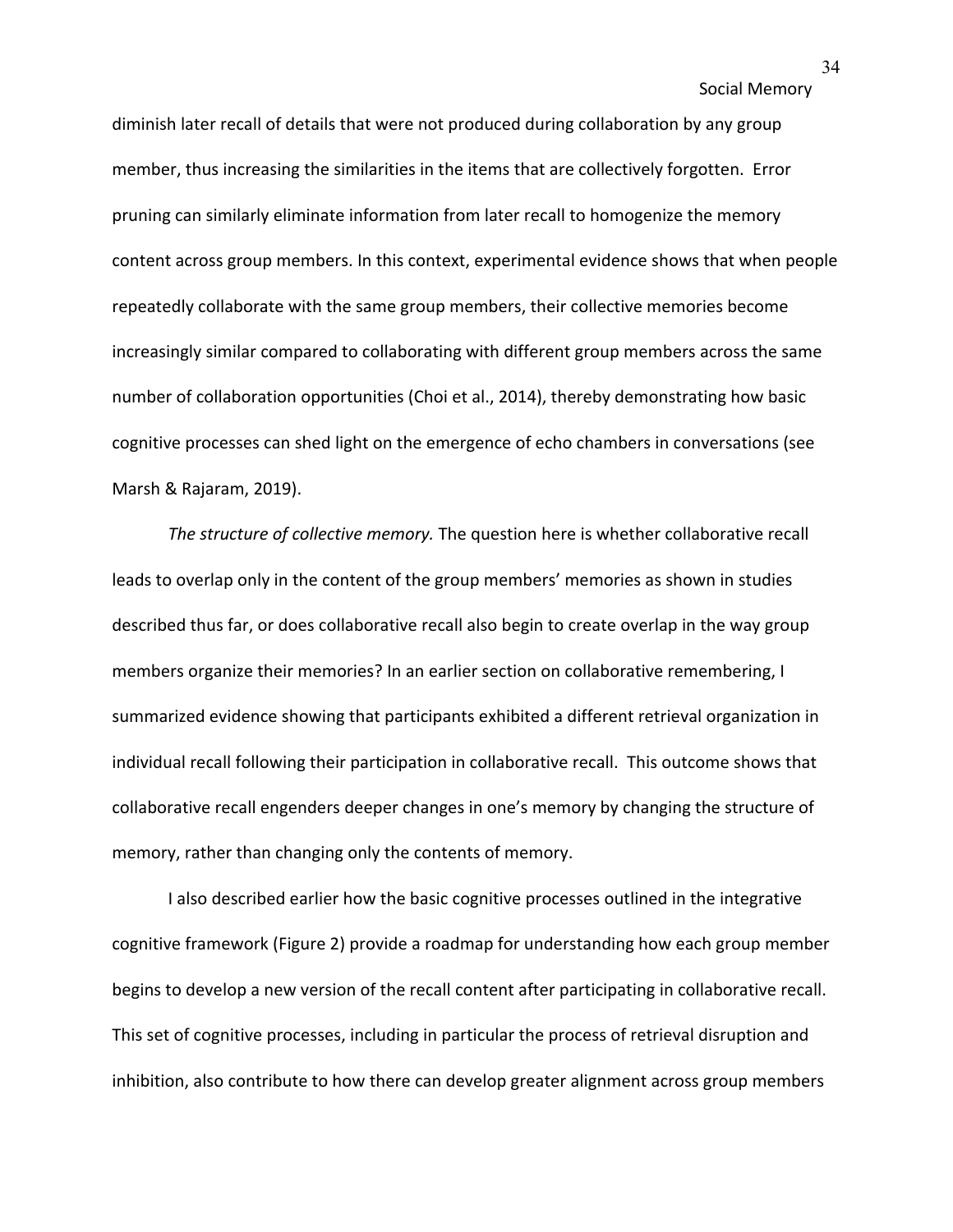diminish later recall of details that were not produced during collaboration by any group member, thus increasing the similarities in the items that are collectively forgotten. Error pruning can similarly eliminate information from later recall to homogenize the memory content across group members. In this context, experimental evidence shows that when people repeatedly collaborate with the same group members, their collective memories become increasingly similar compared to collaborating with different group members across the same number of collaboration opportunities (Choi et al., 2014), thereby demonstrating how basic cognitive processes can shed light on the emergence of echo chambers in conversations (see Marsh & Rajaram, 2019).

*The structure of collective memory.* The question here is whether collaborative recall leads to overlap only in the content of the group members' memories as shown in studies described thus far, or does collaborative recall also begin to create overlap in the way group members organize their memories? In an earlier section on collaborative remembering, I summarized evidence showing that participants exhibited a different retrieval organization in individual recall following their participation in collaborative recall. This outcome shows that collaborative recall engenders deeper changes in one's memory by changing the structure of memory, rather than changing only the contents of memory.

I also described earlier how the basic cognitive processes outlined in the integrative cognitive framework (Figure 2) provide a roadmap for understanding how each group member begins to develop a new version of the recall content after participating in collaborative recall. This set of cognitive processes, including in particular the process of retrieval disruption and inhibition, also contribute to how there can develop greater alignment across group members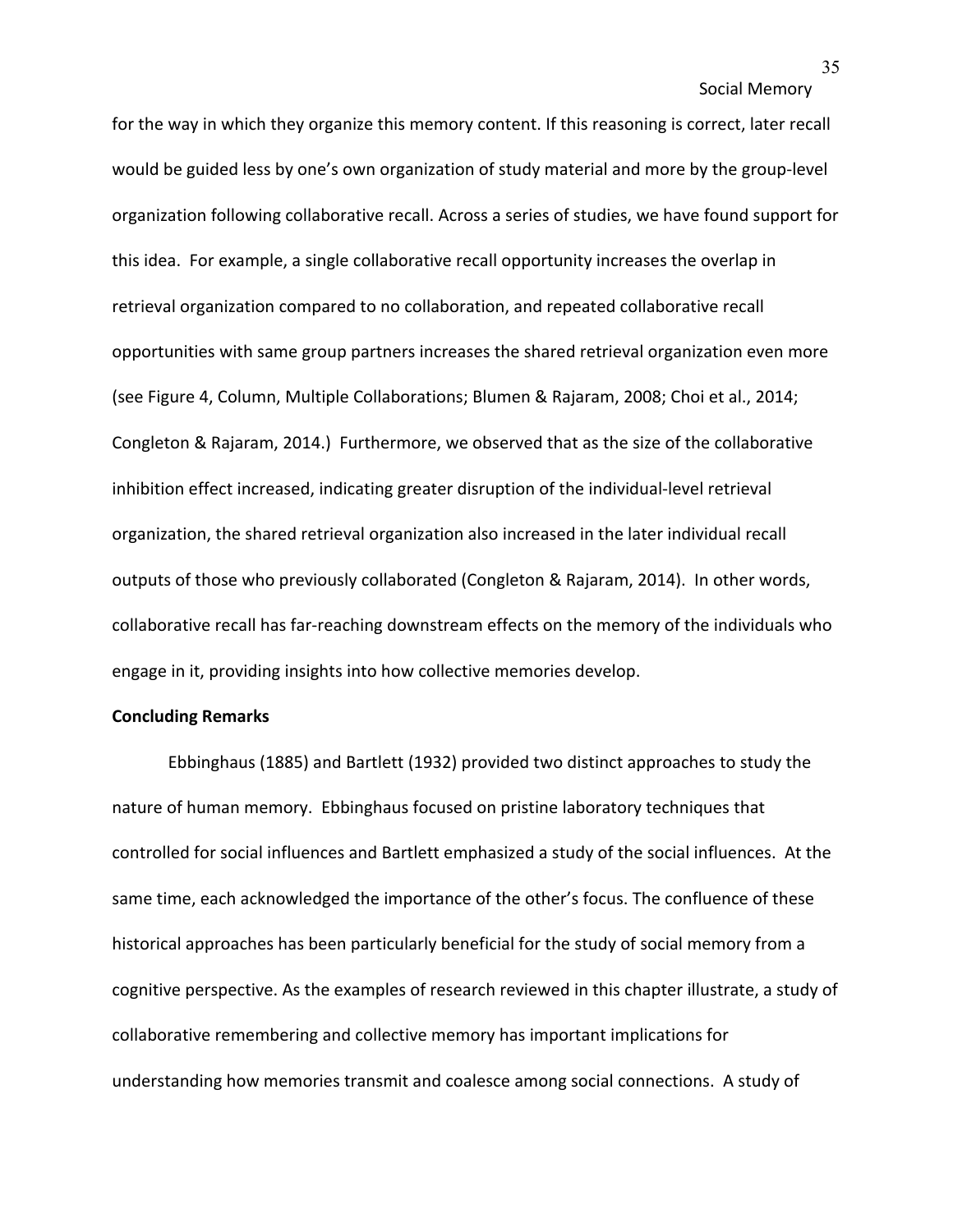for the way in which they organize this memory content. If this reasoning is correct, later recall would be guided less by one's own organization of study material and more by the group-level organization following collaborative recall. Across a series of studies, we have found support for this idea. For example, a single collaborative recall opportunity increases the overlap in retrieval organization compared to no collaboration, and repeated collaborative recall opportunities with same group partners increases the shared retrieval organization even more (see Figure 4, Column, Multiple Collaborations; Blumen & Rajaram, 2008; Choi et al., 2014; Congleton & Rajaram, 2014.) Furthermore, we observed that as the size of the collaborative inhibition effect increased, indicating greater disruption of the individual-level retrieval organization, the shared retrieval organization also increased in the later individual recall outputs of those who previously collaborated (Congleton & Rajaram, 2014). In other words, collaborative recall has far-reaching downstream effects on the memory of the individuals who engage in it, providing insights into how collective memories develop.

## **Concluding Remarks**

Ebbinghaus (1885) and Bartlett (1932) provided two distinct approaches to study the nature of human memory. Ebbinghaus focused on pristine laboratory techniques that controlled for social influences and Bartlett emphasized a study of the social influences. At the same time, each acknowledged the importance of the other's focus. The confluence of these historical approaches has been particularly beneficial for the study of social memory from a cognitive perspective. As the examples of research reviewed in this chapter illustrate, a study of collaborative remembering and collective memory has important implications for understanding how memories transmit and coalesce among social connections. A study of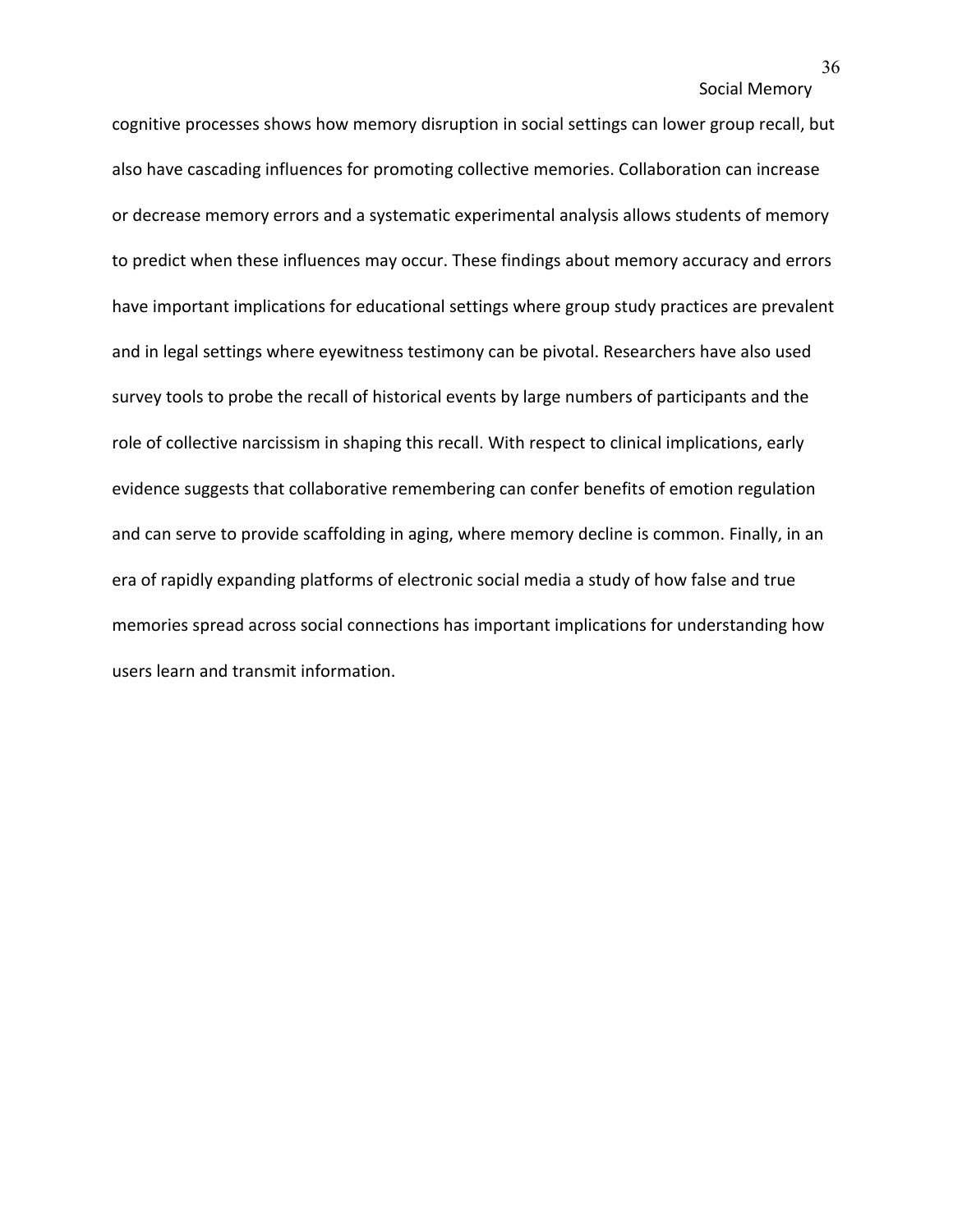cognitive processes shows how memory disruption in social settings can lower group recall, but also have cascading influences for promoting collective memories. Collaboration can increase or decrease memory errors and a systematic experimental analysis allows students of memory to predict when these influences may occur. These findings about memory accuracy and errors have important implications for educational settings where group study practices are prevalent and in legal settings where eyewitness testimony can be pivotal. Researchers have also used survey tools to probe the recall of historical events by large numbers of participants and the role of collective narcissism in shaping this recall. With respect to clinical implications, early evidence suggests that collaborative remembering can confer benefits of emotion regulation and can serve to provide scaffolding in aging, where memory decline is common. Finally, in an era of rapidly expanding platforms of electronic social media a study of how false and true memories spread across social connections has important implications for understanding how users learn and transmit information.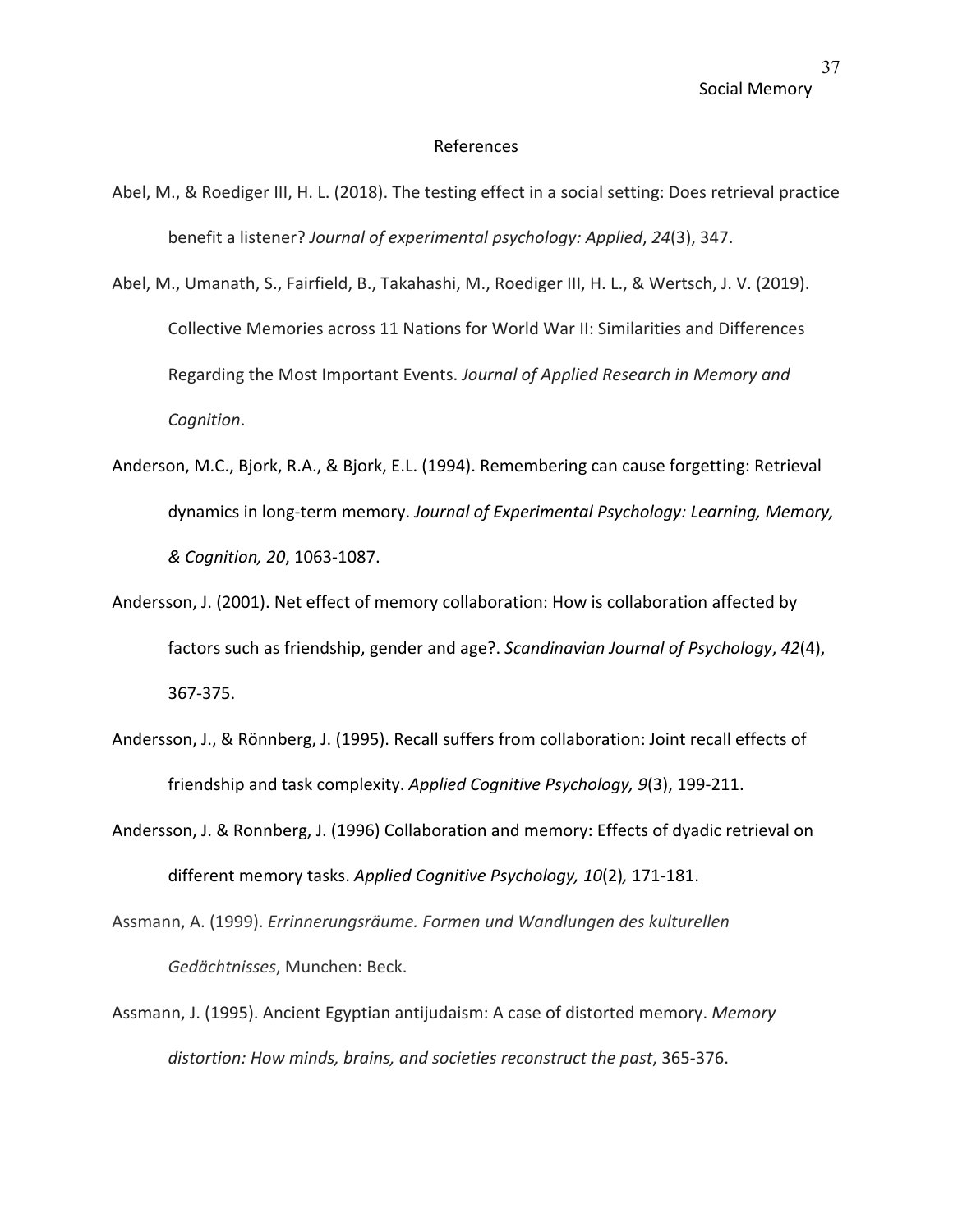#### References

- Abel, M., & Roediger III, H. L. (2018). The testing effect in a social setting: Does retrieval practice benefit a listener? *Journal of experimental psychology: Applied*, *24*(3), 347.
- Abel, M., Umanath, S., Fairfield, B., Takahashi, M., Roediger III, H. L., & Wertsch, J. V. (2019). Collective Memories across 11 Nations for World War II: Similarities and Differences Regarding the Most Important Events. *Journal of Applied Research in Memory and Cognition*.
- Anderson, M.C., Bjork, R.A., & Bjork, E.L. (1994). Remembering can cause forgetting: Retrieval dynamics in long-term memory. *Journal of Experimental Psychology: Learning, Memory, & Cognition, 20*, 1063-1087.
- Andersson, J. (2001). Net effect of memory collaboration: How is collaboration affected by factors such as friendship, gender and age?. *Scandinavian Journal of Psychology*, *42*(4), 367-375.
- Andersson, J., & Rönnberg, J. (1995). Recall suffers from collaboration: Joint recall effects of friendship and task complexity. *Applied Cognitive Psychology, 9*(3), 199-211.
- Andersson, J. & Ronnberg, J. (1996) Collaboration and memory: Effects of dyadic retrieval on different memory tasks. *Applied Cognitive Psychology, 10*(2)*,* 171-181.
- Assmann, A. (1999). *Errinnerungsräume. Formen und Wandlungen des kulturellen Gedächtnisses*, Munchen: Beck.
- Assmann, J. (1995). Ancient Egyptian antijudaism: A case of distorted memory. *Memory distortion: How minds, brains, and societies reconstruct the past*, 365-376.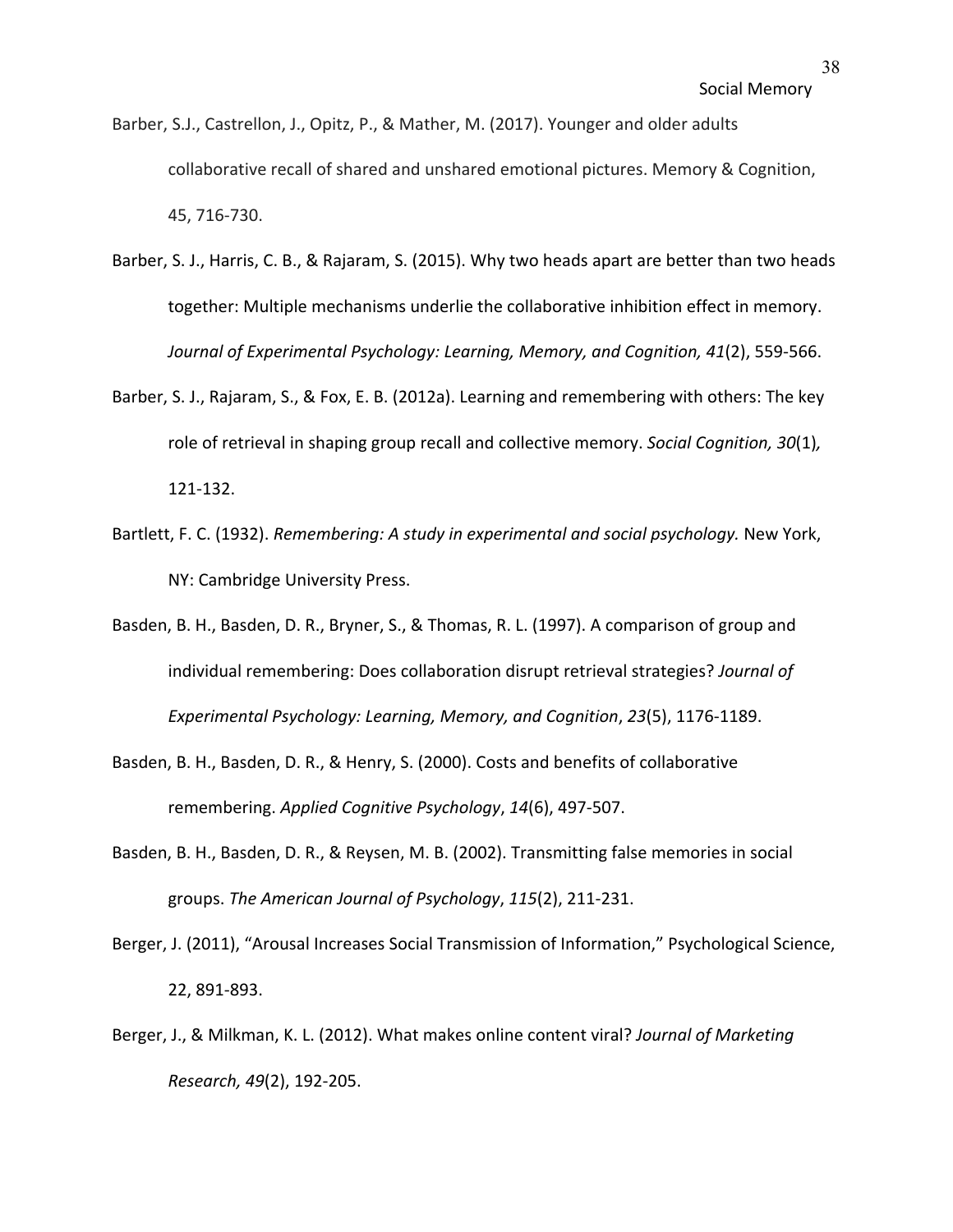- Barber, S.J., Castrellon, J., Opitz, P., & Mather, M. (2017). Younger and older adults collaborative recall of shared and unshared emotional pictures. Memory & Cognition, 45, 716-730.
- Barber, S. J., Harris, C. B., & Rajaram, S. (2015). Why two heads apart are better than two heads together: Multiple mechanisms underlie the collaborative inhibition effect in memory. *Journal of Experimental Psychology: Learning, Memory, and Cognition, 41*(2), 559-566.
- Barber, S. J., Rajaram, S., & Fox, E. B. (2012a). Learning and remembering with others: The key role of retrieval in shaping group recall and collective memory. *Social Cognition, 30*(1)*,*  121-132.
- Bartlett, F. C. (1932). *Remembering: A study in experimental and social psychology.* New York, NY: Cambridge University Press.
- Basden, B. H., Basden, D. R., Bryner, S., & Thomas, R. L. (1997). A comparison of group and individual remembering: Does collaboration disrupt retrieval strategies? *Journal of Experimental Psychology: Learning, Memory, and Cognition*, *23*(5), 1176-1189.
- Basden, B. H., Basden, D. R., & Henry, S. (2000). Costs and benefits of collaborative remembering. *Applied Cognitive Psychology*, *14*(6), 497-507.
- Basden, B. H., Basden, D. R., & Reysen, M. B. (2002). Transmitting false memories in social groups. *The American Journal of Psychology*, *115*(2), 211-231.
- Berger, J. (2011), "Arousal Increases Social Transmission of Information," Psychological Science, 22, 891-893.
- Berger, J., & Milkman, K. L. (2012). What makes online content viral? *Journal of Marketing Research, 49*(2), 192-205.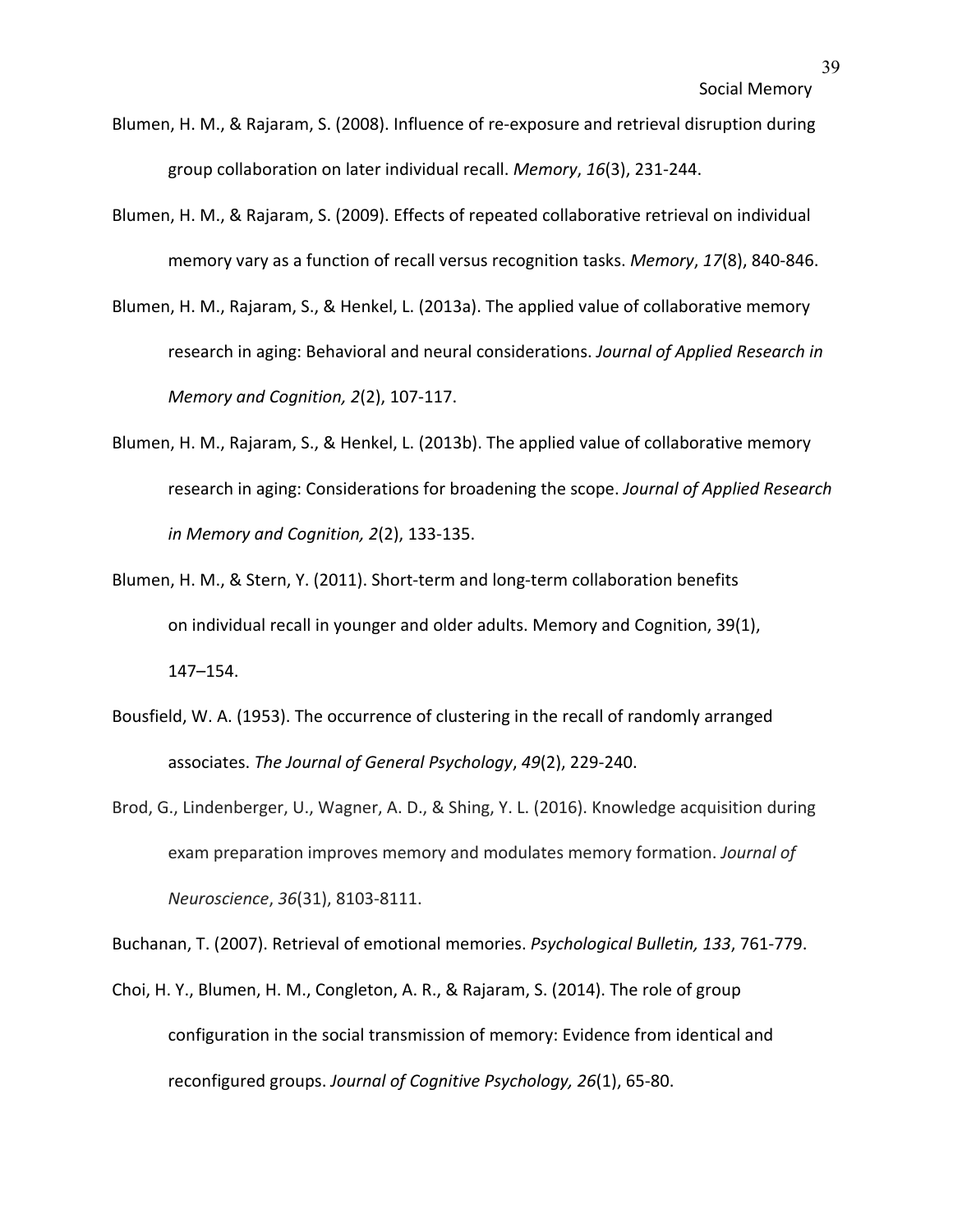- Blumen, H. M., & Rajaram, S. (2008). Influence of re-exposure and retrieval disruption during group collaboration on later individual recall. *Memory*, *16*(3), 231-244.
- Blumen, H. M., & Rajaram, S. (2009). Effects of repeated collaborative retrieval on individual memory vary as a function of recall versus recognition tasks. *Memory*, *17*(8), 840-846.
- Blumen, H. M., Rajaram, S., & Henkel, L. (2013a). The applied value of collaborative memory research in aging: Behavioral and neural considerations. *Journal of Applied Research in Memory and Cognition, 2*(2), 107-117.
- Blumen, H. M., Rajaram, S., & Henkel, L. (2013b). The applied value of collaborative memory research in aging: Considerations for broadening the scope. *Journal of Applied Research in Memory and Cognition, 2*(2), 133-135.
- Blumen, H. M., & Stern, Y. (2011). Short-term and long-term collaboration benefits on individual recall in younger and older adults. Memory and Cognition, 39(1), 147–154.
- Bousfield, W. A. (1953). The occurrence of clustering in the recall of randomly arranged associates. *The Journal of General Psychology*, *49*(2), 229-240.
- Brod, G., Lindenberger, U., Wagner, A. D., & Shing, Y. L. (2016). Knowledge acquisition during exam preparation improves memory and modulates memory formation. *Journal of Neuroscience*, *36*(31), 8103-8111.

Buchanan, T. (2007). Retrieval of emotional memories. *Psychological Bulletin, 133*, 761-779.

Choi, H. Y., Blumen, H. M., Congleton, A. R., & Rajaram, S. (2014). The role of group configuration in the social transmission of memory: Evidence from identical and reconfigured groups. *Journal of Cognitive Psychology, 26*(1), 65-80.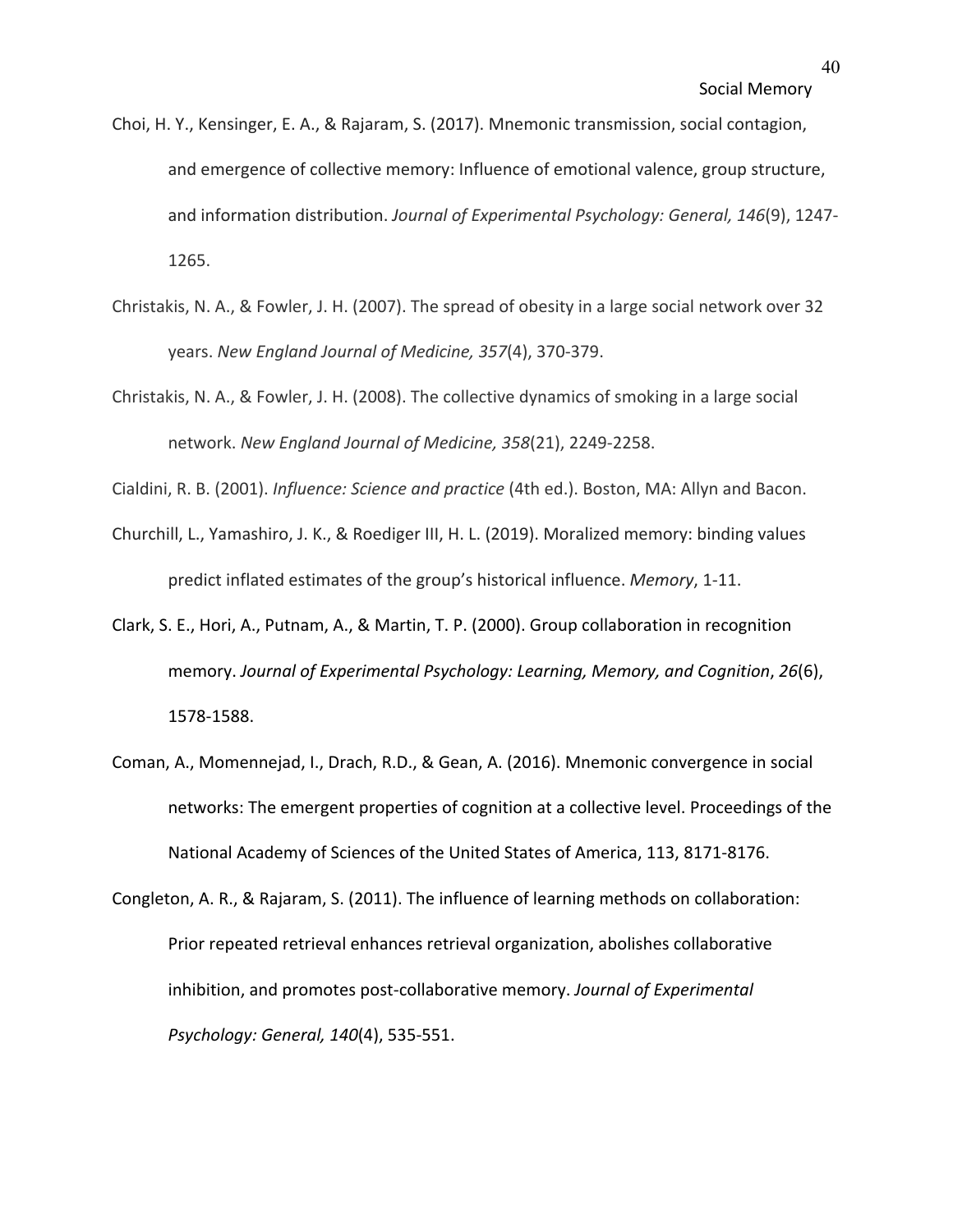- Choi, H. Y., Kensinger, E. A., & Rajaram, S. (2017). Mnemonic transmission, social contagion, and emergence of collective memory: Influence of emotional valence, group structure, and information distribution. *Journal of Experimental Psychology: General, 146*(9), 1247- 1265.
- Christakis, N. A., & Fowler, J. H. (2007). The spread of obesity in a large social network over 32 years. *New England Journal of Medicine, 357*(4), 370-379.
- Christakis, N. A., & Fowler, J. H. (2008). The collective dynamics of smoking in a large social network. *New England Journal of Medicine, 358*(21), 2249-2258.

Cialdini, R. B. (2001). *Influence: Science and practice* (4th ed.). Boston, MA: Allyn and Bacon.

- Churchill, L., Yamashiro, J. K., & Roediger III, H. L. (2019). Moralized memory: binding values predict inflated estimates of the group's historical influence. *Memory*, 1-11.
- Clark, S. E., Hori, A., Putnam, A., & Martin, T. P. (2000). Group collaboration in recognition memory. *Journal of Experimental Psychology: Learning, Memory, and Cognition*, *26*(6), 1578-1588.
- Coman, A., Momennejad, I., Drach, R.D., & Gean, A. (2016). Mnemonic convergence in social networks: The emergent properties of cognition at a collective level. Proceedings of the National Academy of Sciences of the United States of America, 113, 8171-8176.
- Congleton, A. R., & Rajaram, S. (2011). The influence of learning methods on collaboration: Prior repeated retrieval enhances retrieval organization, abolishes collaborative inhibition, and promotes post-collaborative memory. *Journal of Experimental Psychology: General, 140*(4), 535-551.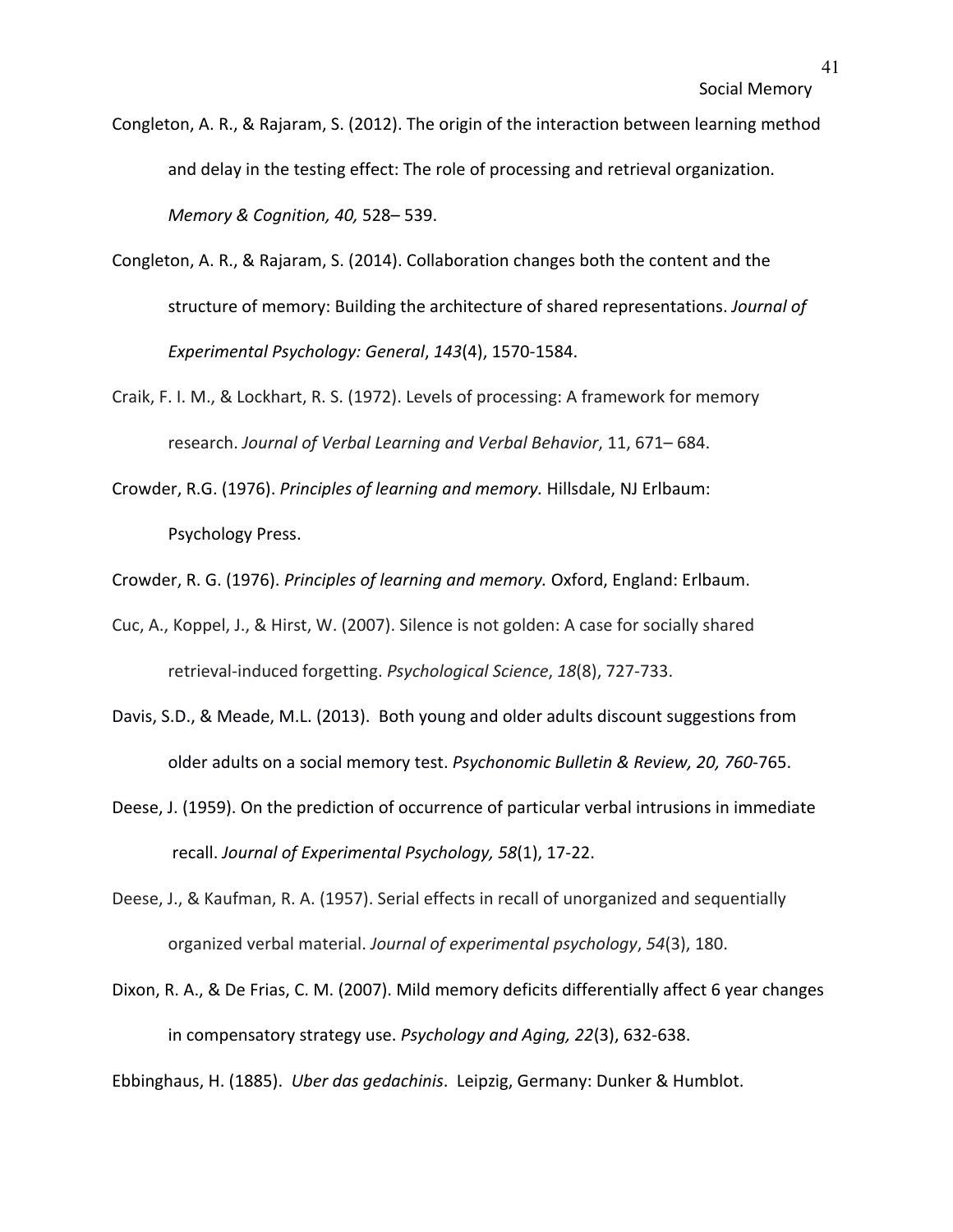- Congleton, A. R., & Rajaram, S. (2012). The origin of the interaction between learning method and delay in the testing effect: The role of processing and retrieval organization. *Memory & Cognition, 40,* 528– 539.
- Congleton, A. R., & Rajaram, S. (2014). Collaboration changes both the content and the structure of memory: Building the architecture of shared representations. *Journal of Experimental Psychology: General*, *143*(4), 1570-1584.
- Craik, F. I. M., & Lockhart, R. S. (1972). Levels of processing: A framework for memory research. *Journal of Verbal Learning and Verbal Behavior*, 11, 671– 684.
- Crowder, R.G. (1976). *Principles of learning and memory.* Hillsdale, NJ Erlbaum: Psychology Press.
- Crowder, R. G. (1976). *Principles of learning and memory.* Oxford, England: Erlbaum.
- Cuc, A., Koppel, J., & Hirst, W. (2007). Silence is not golden: A case for socially shared retrieval-induced forgetting. *Psychological Science*, *18*(8), 727-733.
- Davis, S.D., & Meade, M.L. (2013). Both young and older adults discount suggestions from older adults on a social memory test. *Psychonomic Bulletin & Review, 20, 760*-765.
- Deese, J. (1959). On the prediction of occurrence of particular verbal intrusions in immediate recall. *Journal of Experimental Psychology, 58*(1), 17-22.
- Deese, J., & Kaufman, R. A. (1957). Serial effects in recall of unorganized and sequentially organized verbal material. *Journal of experimental psychology*, *54*(3), 180.
- Dixon, R. A., & De Frias, C. M. (2007). Mild memory deficits differentially affect 6 year changes in compensatory strategy use. *Psychology and Aging, 22*(3), 632-638.

Ebbinghaus, H. (1885). *Uber das gedachinis*. Leipzig, Germany: Dunker & Humblot.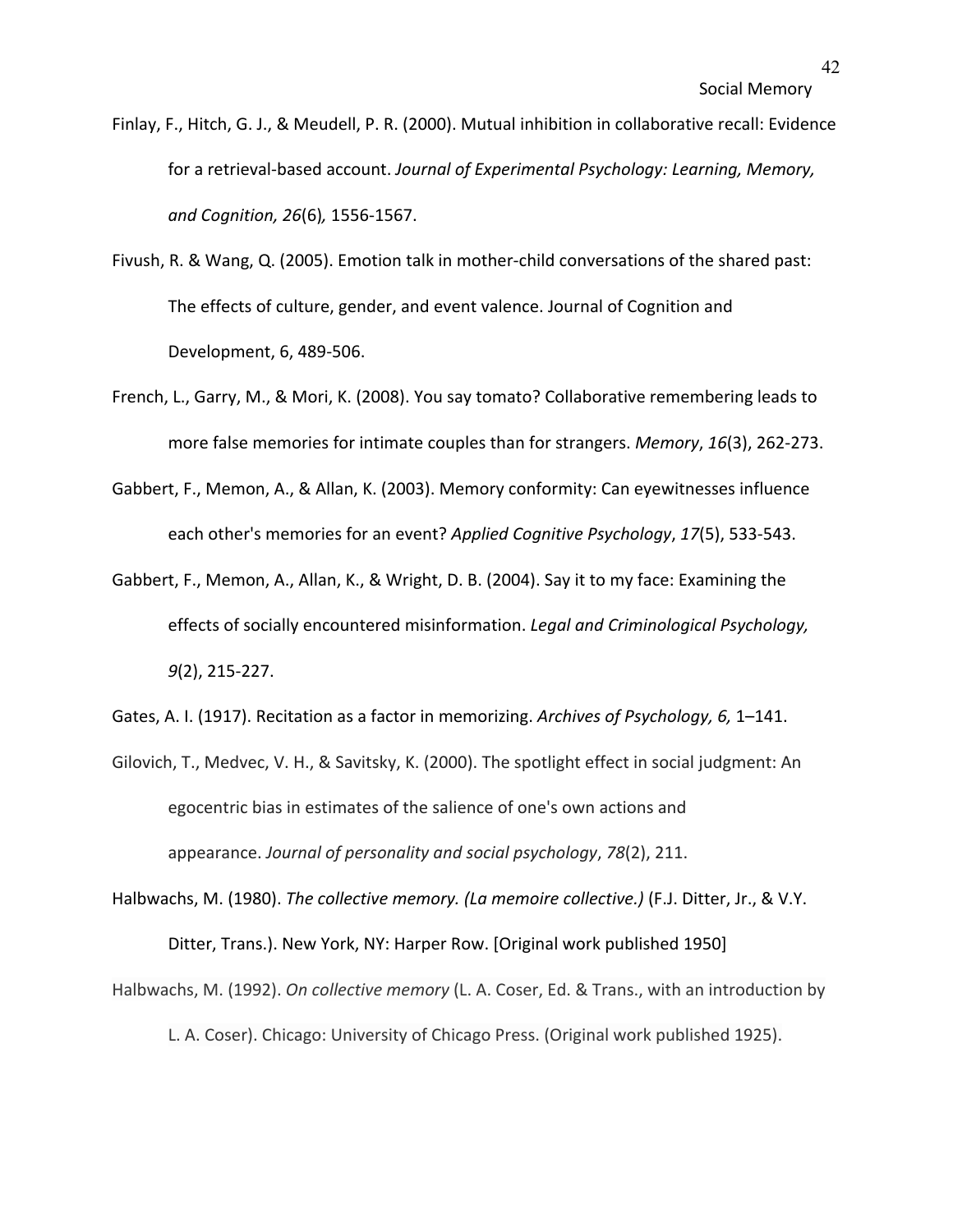- Finlay, F., Hitch, G. J., & Meudell, P. R. (2000). Mutual inhibition in collaborative recall: Evidence for a retrieval-based account. *Journal of Experimental Psychology: Learning, Memory, and Cognition, 26*(6)*,* 1556-1567.
- Fivush, R. & Wang, Q. (2005). Emotion talk in mother-child conversations of the shared past: The effects of culture, gender, and event valence. Journal of Cognition and Development, 6, 489-506.
- French, L., Garry, M., & Mori, K. (2008). You say tomato? Collaborative remembering leads to more false memories for intimate couples than for strangers. *Memory*, *16*(3), 262-273.
- Gabbert, F., Memon, A., & Allan, K. (2003). Memory conformity: Can eyewitnesses influence each other's memories for an event? *Applied Cognitive Psychology*, *17*(5), 533-543.
- Gabbert, F., Memon, A., Allan, K., & Wright, D. B. (2004). Say it to my face: Examining the effects of socially encountered misinformation. *Legal and Criminological Psychology, 9*(2), 215-227.
- Gates, A. I. (1917). Recitation as a factor in memorizing. *Archives of Psychology, 6,* 1–141.
- Gilovich, T., Medvec, V. H., & Savitsky, K. (2000). The spotlight effect in social judgment: An egocentric bias in estimates of the salience of one's own actions and appearance. *Journal of personality and social psychology*, *78*(2), 211.
- Halbwachs, M. (1980). *The collective memory. (La memoire collective.)* (F.J. Ditter, Jr., & V.Y. Ditter, Trans.). New York, NY: Harper Row. [Original work published 1950]
- Halbwachs, M. (1992). *On collective memory* (L. A. Coser, Ed. & Trans., with an introduction by L. A. Coser). Chicago: University of Chicago Press. (Original work published 1925).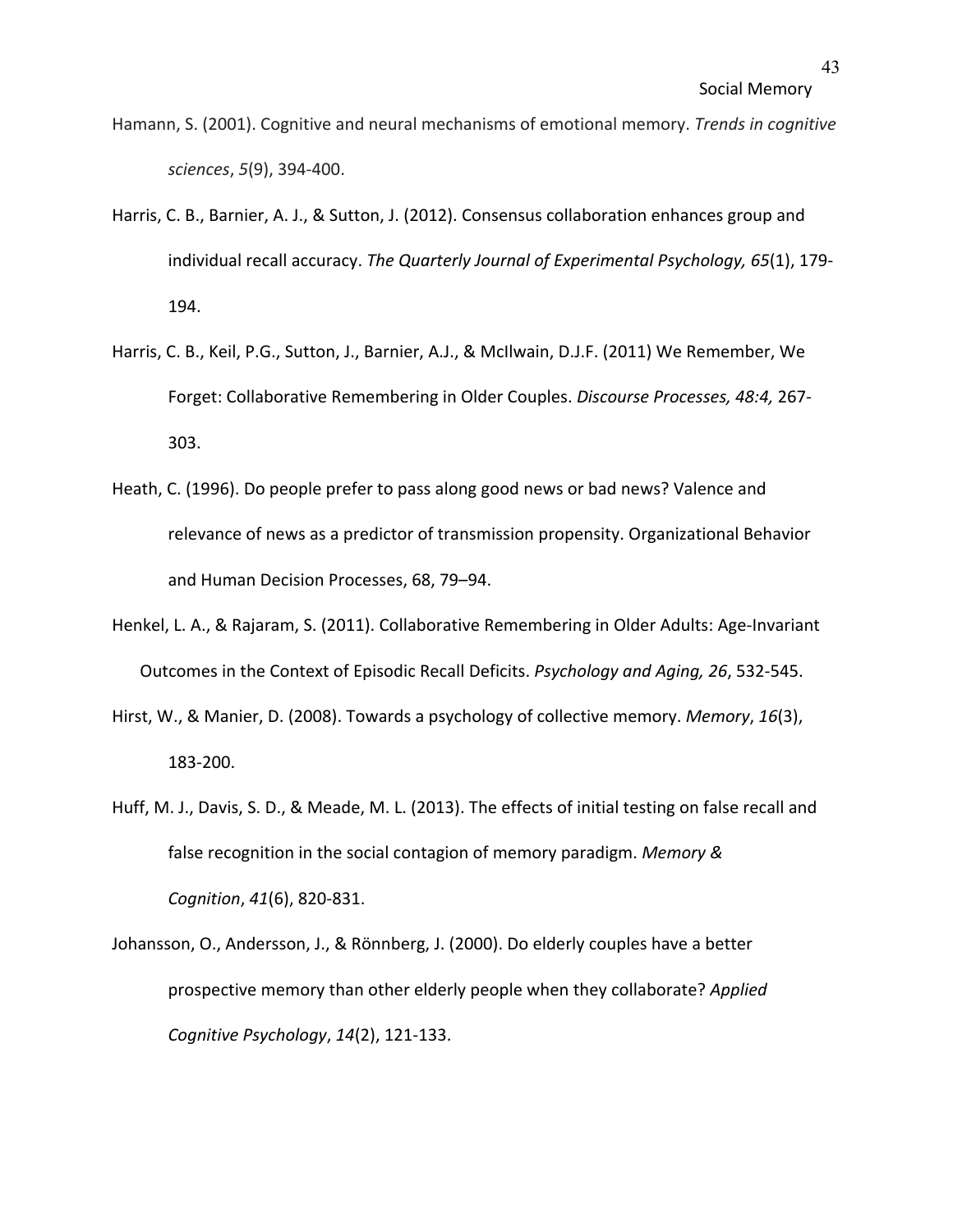- Hamann, S. (2001). Cognitive and neural mechanisms of emotional memory. *Trends in cognitive sciences*, *5*(9), 394-400.
- Harris, C. B., Barnier, A. J., & Sutton, J. (2012). Consensus collaboration enhances group and individual recall accuracy. *The Quarterly Journal of Experimental Psychology, 65*(1), 179- 194.
- Harris, C. B., Keil, P.G., Sutton, J., Barnier, A.J., & McIlwain, D.J.F. (2011) We Remember, We Forget: Collaborative Remembering in Older Couples. *Discourse Processes, 48:4,* 267- 303.
- Heath, C. (1996). Do people prefer to pass along good news or bad news? Valence and relevance of news as a predictor of transmission propensity. Organizational Behavior and Human Decision Processes, 68, 79–94.
- Henkel, L. A., & Rajaram, S. (2011). Collaborative Remembering in Older Adults: Age-Invariant Outcomes in the Context of Episodic Recall Deficits. *Psychology and Aging, 26*, 532-545.
- Hirst, W., & Manier, D. (2008). Towards a psychology of collective memory. *Memory*, *16*(3), 183-200.
- Huff, M. J., Davis, S. D., & Meade, M. L. (2013). The effects of initial testing on false recall and false recognition in the social contagion of memory paradigm. *Memory & Cognition*, *41*(6), 820-831.
- Johansson, O., Andersson, J., & Rönnberg, J. (2000). Do elderly couples have a better prospective memory than other elderly people when they collaborate? *Applied Cognitive Psychology*, *14*(2), 121-133.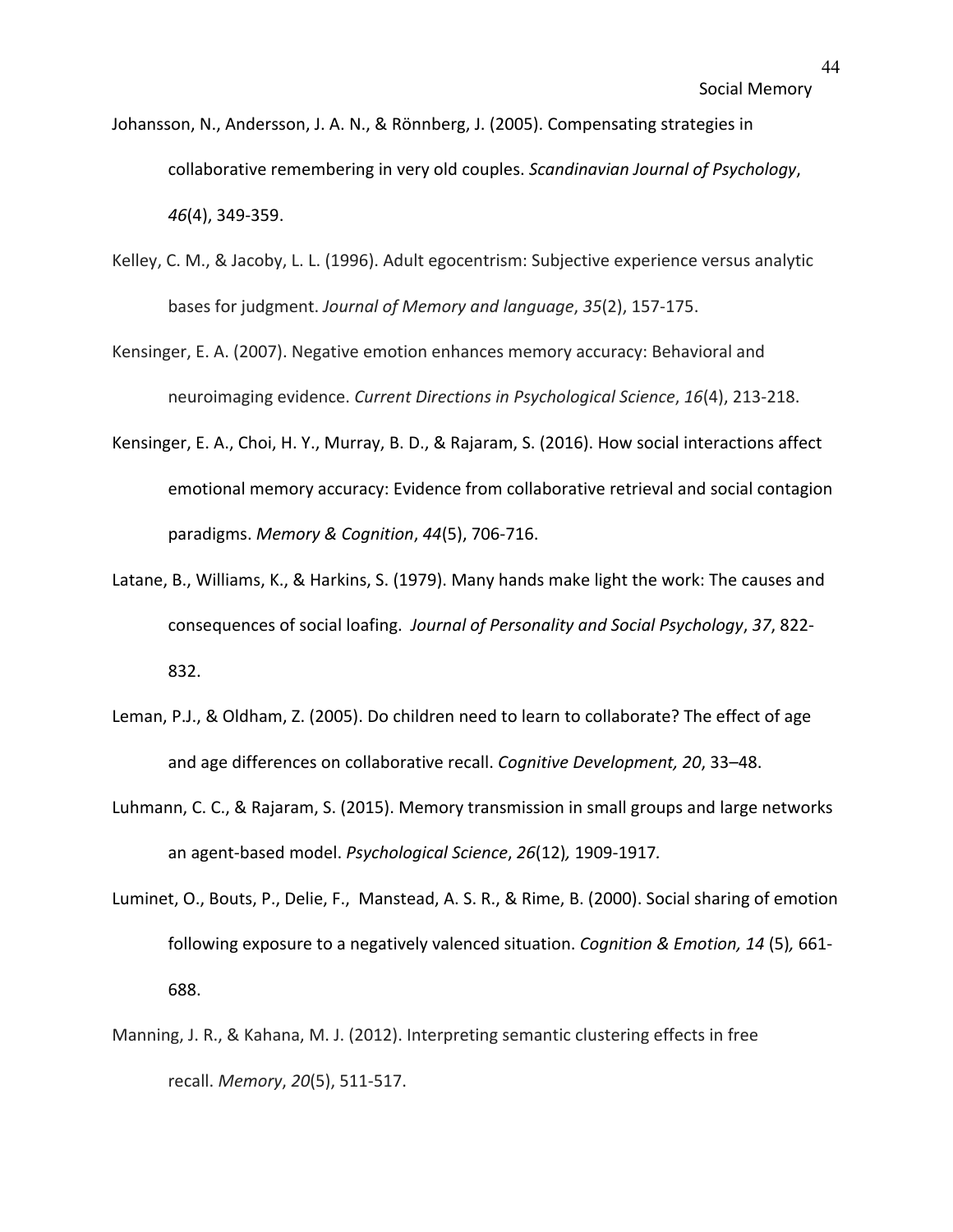- Johansson, N., Andersson, J. A. N., & Rönnberg, J. (2005). Compensating strategies in collaborative remembering in very old couples. *Scandinavian Journal of Psychology*, *46*(4), 349-359.
- Kelley, C. M., & Jacoby, L. L. (1996). Adult egocentrism: Subjective experience versus analytic bases for judgment. *Journal of Memory and language*, *35*(2), 157-175.
- Kensinger, E. A. (2007). Negative emotion enhances memory accuracy: Behavioral and neuroimaging evidence. *Current Directions in Psychological Science*, *16*(4), 213-218.
- Kensinger, E. A., Choi, H. Y., Murray, B. D., & Rajaram, S. (2016). How social interactions affect emotional memory accuracy: Evidence from collaborative retrieval and social contagion paradigms. *Memory & Cognition*, *44*(5), 706-716.
- Latane, B., Williams, K., & Harkins, S. (1979). Many hands make light the work: The causes and consequences of social loafing. *Journal of Personality and Social Psychology*, *37*, 822- 832.
- Leman, P.J., & Oldham, Z. (2005). Do children need to learn to collaborate? The effect of age and age differences on collaborative recall. *Cognitive Development, 20*, 33–48.
- Luhmann, C. C., & Rajaram, S. (2015). Memory transmission in small groups and large networks an agent-based model. *Psychological Science*, *26*(12)*,* 1909-1917*.*
- Luminet, O., Bouts, P., Delie, F., Manstead, A. S. R., & Rime, B. (2000). Social sharing of emotion following exposure to a negatively valenced situation. *Cognition & Emotion, 14* (5)*,* 661- 688.
- Manning, J. R., & Kahana, M. J. (2012). Interpreting semantic clustering effects in free recall. *Memory*, *20*(5), 511-517.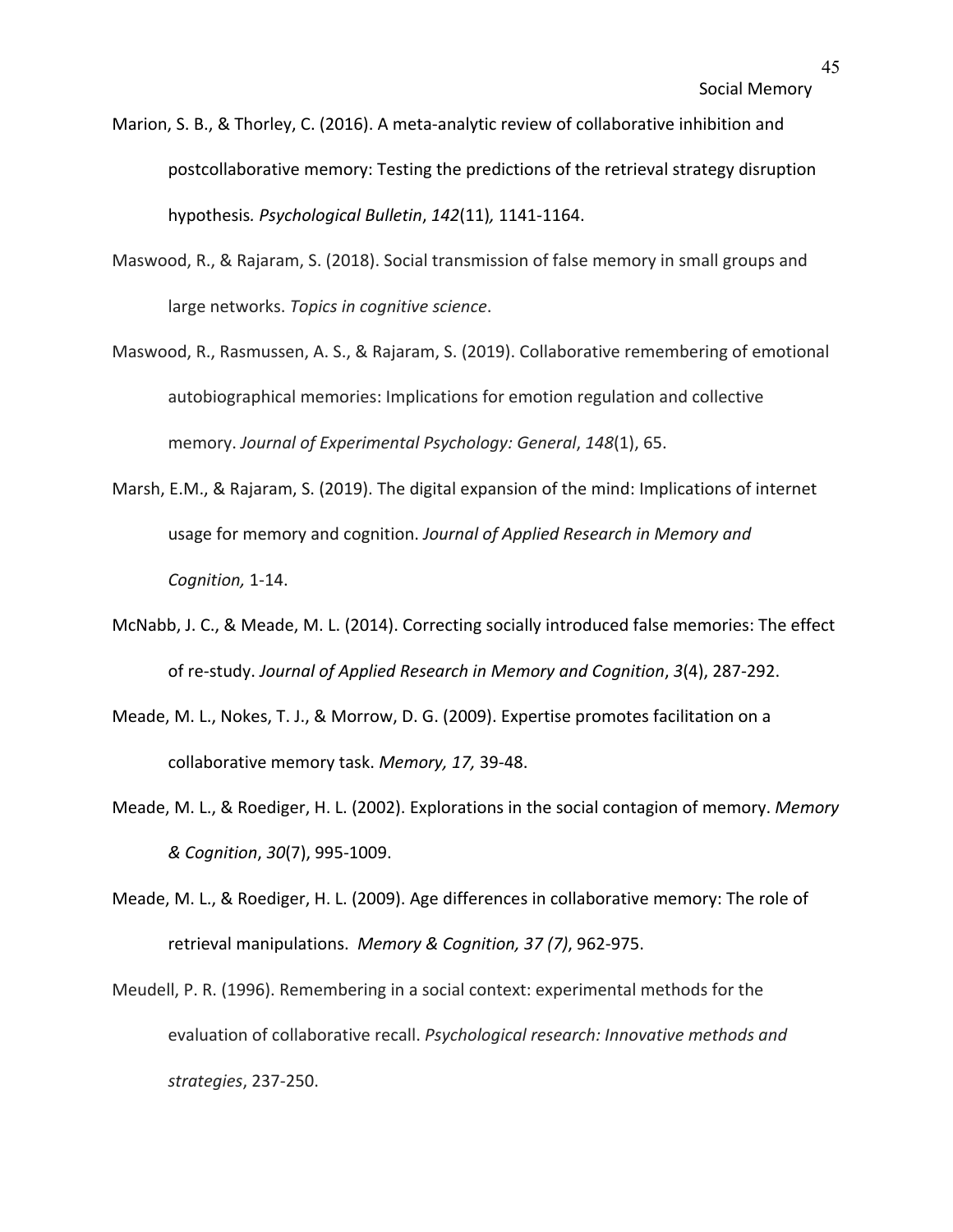- Marion, S. B., & Thorley, C. (2016). A meta-analytic review of collaborative inhibition and postcollaborative memory: Testing the predictions of the retrieval strategy disruption hypothesis*. Psychological Bulletin*, *142*(11)*,* 1141-1164.
- Maswood, R., & Rajaram, S. (2018). Social transmission of false memory in small groups and large networks. *Topics in cognitive science*.
- Maswood, R., Rasmussen, A. S., & Rajaram, S. (2019). Collaborative remembering of emotional autobiographical memories: Implications for emotion regulation and collective memory. *Journal of Experimental Psychology: General*, *148*(1), 65.
- Marsh, E.M., & Rajaram, S. (2019). The digital expansion of the mind: Implications of internet usage for memory and cognition. *Journal of Applied Research in Memory and Cognition,* 1-14.
- McNabb, J. C., & Meade, M. L. (2014). Correcting socially introduced false memories: The effect of re-study. *Journal of Applied Research in Memory and Cognition*, *3*(4), 287-292.
- Meade, M. L., Nokes, T. J., & Morrow, D. G. (2009). Expertise promotes facilitation on a collaborative memory task. *Memory, 17,* 39-48.
- Meade, M. L., & Roediger, H. L. (2002). Explorations in the social contagion of memory. *Memory & Cognition*, *30*(7), 995-1009.
- Meade, M. L., & Roediger, H. L. (2009). Age differences in collaborative memory: The role of retrieval manipulations. *Memory & Cognition, 37 (7)*, 962-975.
- Meudell, P. R. (1996). Remembering in a social context: experimental methods for the evaluation of collaborative recall. *Psychological research: Innovative methods and strategies*, 237-250.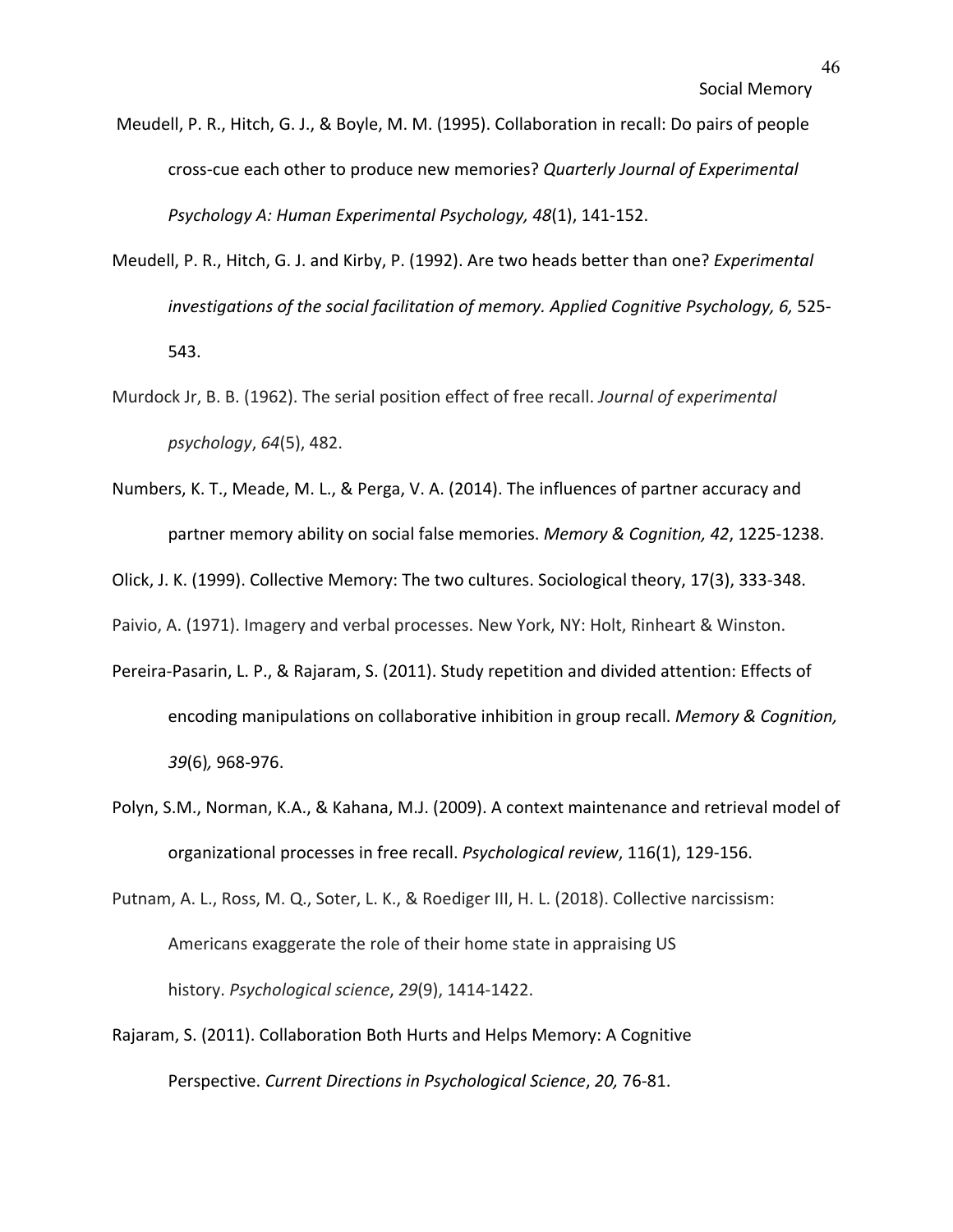- Meudell, P. R., Hitch, G. J., & Boyle, M. M. (1995). Collaboration in recall: Do pairs of people cross-cue each other to produce new memories? *Quarterly Journal of Experimental Psychology A: Human Experimental Psychology, 48*(1), 141-152.
- Meudell, P. R., Hitch, G. J. and Kirby, P. (1992). Are two heads better than one? *Experimental investigations of the social facilitation of memory. Applied Cognitive Psychology, 6,* 525- 543.
- Murdock Jr, B. B. (1962). The serial position effect of free recall. *Journal of experimental psychology*, *64*(5), 482.
- Numbers, K. T., Meade, M. L., & Perga, V. A. (2014). The influences of partner accuracy and partner memory ability on social false memories. *Memory & Cognition, 42*, 1225-1238.

Olick, J. K. (1999). Collective Memory: The two cultures. Sociological theory, 17(3), 333-348.

Paivio, A. (1971). Imagery and verbal processes. New York, NY: Holt, Rinheart & Winston.

- Pereira-Pasarin, L. P., & Rajaram, S. (2011). Study repetition and divided attention: Effects of encoding manipulations on collaborative inhibition in group recall. *Memory & Cognition, 39*(6)*,* 968-976.
- Polyn, S.M., Norman, K.A., & Kahana, M.J. (2009). A context maintenance and retrieval model of organizational processes in free recall. *Psychological review*, 116(1), 129-156.

Putnam, A. L., Ross, M. Q., Soter, L. K., & Roediger III, H. L. (2018). Collective narcissism: Americans exaggerate the role of their home state in appraising US history. *Psychological science*, *29*(9), 1414-1422.

Rajaram, S. (2011). Collaboration Both Hurts and Helps Memory: A Cognitive Perspective. *Current Directions in Psychological Science*, *20,* 76-81.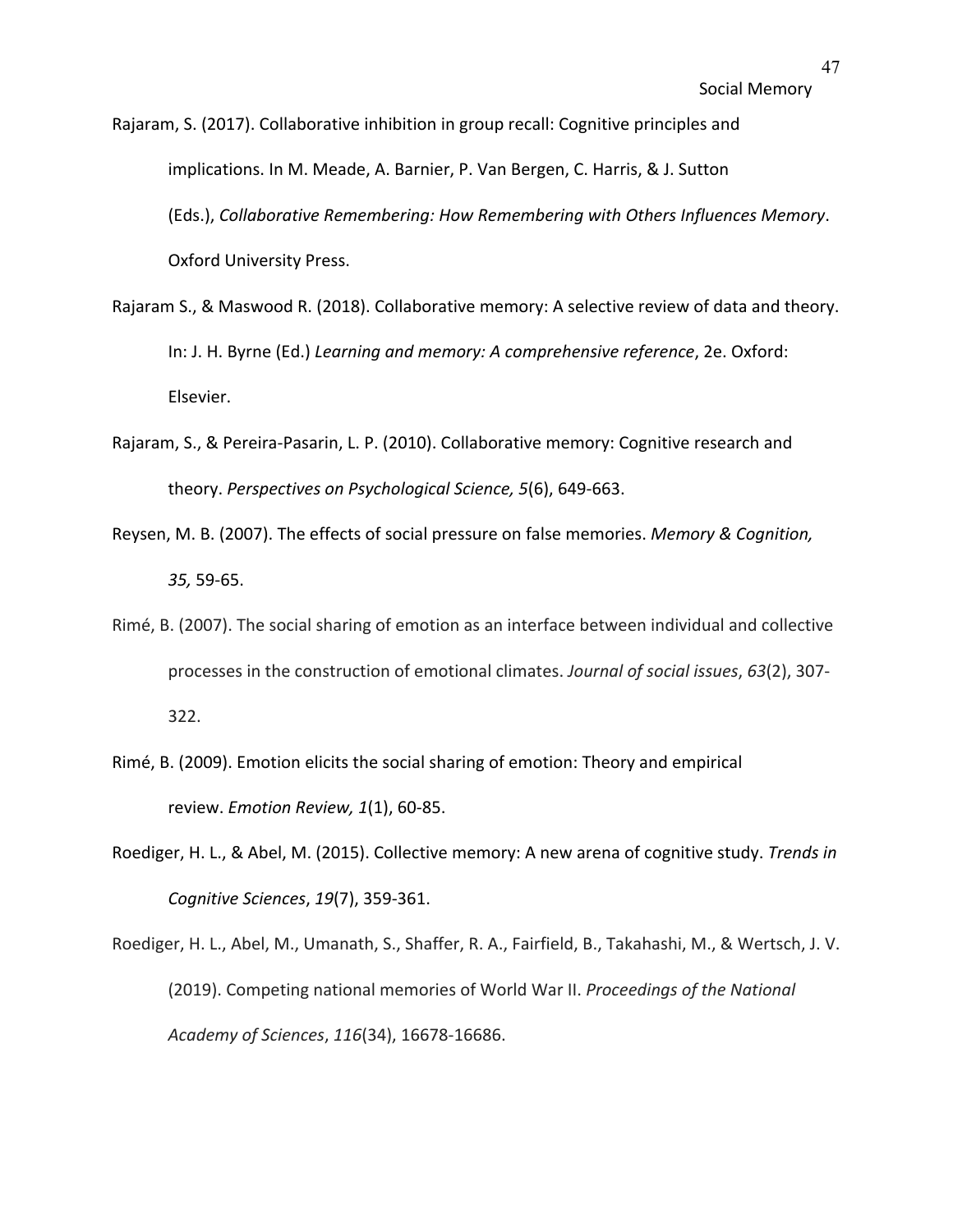Rajaram, S. (2017). Collaborative inhibition in group recall: Cognitive principles and implications. In M. Meade, A. Barnier, P. Van Bergen, C. Harris, & J. Sutton (Eds.), *Collaborative Remembering: How Remembering with Others Influences Memory*. Oxford University Press.

- Rajaram S., & Maswood R. (2018). Collaborative memory: A selective review of data and theory. In: J. H. Byrne (Ed.) *Learning and memory: A comprehensive reference*, 2e. Oxford: Elsevier.
- Rajaram, S., & Pereira-Pasarin, L. P. (2010). Collaborative memory: Cognitive research and theory. *Perspectives on Psychological Science, 5*(6), 649-663.
- Reysen, M. B. (2007). The effects of social pressure on false memories. *Memory & Cognition, 35,* 59-65.
- Rimé, B. (2007). The social sharing of emotion as an interface between individual and collective processes in the construction of emotional climates. *Journal of social issues*, *63*(2), 307- 322.
- Rimé, B. (2009). Emotion elicits the social sharing of emotion: Theory and empirical review. *Emotion Review, 1*(1), 60-85.
- Roediger, H. L., & Abel, M. (2015). Collective memory: A new arena of cognitive study. *Trends in Cognitive Sciences*, *19*(7), 359-361.
- Roediger, H. L., Abel, M., Umanath, S., Shaffer, R. A., Fairfield, B., Takahashi, M., & Wertsch, J. V. (2019). Competing national memories of World War II. *Proceedings of the National Academy of Sciences*, *116*(34), 16678-16686.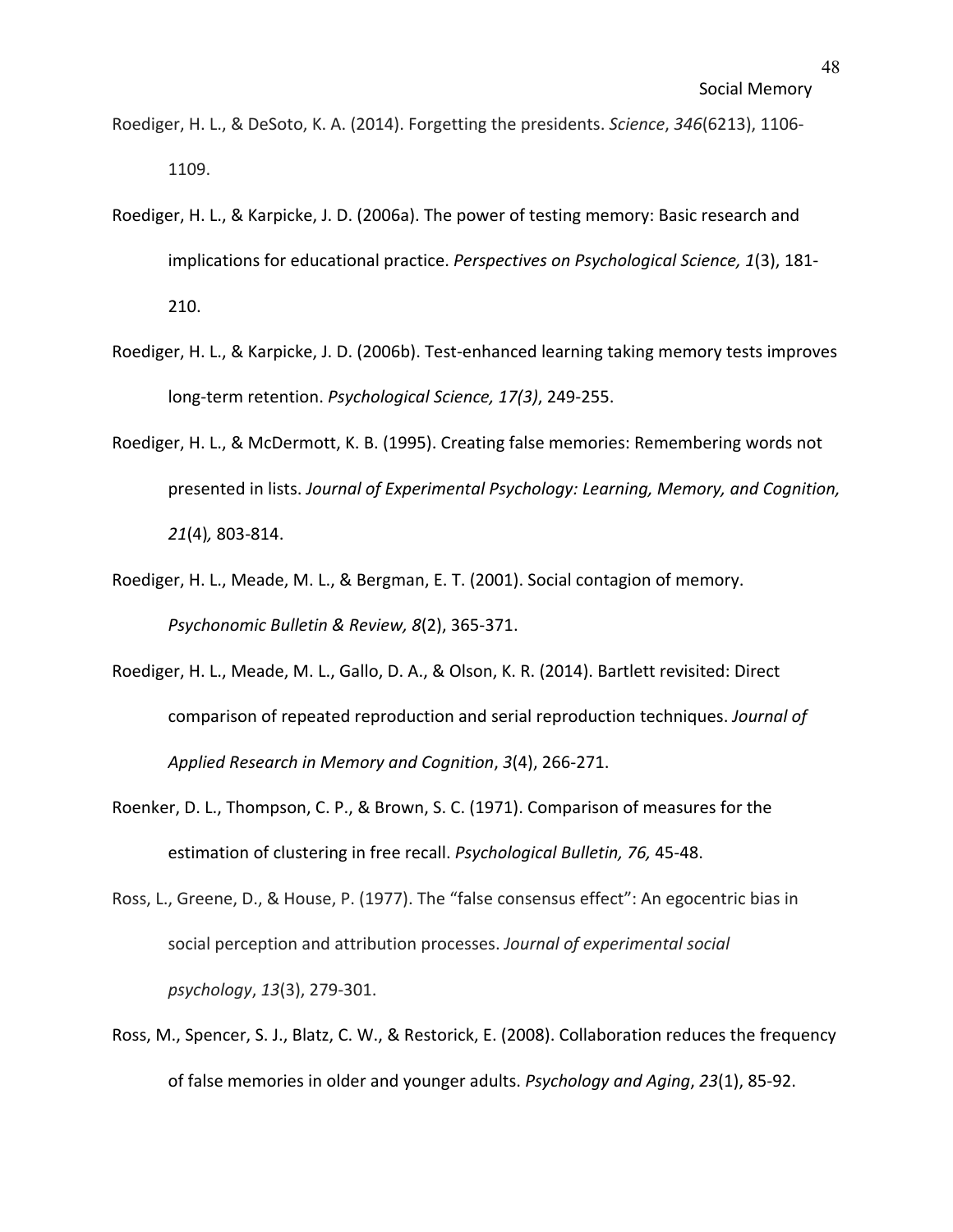- Roediger, H. L., & DeSoto, K. A. (2014). Forgetting the presidents. *Science*, *346*(6213), 1106- 1109.
- Roediger, H. L., & Karpicke, J. D. (2006a). The power of testing memory: Basic research and implications for educational practice. *Perspectives on Psychological Science, 1*(3), 181- 210.
- Roediger, H. L., & Karpicke, J. D. (2006b). Test-enhanced learning taking memory tests improves long-term retention. *Psychological Science, 17(3)*, 249-255.
- Roediger, H. L., & McDermott, K. B. (1995). Creating false memories: Remembering words not presented in lists. *Journal of Experimental Psychology: Learning, Memory, and Cognition, 21*(4)*,* 803-814.
- Roediger, H. L., Meade, M. L., & Bergman, E. T. (2001). Social contagion of memory. *Psychonomic Bulletin & Review, 8*(2), 365-371.
- Roediger, H. L., Meade, M. L., Gallo, D. A., & Olson, K. R. (2014). Bartlett revisited: Direct comparison of repeated reproduction and serial reproduction techniques. *Journal of Applied Research in Memory and Cognition*, *3*(4), 266-271.
- Roenker, D. L., Thompson, C. P., & Brown, S. C. (1971). Comparison of measures for the estimation of clustering in free recall. *Psychological Bulletin, 76,* 45-48.
- Ross, L., Greene, D., & House, P. (1977). The "false consensus effect": An egocentric bias in social perception and attribution processes. *Journal of experimental social psychology*, *13*(3), 279-301.
- Ross, M., Spencer, S. J., Blatz, C. W., & Restorick, E. (2008). Collaboration reduces the frequency of false memories in older and younger adults. *Psychology and Aging*, *23*(1), 85-92.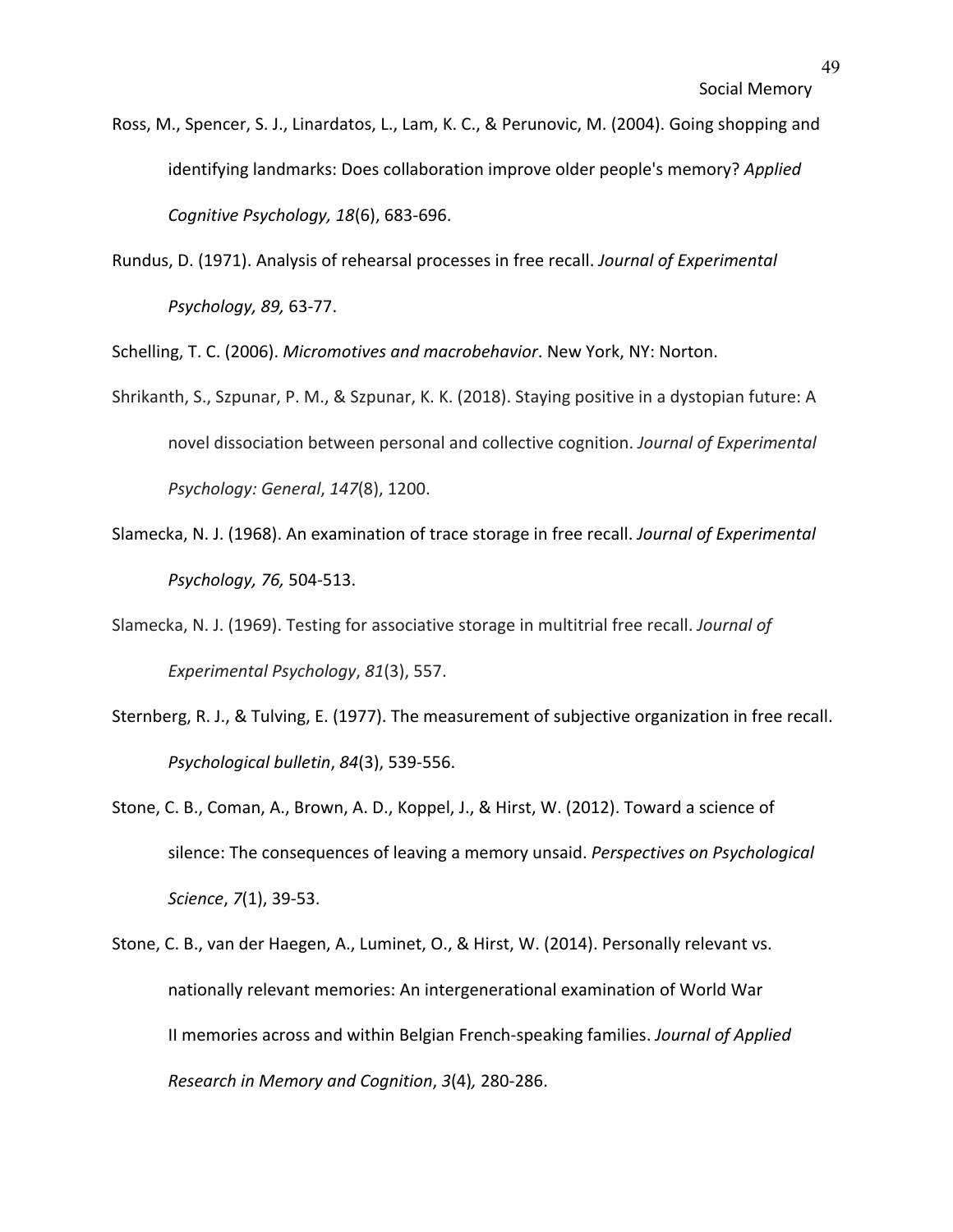- Ross, M., Spencer, S. J., Linardatos, L., Lam, K. C., & Perunovic, M. (2004). Going shopping and identifying landmarks: Does collaboration improve older people's memory? *Applied Cognitive Psychology, 18*(6), 683-696.
- Rundus, D. (1971). Analysis of rehearsal processes in free recall. *Journal of Experimental Psychology, 89,* 63-77.

Schelling, T. C. (2006). *Micromotives and macrobehavior*. New York, NY: Norton.

- Shrikanth, S., Szpunar, P. M., & Szpunar, K. K. (2018). Staying positive in a dystopian future: A novel dissociation between personal and collective cognition. *Journal of Experimental Psychology: General*, *147*(8), 1200.
- Slamecka, N. J. (1968). An examination of trace storage in free recall. *Journal of Experimental Psychology, 76,* 504-513.
- Slamecka, N. J. (1969). Testing for associative storage in multitrial free recall. *Journal of Experimental Psychology*, *81*(3), 557.
- Sternberg, R. J., & Tulving, E. (1977). The measurement of subjective organization in free recall. *Psychological bulletin*, *84*(3), 539-556.
- Stone, C. B., Coman, A., Brown, A. D., Koppel, J., & Hirst, W. (2012). Toward a science of silence: The consequences of leaving a memory unsaid. *Perspectives on Psychological Science*, *7*(1), 39-53.
- Stone, C. B., van der Haegen, A., Luminet, O., & Hirst, W. (2014). Personally relevant vs. nationally relevant memories: An intergenerational examination of World War II memories across and within Belgian French-speaking families. *Journal of Applied Research in Memory and Cognition*, *3*(4)*,* 280-286.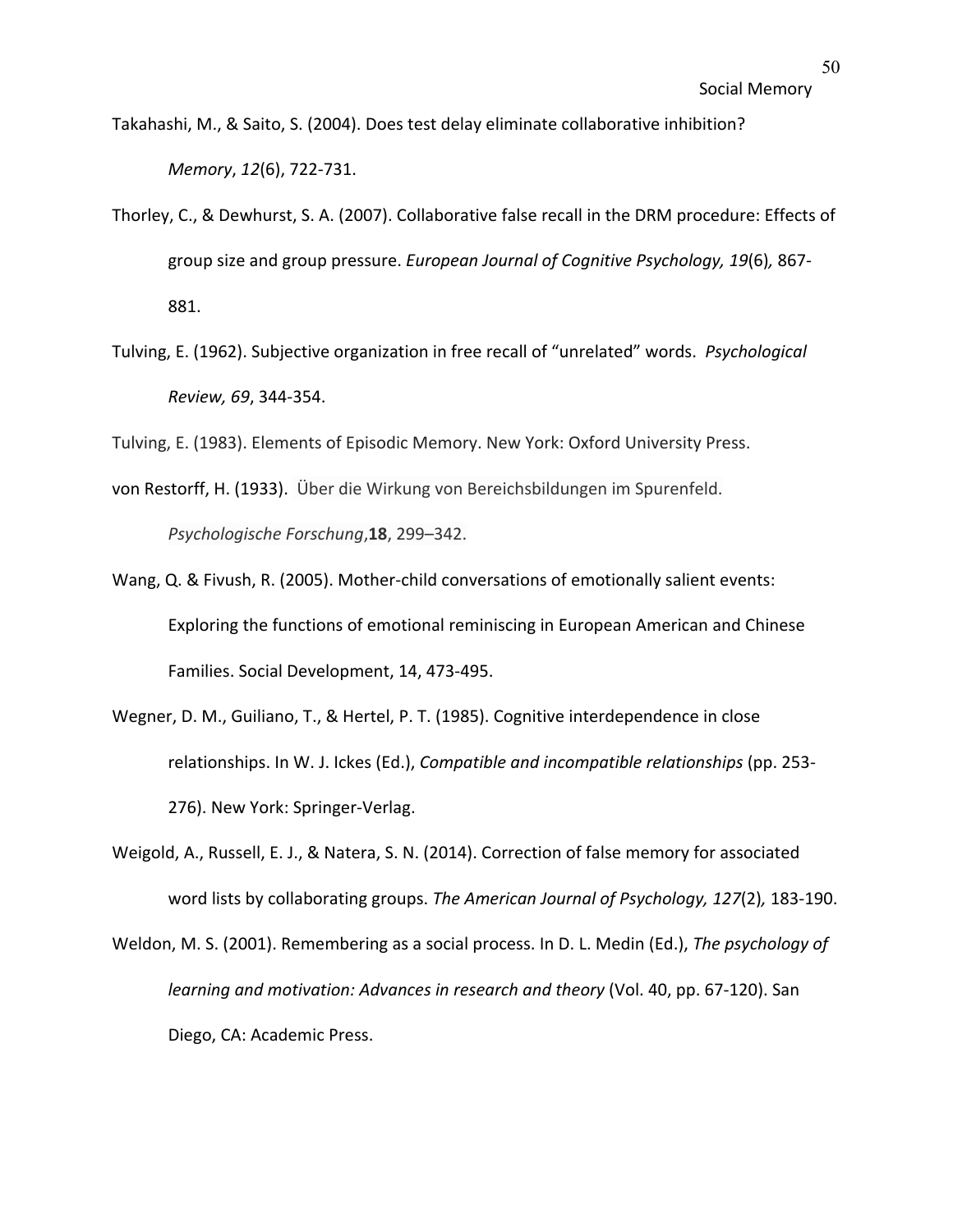- Takahashi, M., & Saito, S. (2004). Does test delay eliminate collaborative inhibition? *Memory*, *12*(6), 722-731.
- Thorley, C., & Dewhurst, S. A. (2007). Collaborative false recall in the DRM procedure: Effects of group size and group pressure. *European Journal of Cognitive Psychology, 19*(6)*,* 867- 881.
- Tulving, E. (1962). Subjective organization in free recall of "unrelated" words. *Psychological Review, 69*, 344-354.
- Tulving, E. (1983). Elements of Episodic Memory. New York: Oxford University Press.
- von Restorff, H. (1933). Über die Wirkung von Bereichsbildungen im Spurenfeld. *Psychologische Forschung*,**18**, 299–342.
- Wang, Q. & Fivush, R. (2005). Mother-child conversations of emotionally salient events: Exploring the functions of emotional reminiscing in European American and Chinese Families. Social Development, 14, 473-495.
- Wegner, D. M., Guiliano, T., & Hertel, P. T. (1985). Cognitive interdependence in close relationships. In W. J. Ickes (Ed.), *Compatible and incompatible relationships* (pp. 253- 276). New York: Springer-Verlag.
- Weigold, A., Russell, E. J., & Natera, S. N. (2014). Correction of false memory for associated word lists by collaborating groups. *The American Journal of Psychology, 127*(2)*,* 183-190.
- Weldon, M. S. (2001). Remembering as a social process. In D. L. Medin (Ed.), *The psychology of learning and motivation: Advances in research and theory* (Vol. 40, pp. 67-120). San Diego, CA: Academic Press.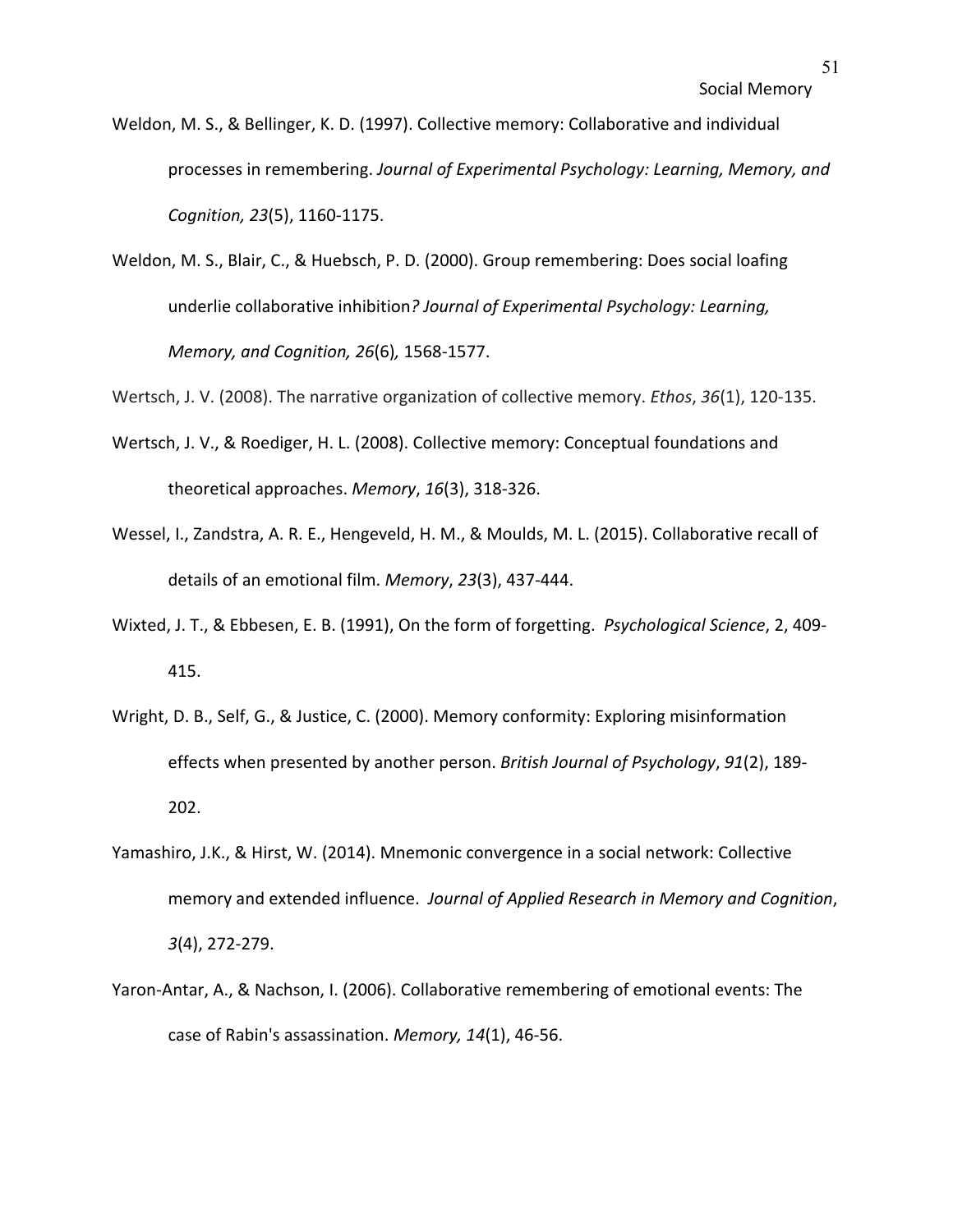- Weldon, M. S., & Bellinger, K. D. (1997). Collective memory: Collaborative and individual processes in remembering. *Journal of Experimental Psychology: Learning, Memory, and Cognition, 23*(5), 1160-1175.
- Weldon, M. S., Blair, C., & Huebsch, P. D. (2000). Group remembering: Does social loafing underlie collaborative inhibition*? Journal of Experimental Psychology: Learning, Memory, and Cognition, 26*(6)*,* 1568-1577.
- Wertsch, J. V. (2008). The narrative organization of collective memory. *Ethos*, *36*(1), 120-135.
- Wertsch, J. V., & Roediger, H. L. (2008). Collective memory: Conceptual foundations and theoretical approaches. *Memory*, *16*(3), 318-326.
- Wessel, I., Zandstra, A. R. E., Hengeveld, H. M., & Moulds, M. L. (2015). Collaborative recall of details of an emotional film. *Memory*, *23*(3), 437-444.
- Wixted, J. T., & Ebbesen, E. B. (1991), On the form of forgetting. *Psychological Science*, 2, 409- 415.
- Wright, D. B., Self, G., & Justice, C. (2000). Memory conformity: Exploring misinformation effects when presented by another person. *British Journal of Psychology*, *91*(2), 189- 202.
- Yamashiro, J.K., & Hirst, W. (2014). Mnemonic convergence in a social network: Collective memory and extended influence. *Journal of Applied Research in Memory and Cognition*, *3*(4), 272-279.
- Yaron-Antar, A., & Nachson, I. (2006). Collaborative remembering of emotional events: The case of Rabin's assassination. *Memory, 14*(1), 46-56.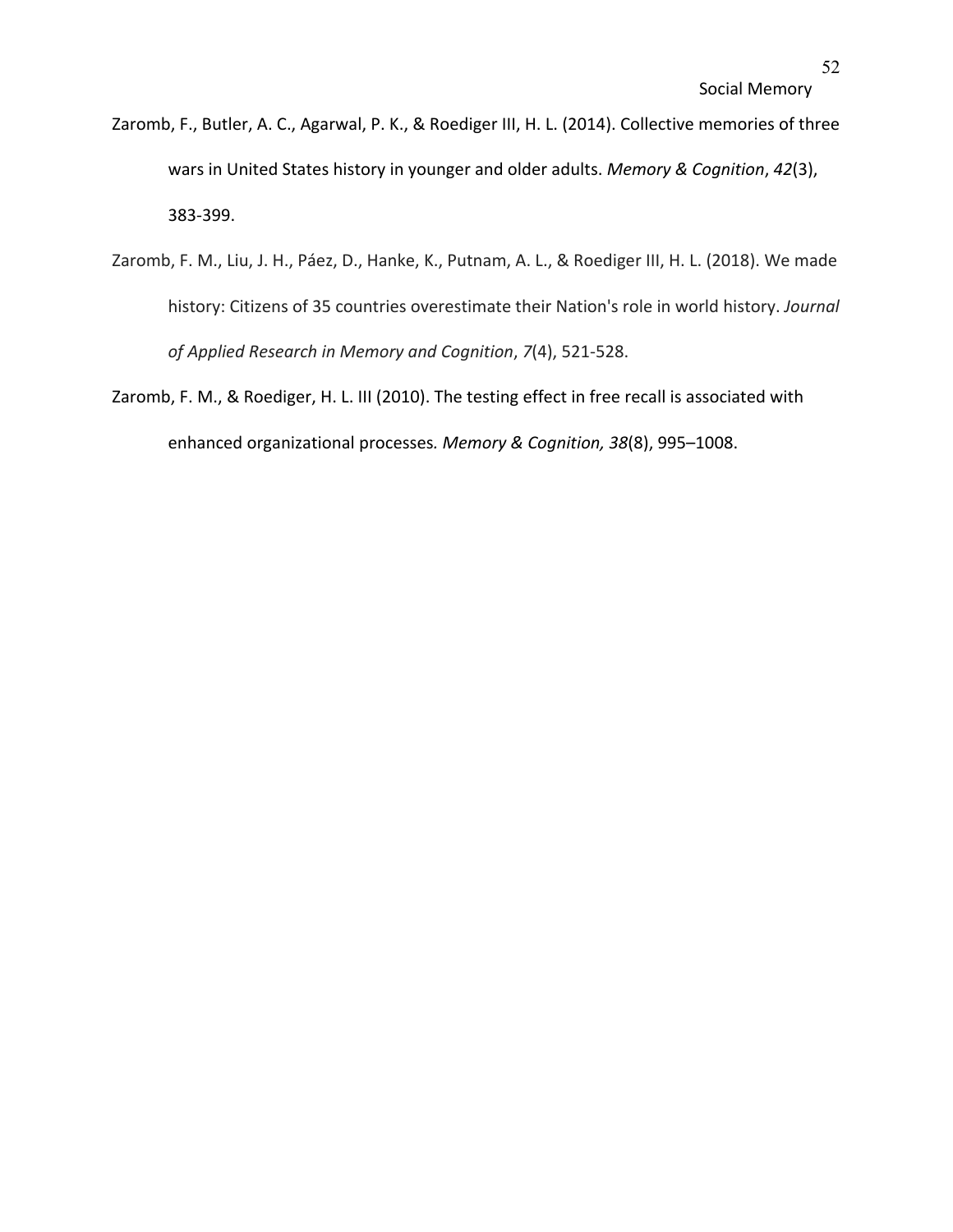- Zaromb, F., Butler, A. C., Agarwal, P. K., & Roediger III, H. L. (2014). Collective memories of three wars in United States history in younger and older adults. *Memory & Cognition*, *42*(3), 383-399.
- Zaromb, F. M., Liu, J. H., Páez, D., Hanke, K., Putnam, A. L., & Roediger III, H. L. (2018). We made history: Citizens of 35 countries overestimate their Nation's role in world history. *Journal of Applied Research in Memory and Cognition*, *7*(4), 521-528.
- Zaromb, F. M., & Roediger, H. L. III (2010). The testing effect in free recall is associated with enhanced organizational processes*. Memory & Cognition, 38*(8), 995–1008.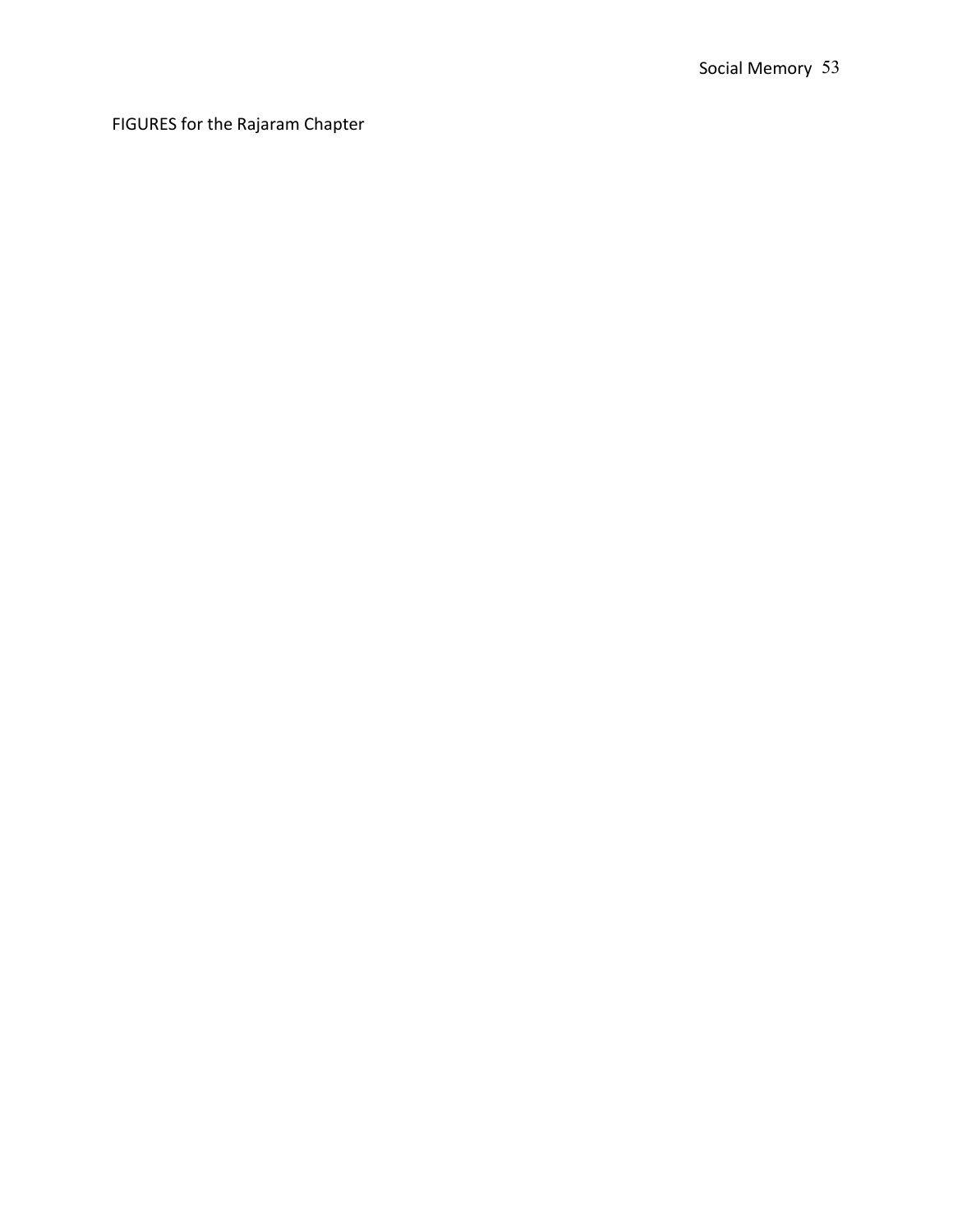FIGURES for the Rajaram Chapter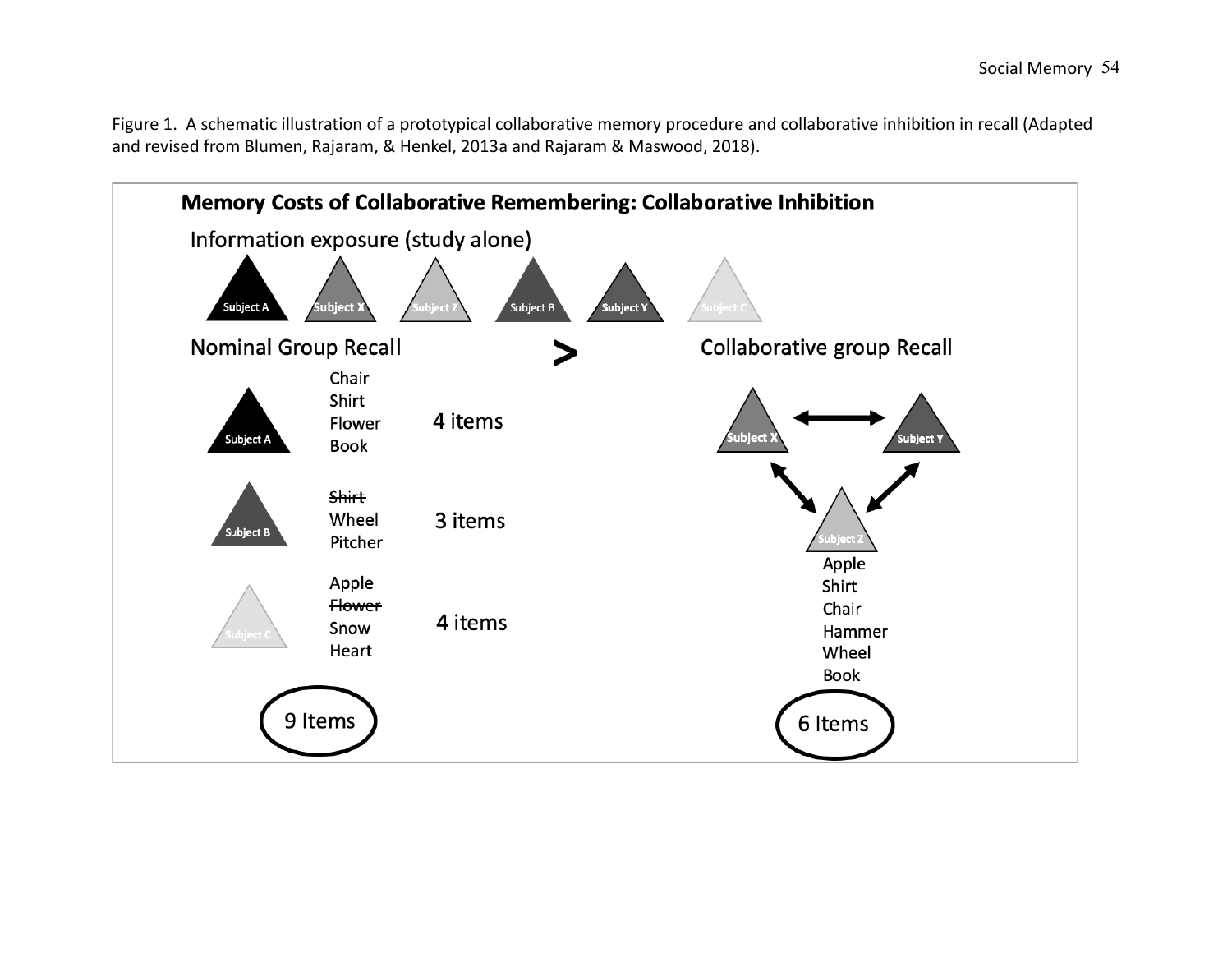Figure 1. A schematic illustration of a prototypical collaborative memory procedure and collaborative inhibition in recall (Adapted and revised from Blumen, Rajaram, & Henkel, 2013a and Rajaram & Maswood, 2018).

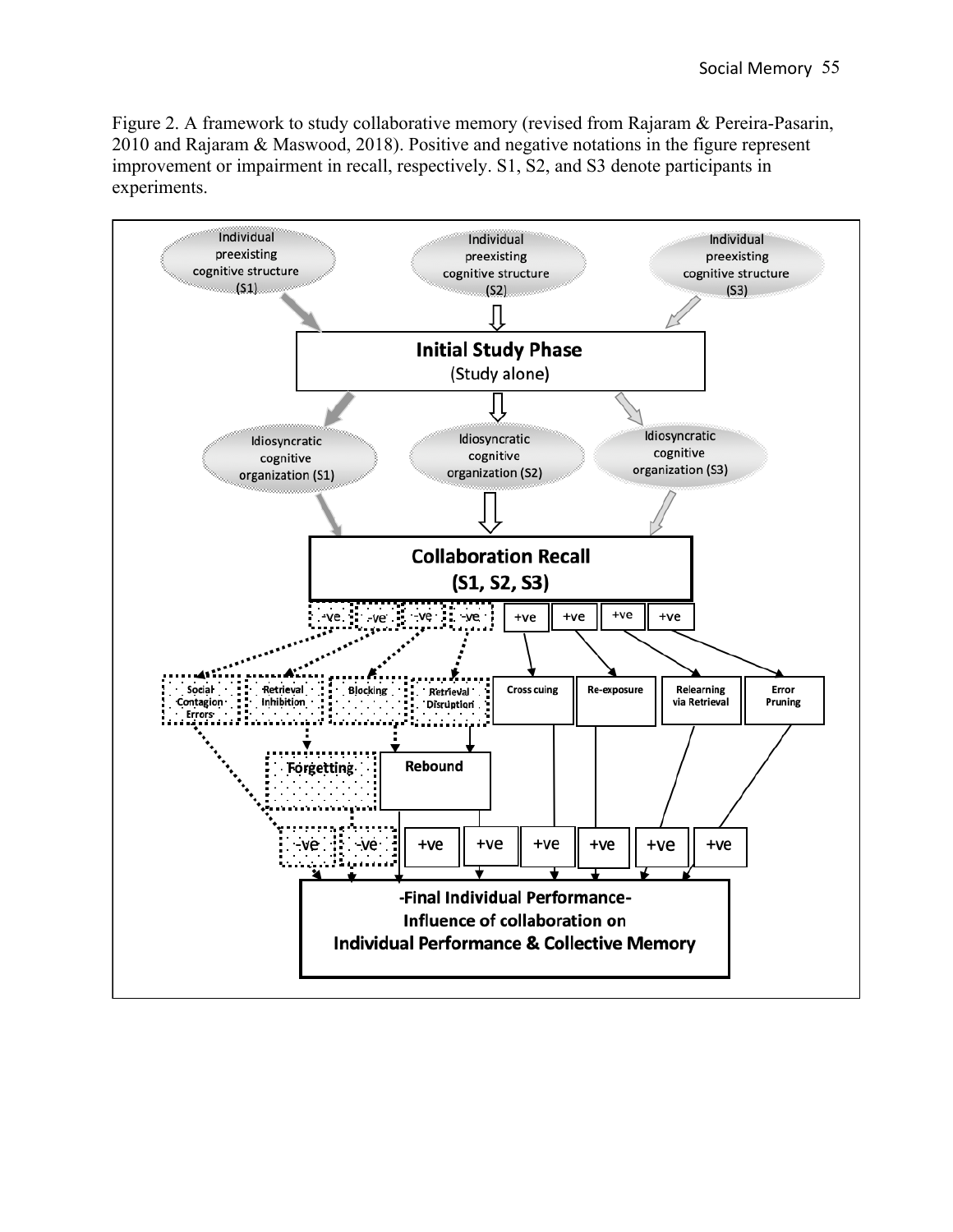Figure 2. A framework to study collaborative memory (revised from Rajaram & Pereira-Pasarin, 2010 and Rajaram & Maswood, 2018). Positive and negative notations in the figure represent improvement or impairment in recall, respectively. S1, S2, and S3 denote participants in experiments.

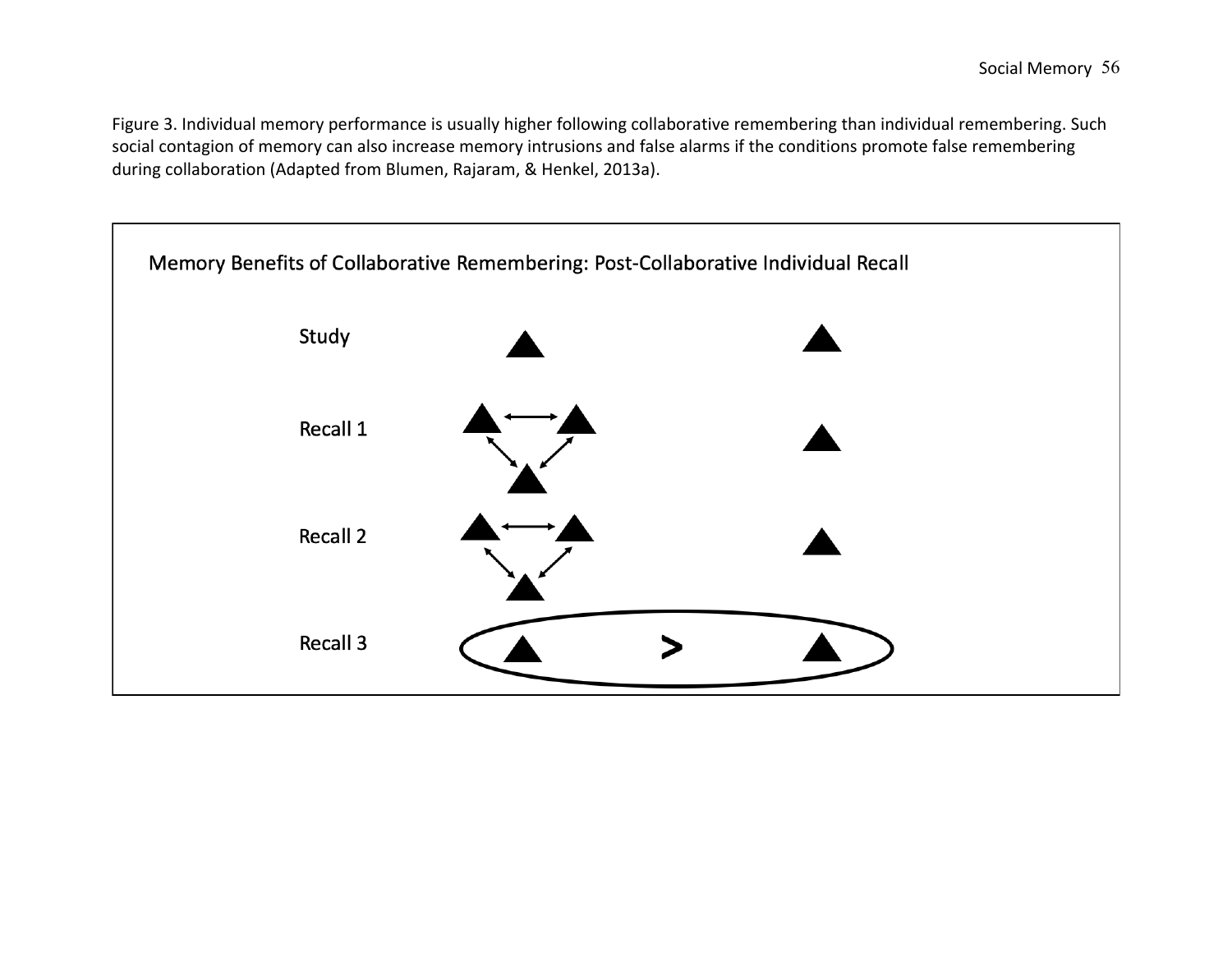Figure 3. Individual memory performance is usually higher following collaborative remembering than individual remembering. Such social contagion of memory can also increase memory intrusions and false alarms if the conditions promote false remembering during collaboration (Adapted from Blumen, Rajaram, & Henkel, 2013a).

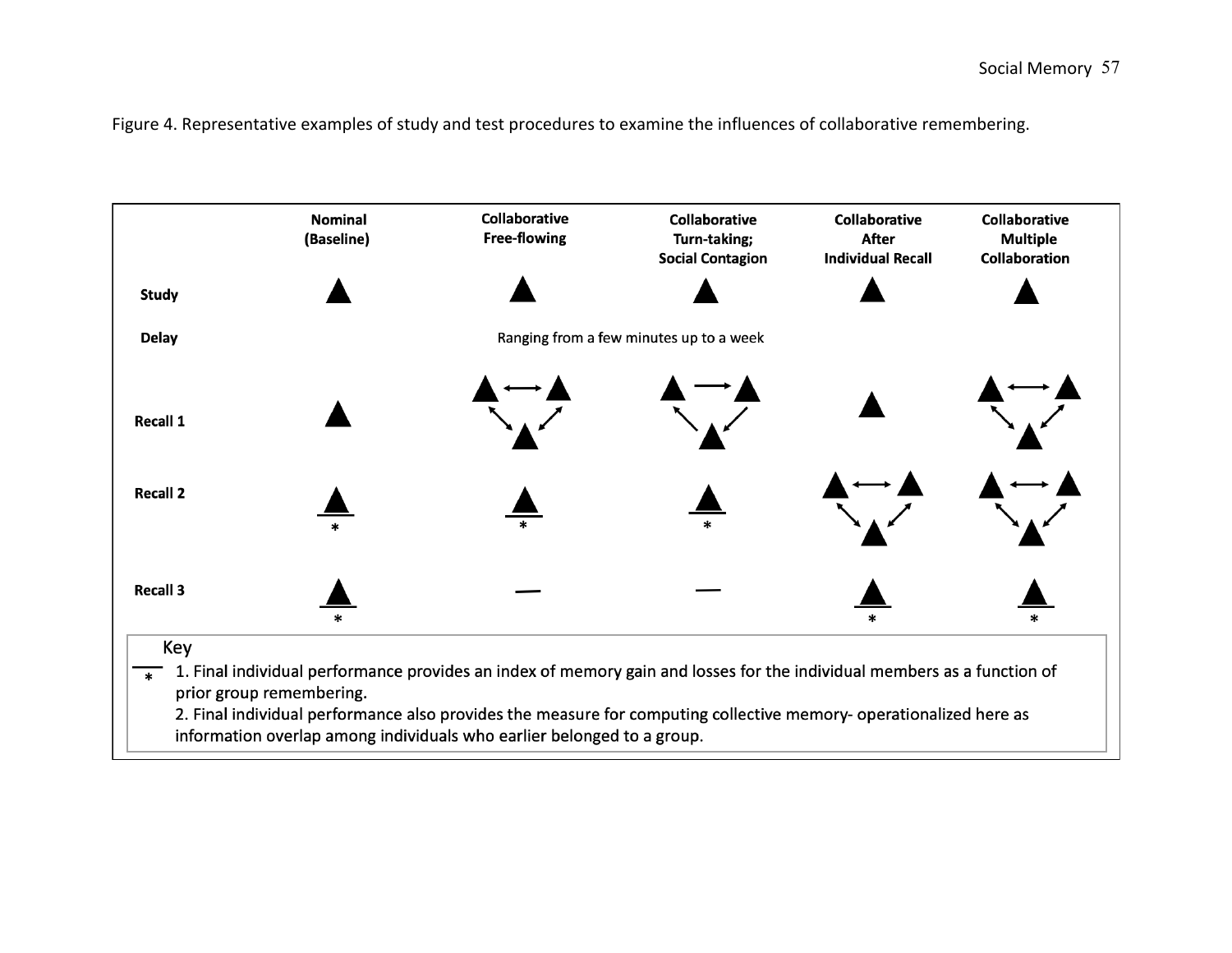Figure 4. Representative examples of study and test procedures to examine the influences of collaborative remembering.